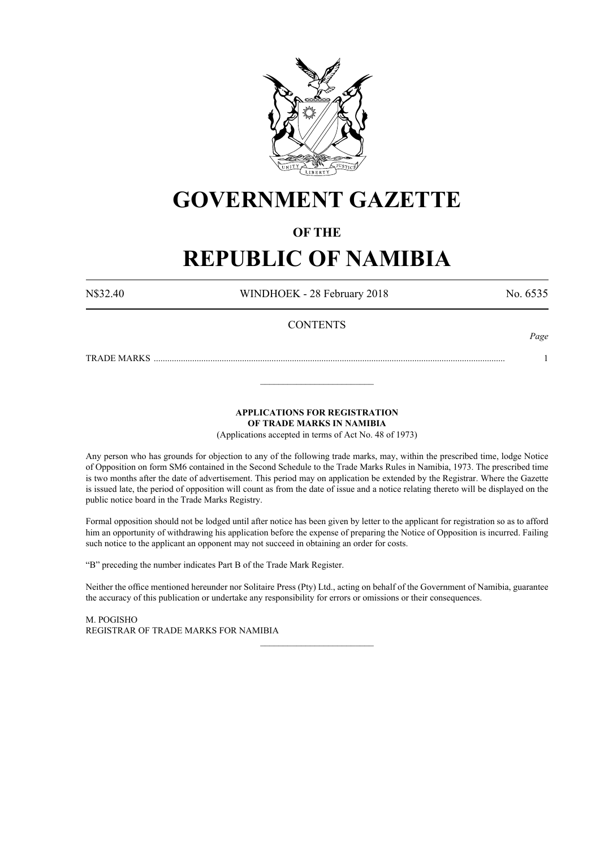

# **GOVERNMENT GAZETTE**

## **OF THE**

# **REPUBLIC OF NAMIBIA**

N\$32.40 WINDHOEK - 28 February 2018 No. 6535

*Page*

## **CONTENTS**

TRADE MARKS ........................................................................................................................................................... 1

**APPLICATIONS FOR REGISTRATION**

**OF TRADE MARKS IN NAMIBIA**

\_\_\_\_\_\_\_\_\_\_\_\_\_\_\_\_\_\_\_\_\_\_\_\_\_

(Applications accepted in terms of Act No. 48 of 1973)

Any person who has grounds for objection to any of the following trade marks, may, within the prescribed time, lodge Notice of Opposition on form SM6 contained in the Second Schedule to the Trade Marks Rules in Namibia, 1973. The prescribed time is two months after the date of advertisement. This period may on application be extended by the Registrar. Where the Gazette is issued late, the period of opposition will count as from the date of issue and a notice relating thereto will be displayed on the public notice board in the Trade Marks Registry.

Formal opposition should not be lodged until after notice has been given by letter to the applicant for registration so as to afford him an opportunity of withdrawing his application before the expense of preparing the Notice of Opposition is incurred. Failing such notice to the applicant an opponent may not succeed in obtaining an order for costs.

"B" preceding the number indicates Part B of the Trade Mark Register.

Neither the office mentioned hereunder nor Solitaire Press (Pty) Ltd., acting on behalf of the Government of Namibia, guarantee the accuracy of this publication or undertake any responsibility for errors or omissions or their consequences.

\_\_\_\_\_\_\_\_\_\_\_\_\_\_\_\_\_\_\_\_\_\_\_\_\_

M. PogIsho REGISTRAR OF TRADE MARKS FOR NAMIBIA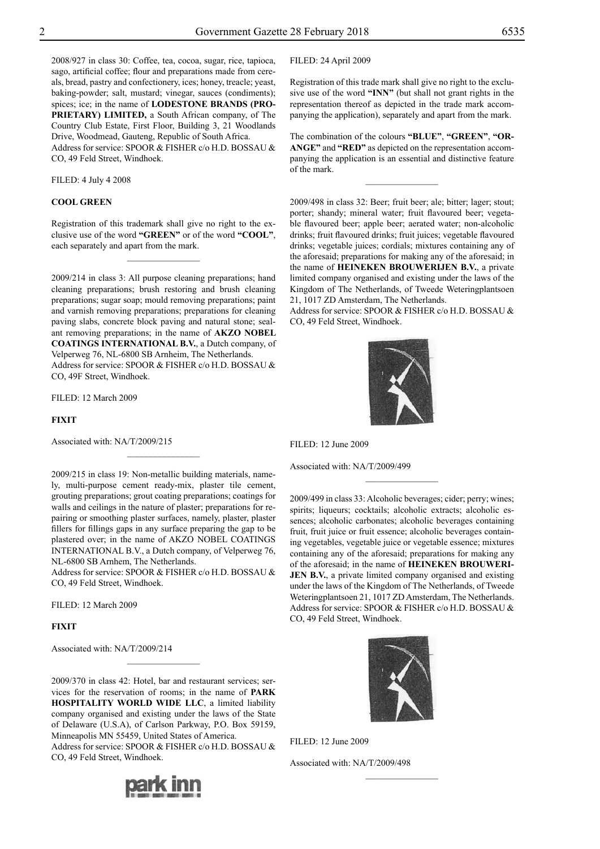2008/927 in class 30: Coffee, tea, cocoa, sugar, rice, tapioca, sago, artificial coffee; flour and preparations made from cereals, bread, pastry and confectionery, ices; honey, treacle; yeast, baking-powder; salt, mustard; vinegar, sauces (condiments); spices; ice; in the name of **LODESTONE BRANDS (PRO-PRIETARY) LIMITED,** a South African company, of The Country Club Estate, First Floor, Building 3, 21 Woodlands Drive, Woodmead, Gauteng, Republic of South Africa. Address for service: SPOOR & FISHER c/o H.D. BOSSAU & Co, 49 Feld Street, Windhoek.

Filed: 4 July 4 2008

#### **COOL GREEN**

Registration of this trademark shall give no right to the exclusive use of the word **"GREEN"** or of the word **"COOL"**, each separately and apart from the mark.

 $\frac{1}{2}$ 

2009/214 in class 3: All purpose cleaning preparations; hand cleaning preparations; brush restoring and brush cleaning preparations; sugar soap; mould removing preparations; paint and varnish removing preparations; preparations for cleaning paving slabs, concrete block paving and natural stone; sealant removing preparations; in the name of **AKZO NOBEL COATINGS INTERNATIONAL B.V.**, a Dutch company, of Velperweg 76, NL-6800 SB Arnheim, The Netherlands. Address for service: SPOOR & FISHER c/o H.D. BOSSAU & Co, 49F Street, Windhoek.

Filed: 12 March 2009

**FIXIT**

Associated with: NA/T/2009/215

2009/215 in class 19: Non-metallic building materials, namely, multi-purpose cement ready-mix, plaster tile cement, grouting preparations; grout coating preparations; coatings for walls and ceilings in the nature of plaster; preparations for repairing or smoothing plaster surfaces, namely, plaster, plaster fillers for fillings gaps in any surface preparing the gap to be plastered over; in the name of AKZO NOBEL COATINGS INTERNATIONAL B.V., a Dutch company, of Velperweg 76, NL-6800 SB Arnhem, The Netherlands.

Address for service: SPOOR & FISHER c/o H.D. BOSSAU & Co, 49 Feld Street, Windhoek.

Filed: 12 March 2009

## **FIXIT**

Associated with: NA/T/2009/214

2009/370 in class 42: Hotel, bar and restaurant services; services for the reservation of rooms; in the name of **PARK HOSPITALITY WORLD WIDE LLC**, a limited liability company organised and existing under the laws of the State of Delaware (U.S.A), of Carlson Parkway, P.O. Box 59159, Minneapolis MN 55459, United States of America.

 $\frac{1}{2}$ 

Address for service: SPOOR & FISHER c/o H.D. BOSSAU & Co, 49 Feld Street, Windhoek.



Filed: 24 April 2009

Registration of this trade mark shall give no right to the exclusive use of the word **"INN"** (but shall not grant rights in the representation thereof as depicted in the trade mark accompanying the application), separately and apart from the mark.

The combination of the colours **"BLUE"**, **"GREEN"**, **"OR-ANGE"** and **"RED"** as depicted on the representation accompanying the application is an essential and distinctive feature of the mark.

 $\frac{1}{2}$ 

2009/498 in class 32: Beer; fruit beer; ale; bitter; lager; stout; porter; shandy; mineral water; fruit flavoured beer; vegetable flavoured beer; apple beer; aerated water; non-alcoholic drinks; fruit flavoured drinks; fruit juices; vegetable flavoured drinks; vegetable juices; cordials; mixtures containing any of the aforesaid; preparations for making any of the aforesaid; in the name of **HEINEKEN BROUWERIJEN B.V.**, a private limited company organised and existing under the laws of the Kingdom of The Netherlands, of Tweede Weteringplantsoen 21, 1017 ZD Amsterdam, The Netherlands.

Address for service: SPOOR & FISHER c/o H.D. BOSSAU & Co, 49 Feld Street, Windhoek.



Filed: 12 June 2009

Associated with: NA/T/2009/499

2009/499 in class 33: Alcoholic beverages; cider; perry; wines; spirits; liqueurs; cocktails; alcoholic extracts; alcoholic essences; alcoholic carbonates; alcoholic beverages containing fruit, fruit juice or fruit essence; alcoholic beverages containing vegetables, vegetable juice or vegetable essence; mixtures containing any of the aforesaid; preparations for making any of the aforesaid; in the name of **HEINEKEN BROUWERI-JEN B.V.**, a private limited company organised and existing under the laws of the Kingdom of The Netherlands, of Tweede Weteringplantsoen 21, 1017 ZD Amsterdam, The Netherlands. Address for service: SPOOR & FISHER c/o H.D. BOSSAU & Co, 49 Feld Street, Windhoek.

 $\overline{\phantom{a}}$  , where  $\overline{\phantom{a}}$ 



 $\frac{1}{2}$ 

Filed: 12 June 2009

Associated with: NA/T/2009/498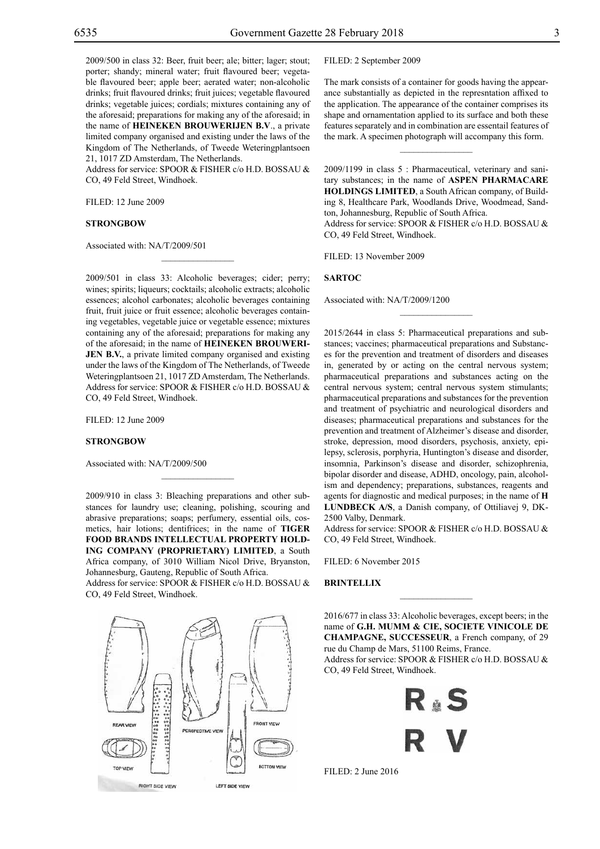2009/500 in class 32: Beer, fruit beer; ale; bitter; lager; stout; porter; shandy; mineral water; fruit flavoured beer; vegetable flavoured beer; apple beer; aerated water; non-alcoholic drinks; fruit flavoured drinks; fruit juices; vegetable flavoured drinks; vegetable juices; cordials; mixtures containing any of the aforesaid; preparations for making any of the aforesaid; in the name of **Heineken BROUWERIJEN B.V**., a private limited company organised and existing under the laws of the Kingdom of The Netherlands, of Tweede Weteringplantsoen 21, 1017 ZD Amsterdam, The Netherlands.

Address for service: SPOOR & FISHER c/o H.D. BOSSAU & Co, 49 Feld Street, Windhoek.

Filed: 12 June 2009

#### **STRONGBOW**

Associated with: NA/T/2009/501

2009/501 in class 33: Alcoholic beverages; cider; perry; wines; spirits; liqueurs; cocktails; alcoholic extracts; alcoholic essences; alcohol carbonates; alcoholic beverages containing fruit, fruit juice or fruit essence; alcoholic beverages containing vegetables, vegetable juice or vegetable essence; mixtures containing any of the aforesaid; preparations for making any of the aforesaid; in the name of **HEINEKEN BROUWERI-JEN B.V.**, a private limited company organised and existing under the laws of the Kingdom of The Netherlands, of Tweede Weteringplantsoen 21, 1017 ZD Amsterdam, The Netherlands. Address for service: SPOOR & FISHER c/o H.D. BOSSAU & Co, 49 Feld Street, Windhoek.

 $\mathcal{L}=\mathcal{L}^{\mathcal{L}}$ 

Filed: 12 June 2009

#### **STRONGBOW**

Associated with: NA/T/2009/500

2009/910 in class 3: Bleaching preparations and other substances for laundry use; cleaning, polishing, scouring and abrasive preparations; soaps; perfumery, essential oils, cosmetics, hair lotions; dentifrices; in the name of **TIGER FOOD BRANDS INTELLECTUAL PROPERTY HOLD-ING COMPANY (PROPRIETARY) LIMITED**, a South Africa company, of 3010 William Nicol Drive, Bryanston, Johannesburg, Gauteng, Republic of South Africa. Address for service: SPOOR & FISHER c/o H.D. BOSSAU &

 $\mathcal{L}=\mathcal{L}^{\mathcal{L}}$ 

Co, 49 Feld Street, Windhoek.



Filed: 2 September 2009

The mark consists of a container for goods having the appearance substantially as depicted in the represntation affixed to the application. The appearance of the container comprises its shape and ornamentation applied to its surface and both these features separately and in combination are essentail features of the mark. A specimen photograph will accompany this form.

 $\overline{\phantom{a}}$  , where  $\overline{\phantom{a}}$ 

2009/1199 in class 5 : Pharmaceutical, veterinary and sanitary substances; in the name of **ASPEN PHARMACARE HOLDINGS LIMITED**, a South African company, of Building 8, Healthcare Park, Woodlands Drive, Woodmead, Sandton, Johannesburg, Republic of South Africa.

Address for service: SPOOR & FISHER c/o H.D. BOSSAU & Co, 49 Feld Street, Windhoek.

 $\frac{1}{2}$ 

Filed: 13 November 2009

## **SARTOC**

Associated with: NA/T/2009/1200

2015/2644 in class 5: Pharmaceutical preparations and substances; vaccines; pharmaceutical preparations and Substances for the prevention and treatment of disorders and diseases in, generated by or acting on the central nervous system; pharmaceutical preparations and substances acting on the central nervous system; central nervous system stimulants; pharmaceutical preparations and substances for the prevention and treatment of psychiatric and neurological disorders and diseases; pharmaceutical preparations and substances for the prevention and treatment of Alzheimer's disease and disorder, stroke, depression, mood disorders, psychosis, anxiety, epilepsy, sclerosis, porphyria, Huntington's disease and disorder, insomnia, Parkinson's disease and disorder, schizophrenia, bipolar disorder and disease, ADHD, oncology, pain, alcoholism and dependency; preparations, substances, reagents and agents for diagnostic and medical purposes; in the name of **H LUNDBECK A/S**, a Danish company, of Ottiliavej 9, DK-2500 Valby, Denmark.

Address for service: SPOOR & FISHER c/o H.D. BOSSAU & Co, 49 Feld Street, Windhoek.

FILED: 6 November 2015

## **BRINTELLIX**

2016/677 in class 33: Alcoholic beverages, except beers; in the name of **G.H. MUMM & CIE, SOCIETE VINICOLE DE CHAMPAGNE, SUCCESSEUR**, a French company, of 29 rue du Champ de Mars, 51100 Reims, France.

 $\frac{1}{2}$ 

Address for service: SPOOR & FISHER c/o H.D. BOSSAU & Co, 49 Feld Street, Windhoek.

R ≟ S

Filed: 2 June 2016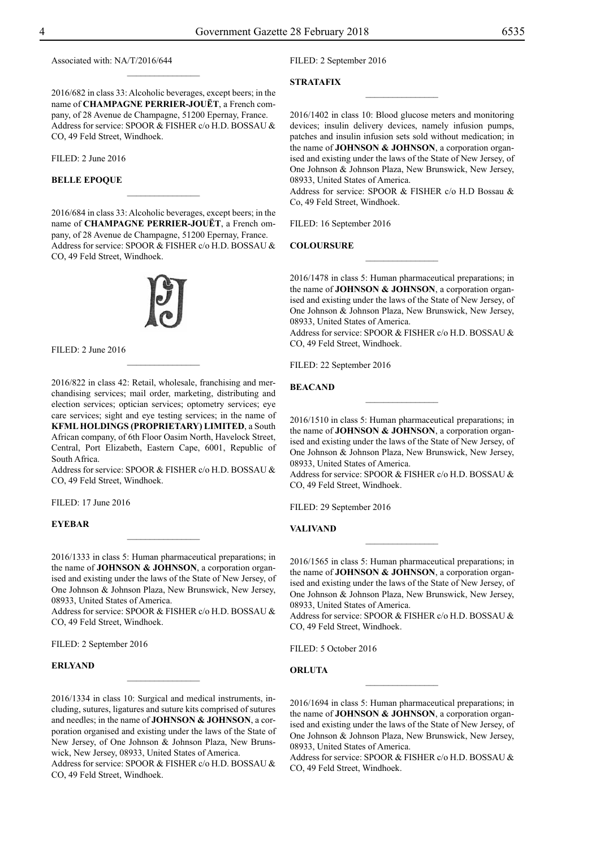Associated with: NA/T/2016/644

2016/682 in class 33: Alcoholic beverages, except beers; in the name of **CHAMPAGNE PERRIER-JOUËT**, a French company, of 28 Avenue de Champagne, 51200 Epernay, France. Address for service: SPOOR & FISHER c/o H.D. BOSSAU & Co, 49 Feld Street, Windhoek.

 $\frac{1}{2}$ 

FILED: 2 June 2016

#### **BELLE EPOQUE**

2016/684 in class 33: Alcoholic beverages, except beers; in the name of **CHAMPAGNE PERRIER-JOUËT**, a French ompany, of 28 Avenue de Champagne, 51200 Epernay, France. Address for service: SPOOR & FISHER c/o H.D. BOSSAU & Co, 49 Feld Street, Windhoek.

 $\frac{1}{2}$ 



Filed: 2 June 2016

2016/822 in class 42: Retail, wholesale, franchising and merchandising services; mail order, marketing, distributing and election services; optician services; optometry services; eye care services; sight and eye testing services; in the name of **KFML HOLDINGS (PROPRIETARY) LIMITED**, a South African company, of 6th Floor Oasim North, Havelock Street, Central, Port Elizabeth, Eastern Cape, 6001, Republic of South Africa.

 $\frac{1}{2}$ 

Address for service: SPOOR & FISHER c/o H.D. BOSSAU & Co, 49 Feld Street, Windhoek.

Filed: 17 June 2016

## **EYEBAR**

2016/1333 in class 5: Human pharmaceutical preparations; in the name of **JOHNSON & JOHNSON**, a corporation organised and existing under the laws of the State of New Jersey, of One Johnson & Johnson Plaza, New Brunswick, New Jersey, 08933, United States of America.

 $\frac{1}{2}$ 

Address for service: SPOOR & FISHER c/o H.D. BOSSAU & CO, 49 Feld Street, Windhoek.

FILED: 2 September 2016

## **ERLYAND**

2016/1334 in class 10: Surgical and medical instruments, including, sutures, ligatures and suture kits comprised of sutures and needles; in the name of **JOHNSON & JOHNSON**, a corporation organised and existing under the laws of the State of New Jersey, of One Johnson & Johnson Plaza, New Brunswick, New Jersey, 08933, United States of America.

 $\frac{1}{2}$ 

Address for service: SPOOR & FISHER c/o H.D. BOSSAU & Co, 49 Feld Street, Windhoek.

FILED: 2 September 2016

## **STRATAFIX**

2016/1402 in class 10: Blood glucose meters and monitoring devices; insulin delivery devices, namely infusion pumps, patches and insulin infusion sets sold without medication; in the name of **JOHNSON & JOHNSON**, a corporation organised and existing under the laws of the State of New Jersey, of One Johnson & Johnson Plaza, New Brunswick, New Jersey, 08933, United States of America.

 $\overline{\phantom{a}}$  , where  $\overline{\phantom{a}}$ 

Address for service: SPOOR & FISHER c/o H.D Bossau & Co, 49 Feld Street, Windhoek.

FILED: 16 September 2016

**COLOURSURE**

2016/1478 in class 5: Human pharmaceutical preparations; in the name of **JOHNSON & JOHNSON**, a corporation organised and existing under the laws of the State of New Jersey, of One Johnson & Johnson Plaza, New Brunswick, New Jersey, 08933, United States of America.

 $\frac{1}{2}$ 

Address for service: SPOOR & FISHER c/o H.D. BOSSAU & Co, 49 Feld Street, Windhoek.

FILED: 22 September 2016

**BEACAND**

2016/1510 in class 5: Human pharmaceutical preparations; in the name of **JOHNSON & JOHNSON**, a corporation organised and existing under the laws of the State of New Jersey, of One Johnson & Johnson Plaza, New Brunswick, New Jersey, 08933, United States of America.

Address for service: SPOOR & FISHER c/o H.D. BOSSAU & Co, 49 Feld Street, Windhoek.

Filed: 29 September 2016

**VALIVAND**

2016/1565 in class 5: Human pharmaceutical preparations; in the name of **JOHNSON & JOHNSON**, a corporation organised and existing under the laws of the State of New Jersey, of One Johnson & Johnson Plaza, New Brunswick, New Jersey, 08933, United States of America.

 $\frac{1}{2}$ 

Address for service: SPOOR & FISHER c/o H.D. BOSSAU & Co, 49 Feld Street, Windhoek.

Filed: 5 October 2016

**ORLUTA**

2016/1694 in class 5: Human pharmaceutical preparations; in the name of **JOHNSON & JOHNSON**, a corporation organised and existing under the laws of the State of New Jersey, of One Johnson & Johnson Plaza, New Brunswick, New Jersey, 08933, United States of America.

 $\frac{1}{2}$ 

Address for service: SPOOR & FISHER c/o H.D. BOSSAU & Co, 49 Feld Street, Windhoek.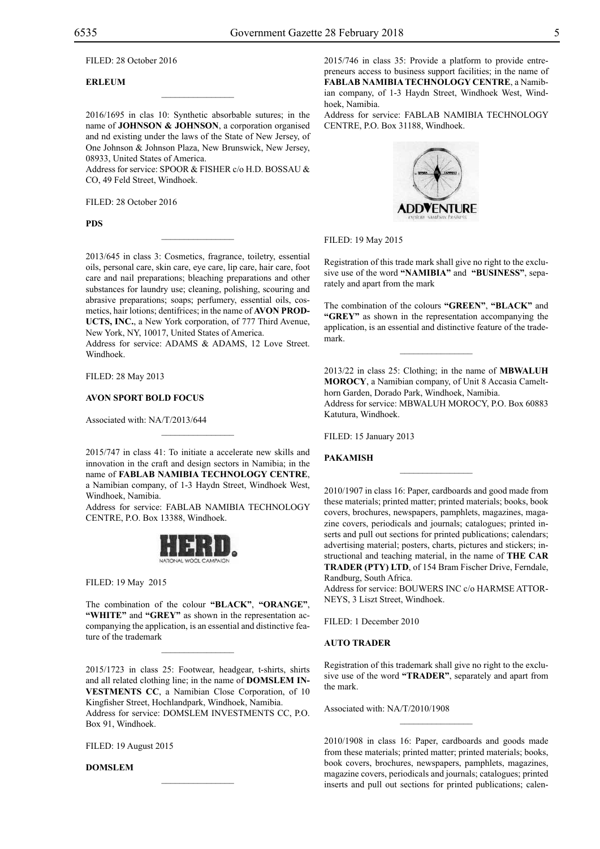Filed: 28 October 2016

## **ERLEUM**

2016/1695 in clas 10: Synthetic absorbable sutures; in the name of **JOHNSON & JOHNSON**, a corporation organised and nd existing under the laws of the State of New Jersey, of One Johnson & Johnson Plaza, New Brunswick, New Jersey, 08933, United States of America.

 $\overline{\phantom{a}}$  , where  $\overline{\phantom{a}}$ 

Address for service: SPOOR & FISHER c/o H.D. BOSSAU & Co, 49 Feld Street, Windhoek.

Filed: 28 October 2016

**PDS**

2013/645 in class 3: Cosmetics, fragrance, toiletry, essential oils, personal care, skin care, eye care, lip care, hair care, foot care and nail preparations; bleaching preparations and other substances for laundry use; cleaning, polishing, scouring and abrasive preparations; soaps; perfumery, essential oils, cosmetics, hair lotions; dentifrices; in the name of **AVON PROD-UCTS, INC.**, a New York corporation, of 777 Third Avenue, New York, NY, 10017, United States of America.

 $\mathcal{L}=\mathcal{L}^{\mathcal{L}}$ 

Address for service: ADAMS & ADAMS, 12 Love Street. Windhoek.

Filed: 28 May 2013

#### **AVON SPORT BOLD FOCUS**

Associated with: NA/T/2013/644

2015/747 in class 41: To initiate a accelerate new skills and innovation in the craft and design sectors in Namibia; in the name of **FABLAB NAMIBIA TECHNOLOGY CENTRE**, a Namibian company, of 1-3 Haydn Street, Windhoek West, Windhoek, Namibia.

 $\mathcal{L}=\mathcal{L}^{\mathcal{L}}$ 

Address for service: FABLAB NAMIBIA TECHNOLOGY CENTRE, P.O. Box 13388, Windhoek.



Filed: 19 May 2015

The combination of the colour **"BLACK"**, **"ORANGE"**, **"WHITE"** and **"GREY"** as shown in the representation accompanying the application, is an essential and distinctive feature of the trademark

 $\mathcal{L}=\mathcal{L}^{\mathcal{L}}$ 

2015/1723 in class 25: Footwear, headgear, t-shirts, shirts and all related clothing line; in the name of **DOMSLEM IN-VESTMENTS CC**, a Namibian Close Corporation, of 10 Kingfisher Street, Hochlandpark, Windhoek, Namibia. Address for service: Domslem Investments CC, P.O. Box 91, Windhoek.

 $\mathcal{L}=\mathcal{L}^{\mathcal{L}}$ 

FILED: 19 August 2015

**DOMSLEM**

2015/746 in class 35: Provide a platform to provide entrepreneurs access to business support facilities; in the name of **FABLAB NAMIBIA TECHNOLOGY CENTRE**, a Namibian company, of 1-3 Haydn Street, Windhoek West, Windhoek, Namibia.

Address for service: FABLAB NAMIBIA TECHNOLOGY CENTRE, P.O. Box 31188, Windhoek.



#### Filed: 19 May 2015

Registration of this trade mark shall give no right to the exclusive use of the word **"NAMIBIA"** and **"BUSINESS"**, separately and apart from the mark

The combination of the colours **"GREEN"**, **"BLACK"** and **"GREY"** as shown in the representation accompanying the application, is an essential and distinctive feature of the trademark.

 $\frac{1}{2}$ 

2013/22 in class 25: Clothing; in the name of **MBWALUH MOROCY**, a Namibian company, of Unit 8 Accasia Camelthorn Garden, Dorado Park, Windhoek, Namibia. Address for service: MBWALUH MOROCY, P.O. Box 60883 Katutura, Windhoek.

FILED: 15 January 2013

#### **PAKAMISH**

2010/1907 in class 16: Paper, cardboards and good made from these materials; printed matter; printed materials; books, book covers, brochures, newspapers, pamphlets, magazines, magazine covers, periodicals and journals; catalogues; printed inserts and pull out sections for printed publications; calendars; advertising material; posters, charts, pictures and stickers; instructional and teaching material, in the name of **THE CAR TRADER (PTY) LTD**, of 154 Bram Fischer Drive, Ferndale, Randburg, South Africa.

 $\frac{1}{2}$ 

Address for service: BOUWERS INC c/o HARMSE ATTORneys, 3 Liszt Street, Windhoek.

FILED: 1 December 2010

#### **AUTO TRADER**

Registration of this trademark shall give no right to the exclusive use of the word **"TRADER"**, separately and apart from the mark.

Associated with: NA/T/2010/1908

2010/1908 in class 16: Paper, cardboards and goods made from these materials; printed matter; printed materials; books, book covers, brochures, newspapers, pamphlets, magazines, magazine covers, periodicals and journals; catalogues; printed inserts and pull out sections for printed publications; calen-

 $\overline{\phantom{a}}$  , where  $\overline{\phantom{a}}$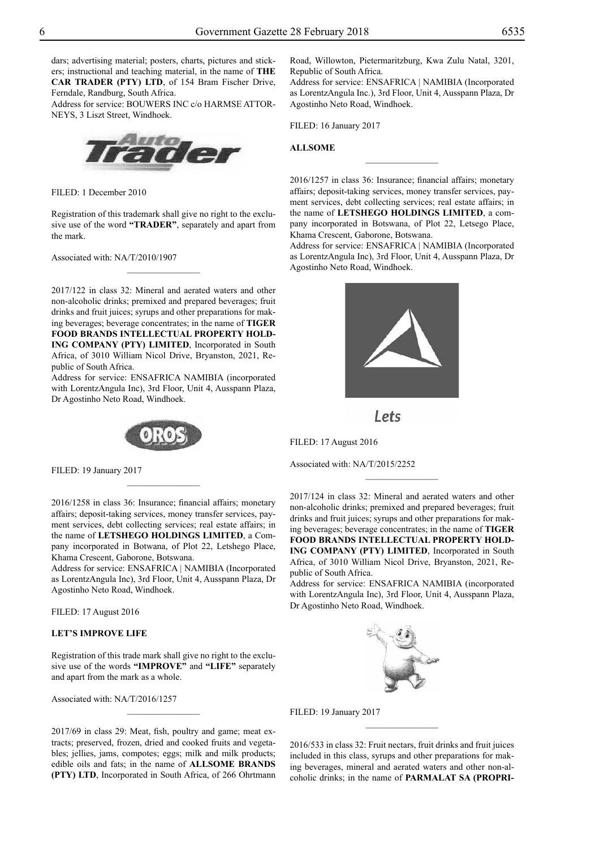dars; advertising material; posters, charts, pictures and stickers; instructional and teaching material, in the name of **THE CAR TRADER (PTY) LTD**, of 154 Bram Fischer Drive, Ferndale, Randburg, South Africa.

Address for service: BOUWERS INC c/o HARMSE ATTOR-NEYS, 3 Liszt Street, Windhoek.



Filed: 1 December 2010

Registration of this trademark shall give no right to the exclusive use of the word **"TRADER"**, separately and apart from the mark.

 $\frac{1}{2}$ 

Associated with: NA/T/2010/1907

2017/122 in class 32: Mineral and aerated waters and other non-alcoholic drinks; premixed and prepared beverages; fruit drinks and fruit juices; syrups and other preparations for making beverages; beverage concentrates; in the name of **TIGER FOOD BRANDS INTELLECTUAL PROPERTY HOLD-ING COMPANY (PTY) LIMITED**, Incorporated in South Africa, of 3010 William Nicol Drive, Bryanston, 2021, Republic of South Africa.

Address for service: ENSAFRICA NAMIBIA (incorporated with LorentzAngula Inc), 3rd Floor, Unit 4, Ausspann Plaza, Dr Agostinho Neto Road, Windhoek.



 $\frac{1}{2}$ 

Filed: 19 January 2017

2016/1258 in class 36: Insurance; financial affairs; monetary affairs; deposit-taking services, money transfer services, payment services, debt collecting services; real estate affairs; in the name of **LETSHEGO HOLDINGS LIMITED**, a Company incorporated in Botwana, of Plot 22, Letshego Place, Khama Crescent, Gaborone, Botswana.

Address for service: ENSAFRICA | NAMIBIA (Incorporated as LorentzAngula Inc), 3rd Floor, Unit 4, Ausspann Plaza, Dr Agostinho Neto Road, Windhoek.

Filed: 17 August 2016

## **LET'S IMPROVE LIFE**

Registration of this trade mark shall give no right to the exclusive use of the words **"IMPROVE"** and **"LIFE"** separately and apart from the mark as a whole.

 $\frac{1}{2}$ 

Associated with: NA/T/2016/1257

2017/69 in class 29: Meat, fish, poultry and game; meat extracts; preserved, frozen, dried and cooked fruits and vegetables; jellies, jams, compotes; eggs; milk and milk products; edible oils and fats; in the name of **ALLSOME BRANDS (PTY) LTD**, Incorporated in South Africa, of 266 Ohrtmann Road, Willowton, Pietermaritzburg, Kwa Zulu Natal, 3201, Republic of South Africa.

Address for service: ENSafrica | Namibia (Incorporated as LorentzAngula Inc.), 3rd Floor, Unit 4, Ausspann Plaza, Dr Agostinho Neto Road, Windhoek.

FILED: 16 January 2017

#### **ALLSOME**

2016/1257 in class 36: Insurance; financial affairs; monetary affairs; deposit-taking services, money transfer services, payment services, debt collecting services; real estate affairs; in the name of **LETSHEGO HOLDINGS LIMITED**, a company incorporated in Botswana, of Plot 22, Letsego Place, Khama Crescent, Gaborone, Botswana.

 $\overline{\phantom{a}}$  , where  $\overline{\phantom{a}}$ 

Address for service: ENSafrica | Namibia (Incorporated as LorentzAngula Inc), 3rd Floor, Unit 4, Ausspann Plaza, Dr Agostinho Neto Road, Windhoek.



Lets

Filed: 17 August 2016

Associated with: NA/T/2015/2252

2017/124 in class 32: Mineral and aerated waters and other non-alcoholic drinks; premixed and prepared beverages; fruit drinks and fruit juices; syrups and other preparations for making beverages; beverage concentrates; in the name of **TIGER FOOD BRANDS INTELLECTUAL PROPERTY HOLD-ING COMPANY (PTY) LIMITED**, Incorporated in South Africa, of 3010 William Nicol Drive, Bryanston, 2021, Republic of South Africa.

 $\frac{1}{2}$ 

Address for service: ENSAFRICA NAMIBIA (incorporated with LorentzAngula Inc), 3rd Floor, Unit 4, Ausspann Plaza, Dr Agostinho Neto Road, Windhoek.



Filed: 19 January 2017

2016/533 in class 32: Fruit nectars, fruit drinks and fruit juices included in this class, syrups and other preparations for making beverages, mineral and aerated waters and other non-alcoholic drinks; in the name of **PARMALAT SA (PROPRI-**

 $\overline{\phantom{a}}$  , where  $\overline{\phantom{a}}$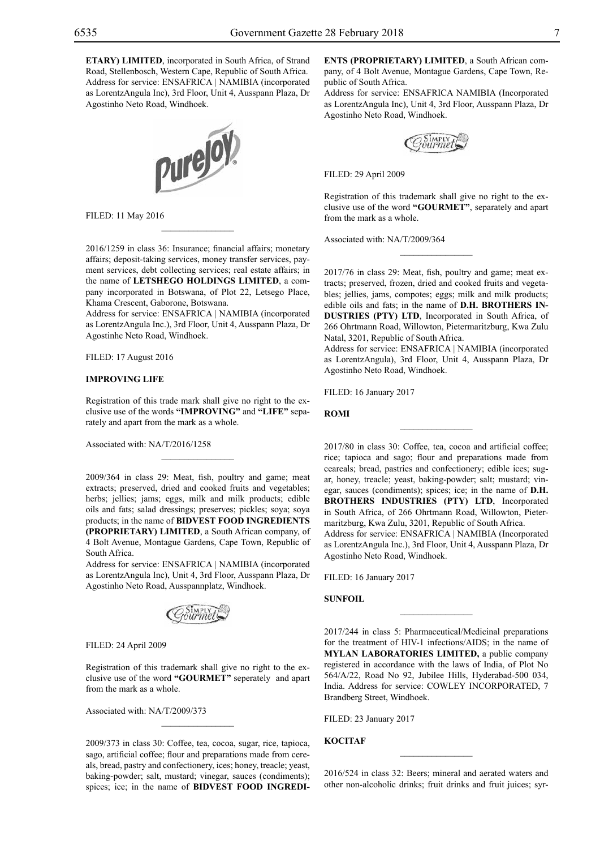**ETARY) LIMITED**, incorporated in South Africa, of Strand Road, Stellenbosch, Western Cape, Republic of South Africa. Address for service: ENSAFRICA | NAMIBIA (incorporated as LorentzAngula Inc), 3rd Floor, Unit 4, Ausspann Plaza, Dr Agostinho Neto Road, Windhoek.



Filed: 11 May 2016

2016/1259 in class 36: Insurance; financial affairs; monetary affairs; deposit-taking services, money transfer services, payment services, debt collecting services; real estate affairs; in the name of **LETSHEGO HOLDINGS LIMITED**, a company incorporated in Botswana, of Plot 22, Letsego Place, Khama Crescent, Gaborone, Botswana.

 $\overline{\phantom{a}}$  , where  $\overline{\phantom{a}}$ 

Address for service: ENSAFRICA | NAMIBIA (incorporated as LorentzAngula Inc.), 3rd Floor, Unit 4, Ausspann Plaza, Dr Agostinhc Neto Road, Windhoek.

Filed: 17 August 2016

#### **IMPROVING LIFE**

Registration of this trade mark shall give no right to the exclusive use of the words **"IMPROVING"** and **"LIFE"** separately and apart from the mark as a whole.

 $\overline{\phantom{a}}$  , where  $\overline{\phantom{a}}$ 

Associated with: NA/T/2016/1258

2009/364 in class 29: Meat, fish, poultry and game; meat extracts; preserved, dried and cooked fruits and vegetables; herbs; jellies; jams; eggs, milk and milk products; edible oils and fats; salad dressings; preserves; pickles; soya; soya products; in the name of **BIDVEST FOOD INGREDIENTS (PROPRIETARY) LIMITED**, a South African company, of 4 Bolt Avenue, Montague Gardens, Cape Town, Republic of South Africa.

Address for service: ENSAFRICA | NAMIBIA (incorporated as LorentzAngula Inc), Unit 4, 3rd Floor, Ausspann Plaza, Dr Agostinho Neto Road, Ausspannplatz, Windhoek.



Filed: 24 April 2009

Registration of this trademark shall give no right to the exclusive use of the word **"GOURMET"** seperately and apart from the mark as a whole.

Associated with: NA/T/2009/373

2009/373 in class 30: Coffee, tea, cocoa, sugar, rice, tapioca, sago, artificial coffee; flour and preparations made from cereals, bread, pastry and confectionery, ices; honey, treacle; yeast, baking-powder; salt, mustard; vinegar, sauces (condiments); spices; ice; in the name of **BIDVEST FOOD INGREDI-**

**ENTS (PROPRIETARY) LIMITED**, a South African company, of 4 Bolt Avenue, Montague Gardens, Cape Town, Republic of South Africa.

Address for service: ENSAFRICA NAMIBIA (Incorporated as LorentzAngula Inc), Unit 4, 3rd Floor, Ausspann Plaza, Dr Agostinho Neto Road, Windhoek.

Filed: 29 April 2009

Registration of this trademark shall give no right to the exclusive use of the word **"GOURMET"**, separately and apart from the mark as a whole.

Associated with: NA/T/2009/364

2017/76 in class 29: Meat, fish, poultry and game; meat extracts; preserved, frozen, dried and cooked fruits and vegetables; jellies, jams, compotes; eggs; milk and milk products; edible oils and fats; in the name of **D.H. BROTHERS IN-DUSTRIES (PTY) LTD**, Incorporated in South Africa, of 266 Ohrtmann Road, Willowton, Pietermaritzburg, Kwa Zulu Natal, 3201, Republic of South Africa.

Address for service: ENSAFRICA | NAMIBIA (incorporated as LorentzAngula), 3rd Floor, Unit 4, Ausspann Plaza, Dr Agostinho Neto Road, Windhoek.

 $\frac{1}{2}$ 

FILED: 16 January 2017

**ROMI**

2017/80 in class 30: Coffee, tea, cocoa and artificial coffee; rice; tapioca and sago; flour and preparations made from ceareals; bread, pastries and confectionery; edible ices; sugar, honey, treacle; yeast, baking-powder; salt; mustard; vinegar, sauces (condiments); spices; ice; in the name of **D.H. BROTHERS INDUSTRIES (PTY) LTD**, Incorporated in South Africa, of 266 Ohrtmann Road, Willowton, Pietermaritzburg, Kwa Zulu, 3201, Republic of South Africa. Address for service: ENSAFRICA | NAMIBIA (Incorporated as LorentzAngula Inc.), 3rd Floor, Unit 4, Ausspann Plaza, Dr Agostinho Neto Road, Windhoek.

Filed: 16 January 2017

**SUNFOIL**

2017/244 in class 5: Pharmaceutical/Medicinal preparations for the treatment of HIV-1 infections/AIDS; in the name of **MYLAN LABORATORIES LIMITED,** a public company registered in accordance with the laws of India, of Plot No 564/A/22, Road No 92, Jubilee Hills, Hyderabad-500 034, India. Address for service: COWLEY INCORPORATED, 7 Brandberg Street, Windhoek.

 $\frac{1}{2}$ 

Filed: 23 January 2017

#### **KOCITAF**

2016/524 in class 32: Beers; mineral and aerated waters and other non-alcoholic drinks; fruit drinks and fruit juices; syr-

 $\frac{1}{2}$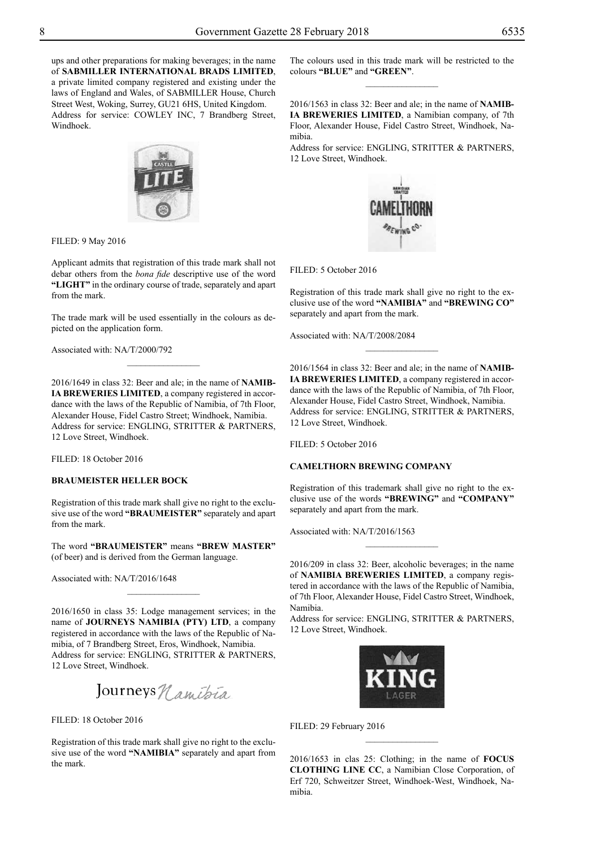ups and other preparations for making beverages; in the name of **SABMILLER INTERNATIONAL BRADS LIMITED**, a private limited company registered and existing under the laws of England and Wales, of SABMILLER House, Church Street West, Woking, Surrey, GU21 6HS, United Kingdom. Address for service: COWLEY INC, 7 Brandberg Street, Windhoek.



Filed: 9 May 2016

Applicant admits that registration of this trade mark shall not debar others from the *bona fide* descriptive use of the word **"LIGHT"** in the ordinary course of trade, separately and apart from the mark.

The trade mark will be used essentially in the colours as depicted on the application form.

 $\frac{1}{2}$ 

Associated with: NA/T/2000/792

2016/1649 in class 32: Beer and ale; in the name of **NAMIB-IA BREWERIES LIMITED**, a company registered in accordance with the laws of the Republic of Namibia, of 7th Floor, Alexander House, Fidel Castro Street; Windhoek, Namibia. Address for service: ENGLING, STRITTER & PARTNERS, 12 Love Street, Windhoek.

Filed: 18 October 2016

## **BRAUMEISTER HELLER BOCK**

Registration of this trade mark shall give no right to the exclusive use of the word **"BRAUMEISTER"** separately and apart from the mark.

The word **"BRAUMEISTER"** means **"BREW MASTER"**  (of beer) and is derived from the German language.

 $\frac{1}{2}$ 

Associated with: NA/T/2016/1648

2016/1650 in class 35: Lodge management services; in the name of **JOURNEYS NAMIBIA (PTY) LTD**, a company registered in accordance with the laws of the Republic of Namibia, of 7 Brandberg Street, Eros, Windhoek, Namibia. Address for service: ENGLING, STRITTER & PARTNERS, 12 Love Street, Windhoek.

Journeys *Namibia* 

FILED: 18 October 2016

Registration of this trade mark shall give no right to the exclusive use of the word **"NAMIBIA"** separately and apart from the mark.

The colours used in this trade mark will be restricted to the colours **"BLUE"** and **"GREEN"**.  $\frac{1}{2}$ 

2016/1563 in class 32: Beer and ale; in the name of **NAMIB-IA BREWERIES LIMITED**, a Namibian company, of 7th Floor, Alexander House, Fidel Castro Street, Windhoek, Namibia.

Address for service: ENGLING, STRITTER & PARTNERS, 12 Love Street, Windhoek.



FILED: 5 October 2016

Registration of this trade mark shall give no right to the exclusive use of the word **"NAMIBIA"** and **"BREWING CO"**  separately and apart from the mark.

 $\overline{\phantom{a}}$  , where  $\overline{\phantom{a}}$ 

Associated with: NA/T/2008/2084

2016/1564 in class 32: Beer and ale; in the name of **NAMIB-IA BREWERIES LIMITED**, a company registered in accordance with the laws of the Republic of Namibia, of 7th Floor, Alexander House, Fidel Castro Street, Windhoek, Namibia. Address for service: ENGLING, STRITTER & PARTNERS, 12 Love Street, Windhoek.

FILED: 5 October 2016

#### **CAMELTHORN BREWING COMPANY**

Registration of this trademark shall give no right to the exclusive use of the words **"BREWING"** and **"COMPANY"** separately and apart from the mark.

Associated with: NA/T/2016/1563

2016/209 in class 32: Beer, alcoholic beverages; in the name of **NAMIBIA BREWERIES LIMITED**, a company registered in accordance with the laws of the Republic of Namibia, of 7th Floor, Alexander House, Fidel Castro Street, Windhoek, Namibia.

 $\frac{1}{2}$ 

Address for service: ENGLING, STRITTER & PARTNERS, 12 Love Street, Windhoek.



FILED: 29 February 2016

2016/1653 in clas 25: Clothing; in the name of **FOCUS CLOTHING LINE CC**, a Namibian Close Corporation, of Erf 720, Schweitzer Street, Windhoek-West, Windhoek, Namibia.

 $\frac{1}{2}$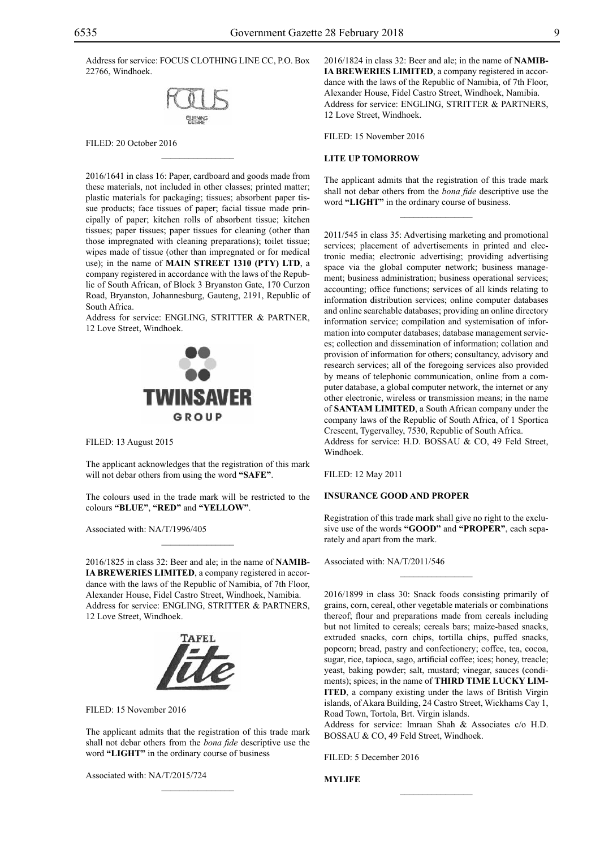Address for service: FOCUS CLOTHING LINE CC, P.O. Box 22766, Windhoek.



 $\mathcal{L}=\mathcal{L}^{\mathcal{L}}$ 

FILED: 20 October 2016

2016/1641 in class 16: Paper, cardboard and goods made from these materials, not included in other classes; printed matter; plastic materials for packaging; tissues; absorbent paper tissue products; face tissues of paper; facial tissue made principally of paper; kitchen rolls of absorbent tissue; kitchen tissues; paper tissues; paper tissues for cleaning (other than those impregnated with cleaning preparations); toilet tissue; wipes made of tissue (other than impregnated or for medical use); in the name of **MAIN STREET 1310 (PTY) LTD**, a company registered in accordance with the laws of the Republic of South African, of Block 3 Bryanston Gate, 170 Curzon Road, Bryanston, Johannesburg, Gauteng, 2191, Republic of South Africa.

Address for service: ENGLING, STRITTER & PARTNER, 12 Love Street, Windhoek.



Filed: 13 August 2015

The applicant acknowledges that the registration of this mark will not debar others from using the word **"SAFE"**.

The colours used in the trade mark will be restricted to the colours **"BLUE"**, **"RED"** and **"YELLOW"**.

 $\mathcal{L}=\mathcal{L}^{\mathcal{L}}$ 

Associated with: NA/T/1996/405

2016/1825 in class 32: Beer and ale; in the name of **NAMIB-IA BREWERIES LIMITED**, a company registered in accordance with the laws of the Republic of Namibia, of 7th Floor, Alexander House, Fidel Castro Street, Windhoek, Namibia. Address for service: ENGLING, STRITTER & PARTNERS, 12 Love Street, Windhoek.



Filed: 15 November 2016

The applicant admits that the registration of this trade mark shall not debar others from the *bona fide* descriptive use the word **"LIGHT"** in the ordinary course of business

 $\mathcal{L}=\mathcal{L}^{\mathcal{L}}$ 

Associated with: NA/T/2015/724

2016/1824 in class 32: Beer and ale; in the name of **NAMIB-IA BREWERIES LIMITED**, a company registered in accordance with the laws of the Republic of Namibia, of 7th Floor, Alexander House, Fidel Castro Street, Windhoek, Namibia. Address for service: ENGLING, STRITTER & PARTNERS, 12 Love Street, Windhoek.

Filed: 15 November 2016

#### **LITE UP TOMORROW**

The applicant admits that the registration of this trade mark shall not debar others from the *bona fide* descriptive use the word **"LIGHT"** in the ordinary course of business.

 $\overline{\phantom{a}}$  , where  $\overline{\phantom{a}}$ 

2011/545 in class 35: Advertising marketing and promotional services; placement of advertisements in printed and electronic media; electronic advertising; providing advertising space via the global computer network; business management; business administration; business operational services; accounting; office functions; services of all kinds relating to information distribution services; online computer databases and online searchable databases; providing an online directory information service; compilation and systemisation of information into computer databases; database management services; collection and dissemination of information; collation and provision of information for others; consultancy, advisory and research services; all of the foregoing services also provided by means of telephonic communication, online from a computer database, a global computer network, the internet or any other electronic, wireless or transmission means; in the name of **SANTAM LIMITED**, a South African company under the company laws of the Republic of South Africa, of 1 Sportica Crescent, Tygervalley, 7530, Republic of South Africa. Address for service: H.D. BOSSAU & CO, 49 Feld Street, Windhoek.

Filed: 12 May 2011

## **INSURANCE GOOD AND PROPER**

Registration of this trade mark shall give no right to the exclusive use of the words **"GOOD"** and **"PROPER"**, each separately and apart from the mark.

 $\frac{1}{2}$ 

Associated with: NA/T/2011/546

2016/1899 in class 30: Snack foods consisting primarily of grains, corn, cereal, other vegetable materials or combinations thereof; flour and preparations made from cereals including but not limited to cereals; cereals bars; maize-based snacks, extruded snacks, corn chips, tortilla chips, puffed snacks, popcorn; bread, pastry and confectionery; coffee, tea, cocoa, sugar, rice, tapioca, sago, artificial coffee; ices; honey, treacle; yeast, baking powder; salt, mustard; vinegar, sauces (condiments); spices; in the name of **THIRD TIME LUCKY LIM-ITED**, a company existing under the laws of British Virgin islands, of Akara Building, 24 Castro Street, Wickhams Cay 1, Road Town, Tortola, Brt. Virgin islands.

Address for service: lmraan Shah & Associates c/o H.D. BOSSAU & CO, 49 Feld Street, Windhoek.

 $\frac{1}{2}$ 

FILED: 5 December 2016

**MYLIFE**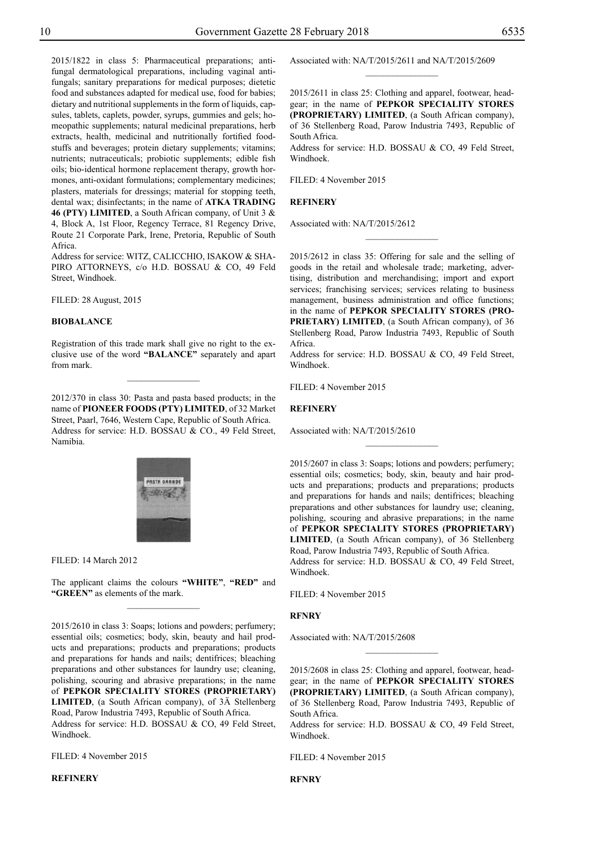2015/1822 in class 5: Pharmaceutical preparations; antifungal dermatological preparations, including vaginal antifungals; sanitary preparations for medical purposes; dietetic food and substances adapted for medical use, food for babies; dietary and nutritional supplements in the form of liquids, capsules, tablets, caplets, powder, syrups, gummies and gels; homeopathic supplements; natural medicinal preparations, herb extracts, health, medicinal and nutritionally fortified foodstuffs and beverages; protein dietary supplements; vitamins; nutrients; nutraceuticals; probiotic supplements; edible fish oils; bio-identical hormone replacement therapy, growth hormones, anti-oxidant formulations; complementary medicines; plasters, materials for dressings; material for stopping teeth, dental wax; disinfectants; in the name of **ATKA TRADING 46 (PTY) LIMITED**, a South African company, of Unit 3 & 4, Block A, 1st Floor, Regency Terrace, 81 Regency Drive, Route 21 Corporate Park, Irene, Pretoria, Republic of South Africa.

Address for service: WITZ, CALICCHIO, ISAKOW & SHApiro Attorneys, c/o H.D. Bossau & Co, 49 Feld Street, Windhoek.

Filed: 28 August, 2015

#### **BIOBALANCE**

Registration of this trade mark shall give no right to the exclusive use of the word **"BALANCE"** separately and apart from mark.

 $\overline{\phantom{a}}$  , where  $\overline{\phantom{a}}$ 

2012/370 in class 30: Pasta and pasta based products; in the name of **PIONEER FOODS (PTY) LIMITED**, of 32 Market Street, Paarl, 7646, Western Cape, Republic of South Africa. Address for service: H.D. BOSSAU & CO., 49 Feld Street, Namibia.



Filed: 14 March 2012

The applicant claims the colours **"WHITE"**, **"RED"** and "GREEN" as elements of the mark.  $\frac{1}{2}$ 

2015/2610 in class 3: Soaps; lotions and powders; perfumery; essential oils; cosmetics; body, skin, beauty and hail products and preparations; products and preparations; products and preparations for hands and nails; dentifrices; bleaching preparations and other substances for laundry use; cleaning, polishing, scouring and abrasive preparations; in the name of **PEPKOR SPECIALITY STORES (PROPRIETARY) LIMITED**, (a South African company), of 3Ä Stellenberg Road, Parow Industria 7493, Republic of South Africa. Address for service: H.D. BOSSAU & CO, 49 Feld Street, Windhoek.

Filed: 4 November 2015

## **REFINERY**

Associated with: NA/T/2015/2611 and NA/T/2015/2609

2015/2611 in class 25: Clothing and apparel, footwear, headgear; in the name of **PEPKOR SPECIALITY STORES (PROPRIETARY) LIMITED**, (a South African company), of 36 Stellenberg Road, Parow Industria 7493, Republic of South Africa.

 $\frac{1}{2}$ 

Address for service: H.D. BOSSAU & CO, 49 Feld Street, Windhoek.

Filed: 4 November 2015

#### **REFINERY**

Associated with: NA/T/2015/2612

2015/2612 in class 35: Offering for sale and the selling of goods in the retail and wholesale trade; marketing, advertising, distribution and merchandising; import and export services; franchising services; services relating to business management, business administration and office functions; in the name of **PEPKOR SPECIALITY STORES (PRO-PRIETARY) LIMITED**, (a South African company), of 36 Stellenberg Road, Parow Industria 7493, Republic of South Africa.

 $\frac{1}{2}$ 

Address for service: H.D. BOSSAU & CO, 49 Feld Street, Windhoek.

Filed: 4 November 2015

#### **REFINERY**

Associated with: NA/T/2015/2610

2015/2607 in class 3: Soaps; lotions and powders; perfumery; essential oils; cosmetics; body, skin, beauty and hair products and preparations; products and preparations; products and preparations for hands and nails; dentifrices; bleaching preparations and other substances for laundry use; cleaning, polishing, scouring and abrasive preparations; in the name of **PEPKOR SPECIALITY STORES (PROPRIETARY) LIMITED**, (a South African company), of 36 Stellenberg Road, Parow Industria 7493, Republic of South Africa.

 $\overline{\phantom{a}}$  , where  $\overline{\phantom{a}}$ 

Address for service: H.D. BOSSAU & CO, 49 Feld Street, Windhoek.

Filed: 4 November 2015

#### **RFNRY**

Associated with: NA/T/2015/2608

2015/2608 in class 25: Clothing and apparel, footwear, headgear; in the name of **PEPKOR SPECIALITY STORES (PROPRIETARY) LIMITED**, (a South African company), of 36 Stellenberg Road, Parow Industria 7493, Republic of South Africa.

 $\frac{1}{2}$ 

Address for service: H.D. BOSSAU & CO, 49 Feld Street, Windhoek.

Filed: 4 November 2015

**RFNRY**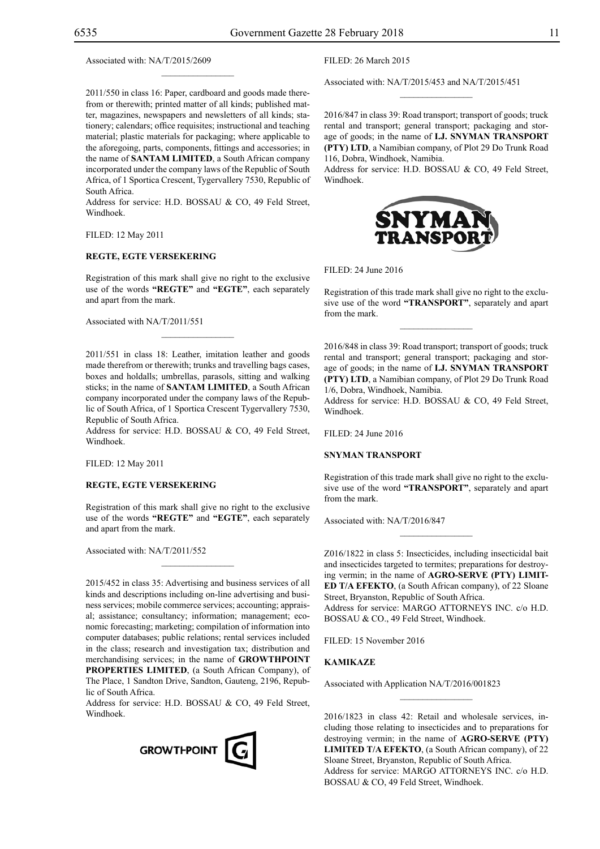Associated with: NA/T/2015/2609

2011/550 in class 16: Paper, cardboard and goods made therefrom or therewith; printed matter of all kinds; published matter, magazines, newspapers and newsletters of all kinds; stationery; calendars; office requisites; instructional and teaching material; plastic materials for packaging; where applicable to the aforegoing, parts, components, fittings and accessories; in the name of **SANTAM LIMITED**, a South African company incorporated under the company laws of the Republic of South Africa, of 1 Sportica Crescent, Tygervallery 7530, Republic of South Africa.

 $\mathcal{L}=\mathcal{L}^{\mathcal{L}}$ 

Address for service: H.D. BOSSAU & CO, 49 Feld Street, Windhoek.

Filed: 12 May 2011

## **REGTE, EGTE VERSEKERING**

Registration of this mark shall give no right to the exclusive use of the words **"REGTE"** and **"EGTE"**, each separately and apart from the mark.

 $\mathcal{L}=\mathcal{L}^{\mathcal{L}}$ 

Associated with NA/T/2011/551

2011/551 in class 18: Leather, imitation leather and goods made therefrom or therewith; trunks and travelling bags cases, boxes and holdalls; umbrellas, parasols, sitting and walking sticks; in the name of **SANTAM LIMITED**, a South African company incorporated under the company laws of the Republic of South Africa, of 1 Sportica Crescent Tygervallery 7530, Republic of South Africa.

Address for service: H.D. BOSSAU & CO, 49 Feld Street, Windhoek.

Filed: 12 May 2011

#### **REGTE, EGTE VERSEKERING**

Registration of this mark shall give no right to the exclusive use of the words **"REGTE"** and **"EGTE"**, each separately and apart from the mark.

Associated with: NA/T/2011/552

2015/452 in class 35: Advertising and business services of all kinds and descriptions including on-line advertising and business services; mobile commerce services; accounting; appraisal; assistance; consultancy; information; management; economic forecasting; marketing; compilation of information into computer databases; public relations; rental services included in the class; research and investigation tax; distribution and merchandising services; in the name of **GROWTHPOINT PROPERTIES LIMITED**, (a South African Company), of The Place, 1 Sandton Drive, Sandton, Gauteng, 2196, Republic of South Africa.

Address for service: H.D. BOSSAU & CO, 49 Feld Street, Windhoek.



Filed: 26 March 2015

Associated with: NA/T/2015/453 and NA/T/2015/451

2016/847 in class 39: Road transport; transport of goods; truck rental and transport; general transport; packaging and storage of goods; in the name of **I.J. SNYMAN TRANSPORT (PTY) LTD**, a Namibian company, of Plot 29 Do Trunk Road 116, Dobra, Windhoek, Namibia.

 $\overline{\phantom{a}}$  , we can also the set of  $\overline{\phantom{a}}$ 

Address for service: H.D. BOSSAU & CO, 49 Feld Street, Windhoek.



Filed: 24 June 2016

Registration of this trade mark shall give no right to the exclusive use of the word **"TRANSPORT"**, separately and apart from the mark.

 $\frac{1}{2}$ 

2016/848 in class 39: Road transport; transport of goods; truck rental and transport; general transport; packaging and storage of goods; in the name of **I.J. SNYMAN TRANSPORT (PTY) LTD**, a Namibian company, of Plot 29 Do Trunk Road 1/6, Dobra, Windhoek, Namibia.

Address for service: H.D. BOSSAU & CO, 49 Feld Street, Windhoek.

 $FILED: 24 June 2016$ 

#### **SNYMAN TRANSPORT**

Registration of this trade mark shall give no right to the exclusive use of the word **"TRANSPORT"**, separately and apart from the mark.

 $\overline{\phantom{a}}$  , we can also the set of  $\overline{\phantom{a}}$ 

Associated with: NA/T/2016/847

Z016/1822 in class 5: Insecticides, including insecticidal bait and insecticides targeted to termites; preparations for destroying vermin; in the name of **AGRO-SERVE (PTY) LIMIT-ED T/A EFEKTO**, (a South African company), of 22 Sloane Street, Bryanston, Republic of South Africa. Address for service: MARGO ATTORNEYS INC. c/o H.D. BOSSAU & CO., 49 Feld Street, Windhoek.

Filed: 15 November 2016

## **KAMIKAZE**

Associated with Application NA/T/2016/001823

2016/1823 in class 42: Retail and wholesale services, including those relating to insecticides and to preparations for destroying vermin; in the name of **AGRO-SERVE (PTY) LIMITED T/A EFEKTO**, (a South African company), of 22 Sloane Street, Bryanston, Republic of South Africa. Address for service: MARGO ATTORNEYS INC. c/o H.D. BOSSAU & CO, 49 Feld Street, Windhoek.

 $\frac{1}{2}$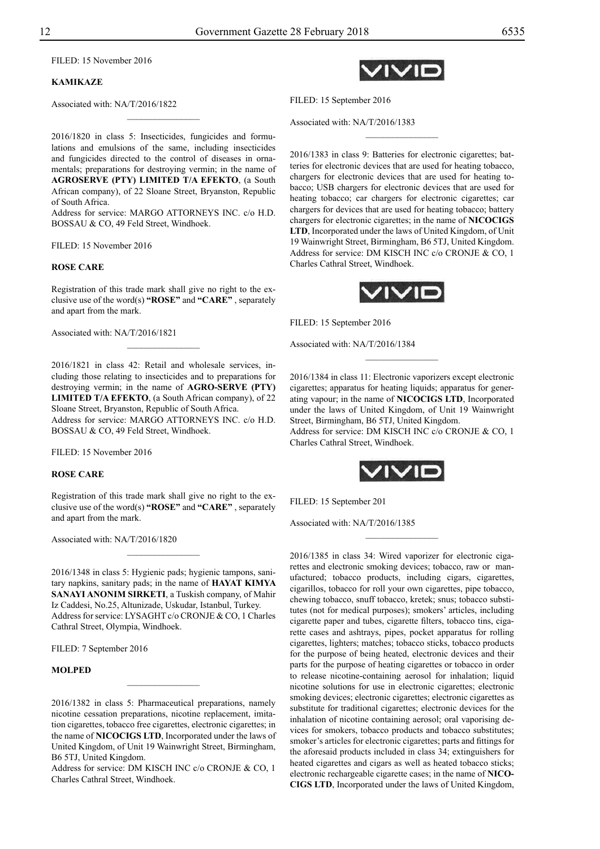Filed: 15 November 2016

## **KAMIKAZE**

Associated with: NA/T/2016/1822

2016/1820 in class 5: Insecticides, fungicides and formulations and emulsions of the same, including insecticides and fungicides directed to the control of diseases in ornamentals; preparations for destroying vermin; in the name of **AGROSERVE (PTY) LIMITED T/A EFEKTO**, (a South African company), of 22 Sloane Street, Bryanston, Republic of South Africa.

 $\frac{1}{2}$ 

Address for service: MARGO ATTORNEYS INC. c/o H.D. BOSSAU & CO, 49 Feld Street, Windhoek.

Filed: 15 November 2016

#### **ROSE CARE**

Registration of this trade mark shall give no right to the exclusive use of the word(s) **"ROSE"** and **"CARE"** , separately and apart from the mark.

Associated with: NA/T/2016/1821

2016/1821 in class 42: Retail and wholesale services, including those relating to insecticides and to preparations for destroying vermin; in the name of **AGRO-SERVE (PTY) LIMITED T/A EFEKTO**, (a South African company), of 22 Sloane Street, Bryanston, Republic of South Africa.

Address for service: MARGO ATTORNEYS INC. c/o H.D. BOSSAU & CO, 49 Feld Street, Windhoek.

Filed: 15 November 2016

#### **ROSE CARE**

Registration of this trade mark shall give no right to the exclusive use of the word(s) **"ROSE"** and **"CARE"** , separately and apart from the mark.

 $\overline{\phantom{a}}$  , where  $\overline{\phantom{a}}$ 

Associated with: NA/T/2016/1820

2016/1348 in class 5: Hygienic pads; hygienic tampons, sanitary napkins, sanitary pads; in the name of **HAYAT KIMYA SANAYI ANONIM SIRKETI**, a Tuskish company, of Mahir Iz Caddesi, No.25, Altunizade, Uskudar, Istanbul, Turkey. Address for service: LYSAGHT c/o CRONJE & CO, 1 Charles Cathral Street, Olympia, Windhoek.

FILED: 7 September 2016

## **MOLPED**

 $\frac{1}{2}$ 

Address for service: DM KISCH INC c/o CRONJE & CO, 1 Charles Cathral Street, Windhoek.

 $\prime$  IV IE

FILED: 15 September 2016

Associated with: NA/T/2016/1383

2016/1383 in class 9: Batteries for electronic cigarettes; batteries for electronic devices that are used for heating tobacco, chargers for electronic devices that are used for heating tobacco; USB chargers for electronic devices that are used for heating tobacco; car chargers for electronic cigarettes; car chargers for devices that are used for heating tobacco; battery chargers for electronic cigarettes; in the name of **NICOCIGS LTD**, Incorporated under the laws of United Kingdom, of Unit 19 Wainwright Street, Birmingham, B6 5TJ, United Kingdom. Address for service: DM KISCH INC c/o CRONJE & CO, 1 Charles Cathral Street, Windhoek.

 $\frac{1}{2}$ 



FILED: 15 September 2016

Associated with: NA/T/2016/1384

2016/1384 in class 11: Electronic vaporizers except electronic cigarettes; apparatus for heating liquids; apparatus for generating vapour; in the name of **NICOCIGS LTD**, Incorporated under the laws of United Kingdom, of Unit 19 Wainwright Street, Birmingham, B6 5TJ, United Kingdom.

 $\frac{1}{2}$ 

Address for service: DM KISCH INC c/o CRONJE & CO, 1 Charles Cathral Street, Windhoek.



 $\frac{1}{2}$ 

Filed: 15 September 201

Associated with: NA/T/2016/1385

2016/1385 in class 34: Wired vaporizer for electronic cigarettes and electronic smoking devices; tobacco, raw or manufactured; tobacco products, including cigars, cigarettes, cigarillos, tobacco for roll your own cigarettes, pipe tobacco, chewing tobacco, snuff tobacco, kretek; snus; tobacco substitutes (not for medical purposes); smokers' articles, including cigarette paper and tubes, cigarette filters, tobacco tins, cigarette cases and ashtrays, pipes, pocket apparatus for rolling cigarettes, lighters; matches; tobacco sticks, tobacco products for the purpose of being heated, electronic devices and their parts for the purpose of heating cigarettes or tobacco in order to release nicotine-containing aerosol for inhalation; liquid nicotine solutions for use in electronic cigarettes; electronic smoking devices; electronic cigarettes; electronic cigarettes as substitute for traditional cigarettes; electronic devices for the inhalation of nicotine containing aerosol; oral vaporising devices for smokers, tobacco products and tobacco substitutes; smoker's articles for electronic cigarettes; parts and fittings for the aforesaid products included in class 34; extinguishers for heated cigarettes and cigars as well as heated tobacco sticks; electronic rechargeable cigarette cases; in the name of **NICO-CIGS LTD**, Incorporated under the laws of United Kingdom,

<sup>2016/1382</sup> in class 5: Pharmaceutical preparations, namely nicotine cessation preparations, nicotine replacement, imitation cigarettes, tobacco free cigarettes, electronic cigarettes; in the name of **NICOCIGS LTD**, Incorporated under the laws of United Kingdom, of Unit 19 Wainwright Street, Birmingham, B6 5TJ, United Kingdom.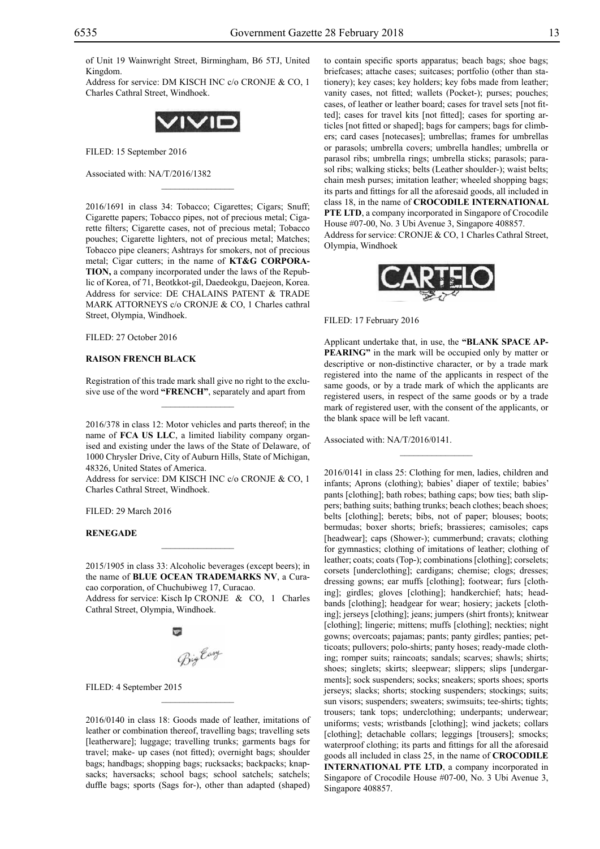of Unit 19 Wainwright Street, Birmingham, B6 5TJ, United Kingdom.

Address for service: DM KISCH INC c/o CRONJE & CO, 1 Charles Cathral Street, Windhoek.



 $\mathcal{L}=\mathcal{L}^{\mathcal{L}}$ 

FILED: 15 September 2016

Associated with: NA/T/2016/1382

2016/1691 in class 34: Tobacco; Cigarettes; Cigars; Snuff; Cigarette papers; Tobacco pipes, not of precious metal; Cigarette filters; Cigarette cases, not of precious metal; Tobacco pouches; Cigarette lighters, not of precious metal; Matches; Tobacco pipe cleaners; Ashtrays for smokers, not of precious metal; Cigar cutters; in the name of **KT&G CORPORA-TION,** a company incorporated under the laws of the Republic of Korea, of 71, Beotkkot-gil, Daedeokgu, Daejeon, Korea. Address for service: DE CHALAINS PATENT & TRADE MARK ATTORNEYS c/o CRONJE & CO, 1 Charles cathral Street, Olympia, Windhoek.

FILED: 27 October 2016

## **RAISON FRENCH BLACK**

Registration of this trade mark shall give no right to the exclusive use of the word **"FRENCH"**, separately and apart from  $\mathcal{L}=\mathcal{L}^{\mathcal{L}}$ 

2016/378 in class 12: Motor vehicles and parts thereof; in the name of **FCA US LLC**, a limited liability company organised and existing under the laws of the State of Delaware, of 1000 Chrysler Drive, City of Auburn Hills, State of Michigan, 48326, United States of America.

Address for service: DM KISCH INC c/o CRONJE & CO, 1 Charles Cathral Street, Windhoek.

Filed: 29 March 2016

#### **RENEGADE**

2015/1905 in class 33: Alcoholic beverages (except beers); in the name of **BLUE OCEAN TRADEMARKS NV**, a Curacao corporation, of Chuchubiweg 17, Curacao.

 $\overline{\phantom{a}}$  , where  $\overline{\phantom{a}}$ 

Address for service: Kisch Ip CRONJE & CO, 1 Charles Cathral Street, Olympia, Windhoek.

BigEary

FILED: 4 September 2015

2016/0140 in class 18: Goods made of leather, imitations of leather or combination thereof, travelling bags; travelling sets [leatherware]; luggage; travelling trunks; garments bags for travel; make- up cases (not fitted); overnight bags; shoulder bags; handbags; shopping bags; rucksacks; backpacks; knapsacks; haversacks; school bags; school satchels; satchels; duffle bags; sports (Sags for-), other than adapted (shaped)

 $\mathcal{L}=\mathcal{L}^{\mathcal{L}}$ 

to contain specific sports apparatus; beach bags; shoe bags; briefcases; attache cases; suitcases; portfolio (other than stationery); key cases; key holders; key fobs made from leather; vanity cases, not fitted; wallets (Pocket-); purses; pouches; cases, of leather or leather board; cases for travel sets [not fitted]; cases for travel kits [not fitted]; cases for sporting articles [not fitted or shaped]; bags for campers; bags for climbers; card cases [notecases]; umbrellas; frames for umbrellas or parasols; umbrella covers; umbrella handles; umbrella or parasol ribs; umbrella rings; umbrella sticks; parasols; parasol ribs; walking sticks; belts (Leather shoulder-); waist belts; chain mesh purses; imitation leather; wheeled shopping bags; its parts and fittings for all the aforesaid goods, all included in class 18, in the name of **CROCODILE INTERNATIONAL PTE LTD**, a company incorporated in Singapore of Crocodile House #07-00, No. 3 Ubi Avenue 3, Singapore 408857. Address for service: CRONJE & CO, 1 Charles Cathral Street, Olympia, Windhoek



Filed: 17 February 2016

Applicant undertake that, in use, the **"BLANK SPACE AP-PEARING"** in the mark will be occupied only by matter or descriptive or non-distinctive character, or by a trade mark registered into the name of the applicants in respect of the same goods, or by a trade mark of which the applicants are registered users, in respect of the same goods or by a trade mark of registered user, with the consent of the applicants, or the blank space will be left vacant.

 $\frac{1}{2}$ 

Associated with: NA/T/2016/0141.

2016/0141 in class 25: Clothing for men, ladies, children and infants; Aprons (clothing); babies' diaper of textile; babies' pants [clothing]; bath robes; bathing caps; bow ties; bath slippers; bathing suits; bathing trunks; beach clothes; beach shoes; belts [clothing]; berets; bibs, not of paper; blouses; boots; bermudas; boxer shorts; briefs; brassieres; camisoles; caps [headwear]; caps (Shower-); cummerbund; cravats; clothing for gymnastics; clothing of imitations of leather; clothing of leather; coats; coats (Top-); combinations [clothing]; corselets; corsets [underclothing]; cardigans; chemise; clogs; dresses; dressing gowns; ear muffs [clothing]; footwear; furs [clothing]; girdles; gloves [clothing]; handkerchief; hats; headbands [clothing]; headgear for wear; hosiery; jackets [clothing]; jerseys [clothing]; jeans; jumpers (shirt fronts); knitwear [clothing]; lingerie; mittens; muffs [clothing]; neckties; night gowns; overcoats; pajamas; pants; panty girdles; panties; petticoats; pullovers; polo-shirts; panty hoses; ready-made clothing; romper suits; raincoats; sandals; scarves; shawls; shirts; shoes; singlets; skirts; sleepwear; slippers; slips [undergarments]; sock suspenders; socks; sneakers; sports shoes; sports jerseys; slacks; shorts; stocking suspenders; stockings; suits; sun visors; suspenders; sweaters; swimsuits; tee-shirts; tights; trousers; tank tops; underclothing; underpants; underwear; uniforms; vests; wristbands [clothing]; wind jackets; collars [clothing]; detachable collars; leggings [trousers]; smocks; waterproof clothing; its parts and fittings for all the aforesaid goods all included in class 25, in the name of **CROCODILE INTERNATIONAL PTE LTD**, a company incorporated in Singapore of Crocodile House #07-00, No. 3 Ubi Avenue 3, Singapore 408857.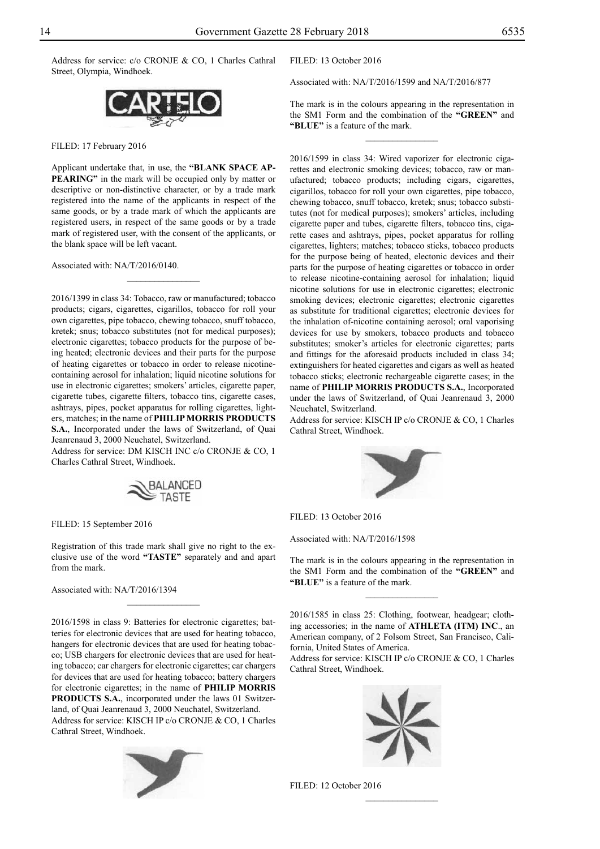Address for service: c/o CRONJE & CO, 1 Charles Cathral Street, Olympia, Windhoek.



FILED: 17 February 2016

Applicant undertake that, in use, the **"BLANK SPACE AP-PEARING"** in the mark will be occupied only by matter or descriptive or non-distinctive character, or by a trade mark registered into the name of the applicants in respect of the same goods, or by a trade mark of which the applicants are registered users, in respect of the same goods or by a trade mark of registered user, with the consent of the applicants, or the blank space will be left vacant.

 $\frac{1}{2}$ 

Associated with: NA/T/2016/0140.

2016/1399 in class 34: Tobacco, raw or manufactured; tobacco products; cigars, cigarettes, cigarillos, tobacco for roll your own cigarettes, pipe tobacco, chewing tobacco, snuff tobacco, kretek; snus; tobacco substitutes (not for medical purposes); electronic cigarettes; tobacco products for the purpose of being heated; electronic devices and their parts for the purpose of heating cigarettes or tobacco in order to release nicotinecontaining aerosol for inhalation; liquid nicotine solutions for use in electronic cigarettes; smokers' articles, cigarette paper, cigarette tubes, cigarette filters, tobacco tins, cigarette cases, ashtrays, pipes, pocket apparatus for rolling cigarettes, lighters, matches; in the name of **PHILIP MORRIS PRODUCTS S.A.**, Incorporated under the laws of Switzerland, of Quai Jeanrenaud 3, 2000 Neuchatel, Switzerland.

Address for service: DM KISCH INC c/o CRONJE & CO, 1 Charles Cathral Street, Windhoek.



FILED: 15 September 2016

Registration of this trade mark shall give no right to the exclusive use of the word **"TASTE"** separately and and apart from the mark.

 $\frac{1}{2}$ 

Associated with: NA/T/2016/1394

2016/1598 in class 9: Batteries for electronic cigarettes; batteries for electronic devices that are used for heating tobacco, hangers for electronic devices that are used for heating tobacco; USB chargers for electronic devices that are used for heating tobacco; car chargers for electronic cigarettes; car chargers for devices that are used for heating tobacco; battery chargers for electronic cigarettes; in the name of **PHILIP MORRIS PRODUCTS S.A.**, incorporated under the laws 01 Switzerland, of Quai Jeanrenaud 3, 2000 Neuchatel, Switzerland. Address for service: KISCH IP c/o CRONJE & CO, 1 Charles Cathral Street, Windhoek.



FILED: 13 October 2016

Associated with: NA/T/2016/1599 and NA/T/2016/877

The mark is in the colours appearing in the representation in the SM1 Form and the combination of the **"GREEN"** and **"BLUE"** is a feature of the mark.

 $\frac{1}{2}$ 

2016/1599 in class 34: Wired vaporizer for electronic cigarettes and electronic smoking devices; tobacco, raw or manufactured; tobacco products; including cigars, cigarettes, cigarillos, tobacco for roll your own cigarettes, pipe tobacco, chewing tobacco, snuff tobacco, kretek; snus; tobacco substitutes (not for medical purposes); smokers' articles, including cigarette paper and tubes, cigarette filters, tobacco tins, cigarette cases and ashtrays, pipes, pocket apparatus for rolling cigarettes, lighters; matches; tobacco sticks, tobacco products for the purpose being of heated, electonic devices and their parts for the purpose of heating cigarettes or tobacco in order to release nicotine-containing aerosol for inhalation; liquid nicotine solutions for use in electronic cigarettes; electronic smoking devices; electronic cigarettes; electronic cigarettes as substitute for traditional cigarettes; electronic devices for the inhalation of-nicotine containing aerosol; oral vaporising devices for use by smokers, tobacco products and tobacco substitutes; smoker's articles for electronic cigarettes; parts and fittings for the aforesaid products included in class 34; extinguishers for heated cigarettes and cigars as well as heated tobacco sticks; electronic rechargeable cigarette cases; in the name of **PHILIP MORRIS PRODUCTS S.A.**, Incorporated under the laws of Switzerland, of Quai Jeanrenaud 3, 2000 Neuchatel, Switzerland.

Address for service: KISCH IP c/o CRONJE & CO, 1 Charles Cathral Street, Windhoek.



FILED: 13 October 2016

Associated with: NA/T/2016/1598

The mark is in the colours appearing in the representation in the SM1 Form and the combination of the **"GREEN"** and **"BLUE"** is a feature of the mark.

2016/1585 in class 25: Clothing, footwear, headgear; clothing accessories; in the name of **ATHLETA (ITM) INC**., an American company, of 2 Folsom Street, San Francisco, California, United States of America.

Address for service: KISCH IP c/o CRONJE & CO, 1 Charles Cathral Street, Windhoek.



 $\frac{1}{2}$ 

FILED: 12 October 2016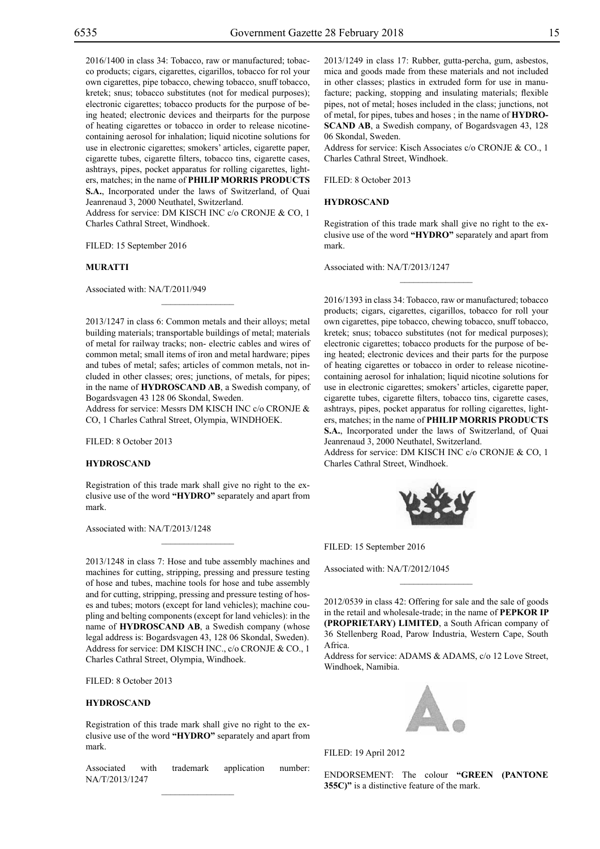2016/1400 in class 34: Tobacco, raw or manufactured; tobacco products; cigars, cigarettes, cigarillos, tobacco for rol your own cigarettes, pipe tobacco, chewing tobacco, snuff tobacco, kretek; snus; tobacco substitutes (not for medical purposes); electronic cigarettes; tobacco products for the purpose of being heated; electronic devices and theirparts for the purpose of heating cigarettes or tobacco in order to release nicotinecontaining aerosol for inhalation; liquid nicotine solutions for use in electronic cigarettes; smokers' articles, cigarette paper, cigarette tubes, cigarette filters, tobacco tins, cigarette cases, ashtrays, pipes, pocket apparatus for rolling cigarettes, lighters, matches; in the name of **PHILIP MORRIS PRODUCTS S.A.**, Incorporated under the laws of Switzerland, of Quai Jeanrenaud 3, 2000 Neuthatel, Switzerland.

Address for service: DM KISCH INC c/o CRONJE & CO, 1 Charles Cathral Street, Windhoek.

FILED: 15 September 2016

#### **MURATTI**

Associated with: NA/T/2011/949

2013/1247 in class 6: Common metals and their alloys; metal building materials; transportable buildings of metal; materials of metal for railway tracks; non- electric cables and wires of common metal; small items of iron and metal hardware; pipes and tubes of metal; safes; articles of common metals, not included in other classes; ores; junctions, of metals, for pipes; in the name of **HYDROSCAND AB**, a Swedish company, of Bogardsvagen 43 128 06 Skondal, Sweden.

 $\mathcal{L}=\mathcal{L}^{\mathcal{L}}$ 

Address for service: Messrs DM KISCH INC c/o CRONJE & Co, 1 Charles Cathral Street, Olympia, WINDHOEK.

FILED: 8 October 2013

#### **HYDROSCAND**

Registration of this trade mark shall give no right to the exclusive use of the word **"HYDRO"** separately and apart from mark.

 $\mathcal{L}=\mathcal{L}^{\mathcal{L}}$ 

Associated with: NA/T/2013/1248

2013/1248 in class 7: Hose and tube assembly machines and machines for cutting, stripping, pressing and pressure testing of hose and tubes, machine tools for hose and tube assembly and for cutting, stripping, pressing and pressure testing of hoses and tubes; motors (except for land vehicles); machine coupling and belting components (except for land vehicles): in the name of **HYDROSCAND AB**, a Swedish company (whose legal address is: Bogardsvagen 43, 128 06 Skondal, Sweden). Address for service: DM KISCH INC., c/o CRONJE & CO., 1 Charles Cathral Street, Olympia, Windhoek.

Filed: 8 October 2013

## **HYDROSCAND**

Registration of this trade mark shall give no right to the exclusive use of the word **"HYDRO"** separately and apart from mark.

Associated with trademark application number: NA/T/2013/1247  $\mathcal{L}=\mathcal{L}^{\mathcal{L}}$ 

2013/1249 in class 17: Rubber, gutta-percha, gum, asbestos, mica and goods made from these materials and not included in other classes; plastics in extruded form for use in manufacture; packing, stopping and insulating materials; flexible pipes, not of metal; hoses included in the class; junctions, not of metal, for pipes, tubes and hoses ; in the name of **HYDRO-SCAND AB**, a Swedish company, of Bogardsvagen 43, 128 06 Skondal, Sweden.

Address for service: Kisch Associates c/o CRONJE & CO., 1 Charles Cathral Street, Windhoek.

Filed: 8 October 2013

#### **HYDROSCAND**

Registration of this trade mark shall give no right to the exclusive use of the word **"HYDRO"** separately and apart from mark.

 $\frac{1}{2}$ 

Associated with: NA/T/2013/1247

2016/1393 in class 34: Tobacco, raw or manufactured; tobacco products; cigars, cigarettes, cigarillos, tobacco for roll your own cigarettes, pipe tobacco, chewing tobacco, snuff tobacco, kretek; snus; tobacco substitutes (not for medical purposes); electronic cigarettes; tobacco products for the purpose of being heated; electronic devices and their parts for the purpose of heating cigarettes or tobacco in order to release nicotinecontaining aerosol for inhalation; liquid nicotine solutions for use in electronic cigarettes; smokers' articles, cigarette paper, cigarette tubes, cigarette filters, tobacco tins, cigarette cases, ashtrays, pipes, pocket apparatus for rolling cigarettes, lighters, matches; in the name of **PHILIP MORRIS PRODUCTS S.A.**, Incorporated under the laws of Switzerland, of Quai Jeanrenaud 3, 2000 Neuthatel, Switzerland. Address for service: DM KISCH INC c/o CRONJE & CO, 1 Charles Cathral Street, Windhoek.



FILED: 15 September 2016

Associated with: NA/T/2012/1045

2012/0539 in class 42: Offering for sale and the sale of goods in the retail and wholesale-trade; in the name of **PEPKOR IP (PROPRIETARY) LIMITED**, a South African company of 36 Stellenberg Road, Parow Industria, Western Cape, South Africa.

 $\frac{1}{2}$ 

Address for service: ADAMS & ADAMS, c/o 12 Love Street, Windhoek, Namibia.



FILED: 19 April 2012

ENDORSEMENT: The colour **"green (Pantone 355C)"** is a distinctive feature of the mark.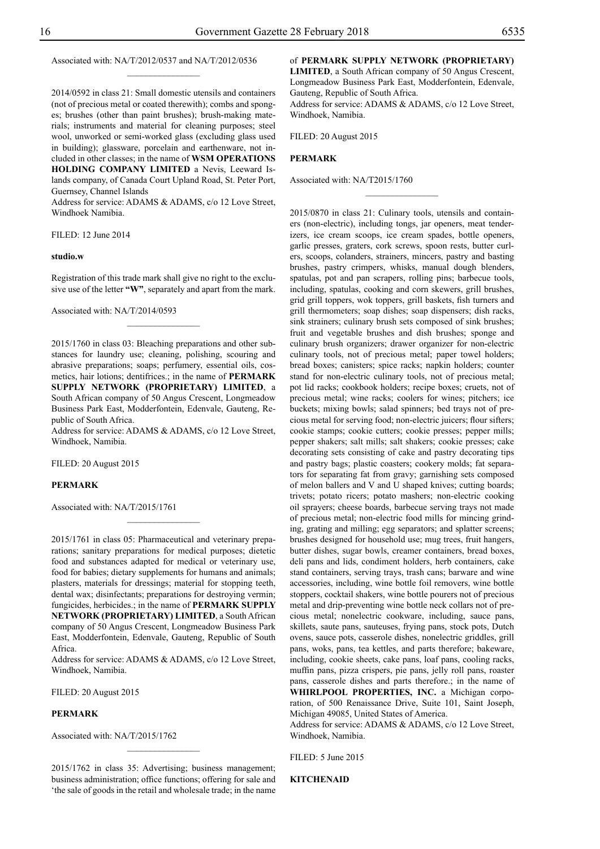Associated with: NA/T/2012/0537 and NA/T/2012/0536

 $\frac{1}{2}$ 

2014/0592 in class 21: Small domestic utensils and containers (not of precious metal or coated therewith); combs and sponges; brushes (other than paint brushes); brush-making materials; instruments and material for cleaning purposes; steel wool, unworked or semi-worked glass (excluding glass used in building); glassware, porcelain and earthenware, not included in other classes; in the name of **WSM OPERATIONS HOLDING COMPANY LIMITED** a Nevis, Leeward Islands company, of Canada Court Upland Road, St. Peter Port, Guernsey, Channel Islands

Address for service: ADAMS & ADAMS, c/o 12 Love Street, Windhoek Namibia.

FILED: 12 June 2014

#### **studio.w**

Registration of this trade mark shall give no right to the exclusive use of the letter **"W"**, separately and apart from the mark.

 $\overline{\phantom{a}}$  , where  $\overline{\phantom{a}}$ 

Associated with: NA/T/2014/0593

2015/1760 in class 03: Bleaching preparations and other substances for laundry use; cleaning, polishing, scouring and abrasive preparations; soaps; perfumery, essential oils, cosmetics, hair lotions; dentifrices.; in the name of **PERMARK SUPPLY NETWORK (PROPRIETARY) LIMITED**, a South African company of 50 Angus Crescent, Longmeadow Business Park East, Modderfontein, Edenvale, Gauteng, Republic of South Africa.

Address for service: ADAMS & ADAMS, c/o 12 Love Street, Windhoek, Namibia.

FILED: 20 August 2015

## **PERMARK**

Associated with: NA/T/2015/1761

2015/1761 in class 05: Pharmaceutical and veterinary preparations; sanitary preparations for medical purposes; dietetic food and substances adapted for medical or veterinary use, food for babies; dietary supplements for humans and animals; plasters, materials for dressings; material for stopping teeth, dental wax; disinfectants; preparations for destroying vermin; fungicides, herbicides.; in the name of **PERMARK SUPPLY NETWORK (PROPRIETARY) LIMITED**, a South African company of 50 Angus Crescent, Longmeadow Business Park East, Modderfontein, Edenvale, Gauteng, Republic of South Africa.

 $\frac{1}{2}$ 

Address for service: ADAMS & ADAMS, c/o 12 Love Street, Windhoek, Namibia.

FILED: 20 August 2015

## **PERMARK**

Associated with: NA/T/2015/1762

2015/1762 in class 35: Advertising; business management; business administration; office functions; offering for sale and 'the sale of goods in the retail and wholesale trade; in the name

of **PERMARK SUPPLY NETWORK (PROPRIETARY)** 

**LIMITED**, a South African company of 50 Angus Crescent, Longmeadow Business Park East, Modderfontein, Edenvale, Gauteng, Republic of South Africa.

Address for service: ADAMS & ADAMS, c/o 12 Love Street, Windhoek, Namibia.

 $\frac{1}{2}$ 

FILED: 20 August 2015

## **PERMARK**

Associated with: NA/T2015/1760

2015/0870 in class 21: Culinary tools, utensils and containers (non-electric), including tongs, jar openers, meat tenderizers, ice cream scoops, ice cream spades, bottle openers, garlic presses, graters, cork screws, spoon rests, butter curlers, scoops, colanders, strainers, mincers, pastry and basting brushes, pastry crimpers, whisks, manual dough blenders, spatulas, pot and pan scrapers, rolling pins; barbecue tools, including, spatulas, cooking and corn skewers, grill brushes, grid grill toppers, wok toppers, grill baskets, fish turners and grill thermometers; soap dishes; soap dispensers; dish racks, sink strainers; culinary brush sets composed of sink brushes; fruit and vegetable brushes and dish brushes; sponge and culinary brush organizers; drawer organizer for non-electric culinary tools, not of precious metal; paper towel holders; bread boxes; canisters; spice racks; napkin holders; counter stand for non-electric culinary tools, not of precious metal; pot lid racks; cookbook holders; recipe boxes; cruets, not of precious metal; wine racks; coolers for wines; pitchers; ice buckets; mixing bowls; salad spinners; bed trays not of precious metal for serving food; non-electric juicers; flour sifters; cookie stamps; cookie cutters; cookie presses; pepper mills; pepper shakers; salt mills; salt shakers; cookie presses; cake decorating sets consisting of cake and pastry decorating tips and pastry bags; plastic coasters; cookery molds; fat separators for separating fat from gravy; garnishing sets composed of melon ballers and V and U shaped knives; cutting boards; trivets; potato ricers; potato mashers; non-electric cooking oil sprayers; cheese boards, barbecue serving trays not made of precious metal; non-electric food mills for mincing grinding, grating and milling; egg separators; and splatter screens; brushes designed for household use; mug trees, fruit hangers, butter dishes, sugar bowls, creamer containers, bread boxes, deli pans and lids, condiment holders, herb containers, cake stand containers, serving trays, trash cans; barware and wine accessories, including, wine bottle foil removers, wine bottle stoppers, cocktail shakers, wine bottle pourers not of precious metal and drip-preventing wine bottle neck collars not of precious metal; nonelectric cookware, including, sauce pans, skillets, saute pans, sauteuses, frying pans, stock pots, Dutch ovens, sauce pots, casserole dishes, nonelectric griddles, grill pans, woks, pans, tea kettles, and parts therefore; bakeware, including, cookie sheets, cake pans, loaf pans, cooling racks, muffin pans, pizza crispers, pie pans, jelly roll pans, roaster pans, casserole dishes and parts therefore.; in the name of **WHIRLPOOL PROPERTIES, INC.** a Michigan corporation, of 500 Renaissance Drive, Suite 101, Saint Joseph, Michigan 49085, United States of America.

Address for service: ADAMS & ADAMS, c/o 12 Love Street, Windhoek, Namibia.

FILED: 5 June 2015

**KITCHENAID**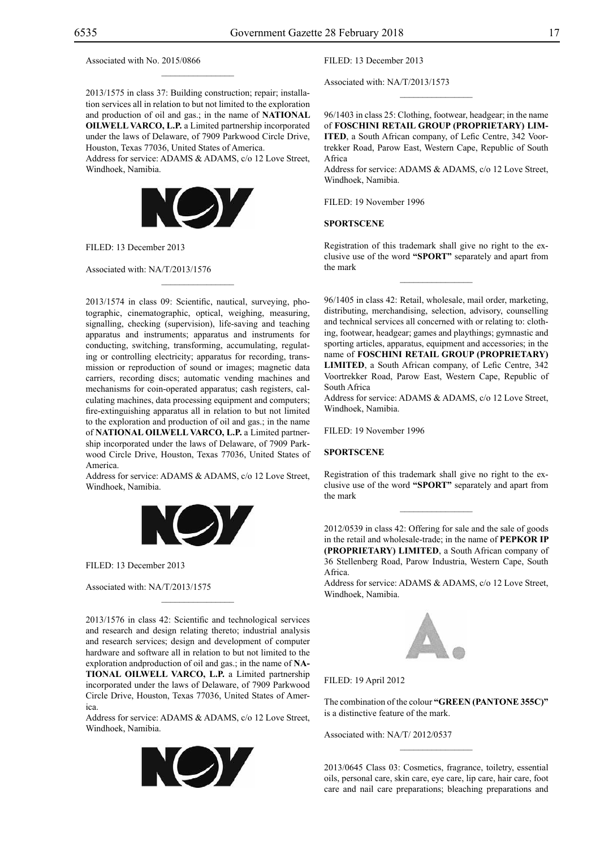Associated with No. 2015/0866

2013/1575 in class 37: Building construction; repair; installation services all in relation to but not limited to the exploration and production of oil and gas.; in the name of **NATIONAL OILWELL VARCO, L.P.** a Limited partnership incorporated under the laws of Delaware, of 7909 Parkwood Circle Drive, Houston, Texas 77036, United States of America.

 $\mathcal{L}=\mathcal{L}^{\mathcal{L}}$ 

Address for service: ADAMS & ADAMS, c/o 12 Love Street, Windhoek, Namibia.



 $\overline{\phantom{a}}$  , where  $\overline{\phantom{a}}$ 

FILED: 13 December 2013

Associated with: NA/T/2013/1576

2013/1574 in class 09: Scientific, nautical, surveying, photographic, cinematographic, optical, weighing, measuring, signalling, checking (supervision), life-saving and teaching apparatus and instruments; apparatus and instruments for conducting, switching, transforming, accumulating, regulating or controlling electricity; apparatus for recording, transmission or reproduction of sound or images; magnetic data carriers, recording discs; automatic vending machines and mechanisms for coin-operated apparatus; cash registers, calculating machines, data processing equipment and computers; fire-extinguishing apparatus all in relation to but not limited to the exploration and production of oil and gas.; in the name of **NATIONAL OILWELL VARCO, L.P.** a Limited partnership incorporated under the laws of Delaware, of 7909 Parkwood Circle Drive, Houston, Texas 77036, United States of America.

Address for service: ADAMS & ADAMS, c/o 12 Love Street, Windhoek, Namibia.



FILED: 13 December 2013

Associated with: NA/T/2013/1575

2013/1576 in class 42: Scientific and technological services and research and design relating thereto; industrial analysis and research services; design and development of computer hardware and software all in relation to but not limited to the exploration andproduction of oil and gas.; in the name of **NA-TIONAL OILWELL VARCO, L.P.** a Limited partnership incorporated under the laws of Delaware, of 7909 Parkwood Circle Drive, Houston, Texas 77036, United States of America.

 $\mathcal{L}=\mathcal{L}^{\text{max}}$ 

Address for service: ADAMS & ADAMS, c/o 12 Love Street, Windhoek, Namibia.



FILED: 13 December 2013

Associated with: NA/T/2013/1573

96/1403 in class 25: Clothing, footwear, headgear; in the name of **FOSCHINI RETAIL GROUP (PROPRIETARY) LIM-ITED**, a South African company, of Lefic Centre, 342 Voortrekker Road, Parow East, Western Cape, Republic of South Africa

 $\overline{\phantom{a}}$  , we can also the set of  $\overline{\phantom{a}}$ 

Address for service: ADAMS & ADAMS, c/o 12 Love Street, Windhoek, Namibia.

FILED: 19 November 1996

#### **SPORTSCENE**

Registration of this trademark shall give no right to the exclusive use of the word **"SPORT"** separately and apart from the mark

 $\frac{1}{2}$ 

96/1405 in class 42: Retail, wholesale, mail order, marketing, distributing, merchandising, selection, advisory, counselling and technical services all concerned with or relating to: clothing, footwear, headgear; games and playthings; gymnastic and sporting articles, apparatus, equipment and accessories; in the name of **FOSCHINI RETAIL GROUP (PROPRIETARY) LIMITED**, a South African company, of Lefic Centre, 342 Voortrekker Road, Parow East, Western Cape, Republic of South Africa

Address for service: ADAMS & ADAMS, c/o 12 Love Street, Windhoek, Namibia.

FILED: 19 November 1996

## **SPORTSCENE**

Registration of this trademark shall give no right to the exclusive use of the word **"SPORT"** separately and apart from the mark

2012/0539 in class 42: Offering for sale and the sale of goods in the retail and wholesale-trade; in the name of **PEPKOR IP (PROPRIETARY) LIMITED**, a South African company of 36 Stellenberg Road, Parow Industria, Western Cape, South Africa.

Address for service: ADAMS & ADAMS, c/o 12 Love Street, Windhoek, Namibia.



FILED: 19 April 2012

The combination of the colour "GREEN (PANTONE 355C)" is a distinctive feature of the mark.

Associated with: NA/T/ 2012/0537

2013/0645 Class 03: Cosmetics, fragrance, toiletry, essential oils, personal care, skin care, eye care, lip care, hair care, foot care and nail care preparations; bleaching preparations and

 $\frac{1}{2}$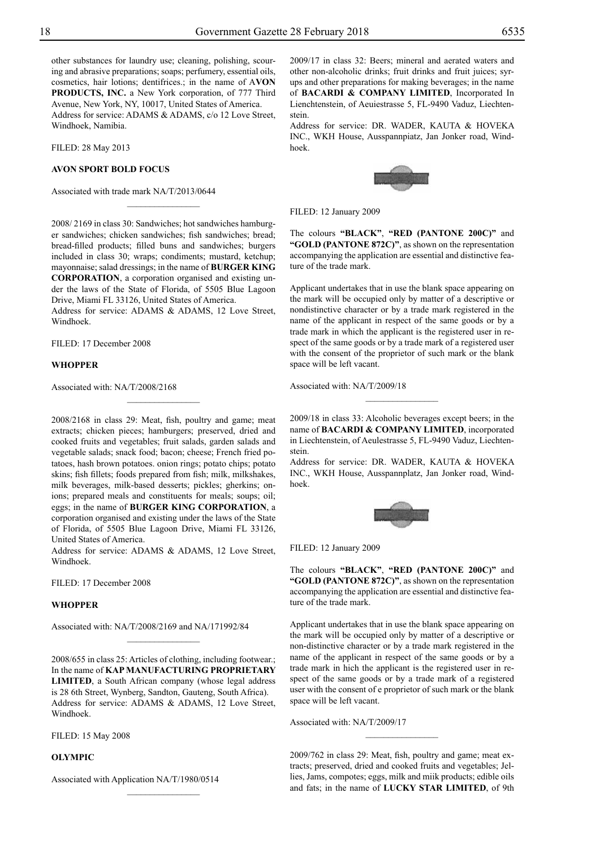other substances for laundry use; cleaning, polishing, scouring and abrasive preparations; soaps; perfumery, essential oils, cosmetics, hair lotions; dentifrices.; in the name of A**VON PRODUCTS, INC.** a New York corporation, of 777 Third Avenue, New York, NY, 10017, United States of America. Address for service: ADAMS & ADAMS, c/o 12 Love Street, Windhoek, Namibia.

FILED: 28 May 2013

#### **AVON SPORT BOLD FOCUS**

Associated with trade mark NA/T/2013/0644

2008/ 2169 in class 30: Sandwiches; hot sandwiches hamburger sandwiches; chicken sandwiches; fish sandwiches; bread; bread-filled products; filled buns and sandwiches; burgers included in class 30; wraps; condiments; mustard, ketchup; mayonnaise; salad dressings; in the name of **BURGER KING CORPORATION**, a corporation organised and existing under the laws of the State of Florida, of 5505 Blue Lagoon Drive, Miami FL 33126, United States of America.

 $\overline{\phantom{a}}$  , where  $\overline{\phantom{a}}$ 

Address for service: ADAMS & ADAMS, 12 Love Street, Windhoek.

Filed: 17 December 2008

#### **WHOPPER**

Associated with: NA/T/2008/2168

2008/2168 in class 29: Meat, fish, poultry and game; meat extracts; chicken pieces; hamburgers; preserved, dried and cooked fruits and vegetables; fruit salads, garden salads and vegetable salads; snack food; bacon; cheese; French fried potatoes, hash brown potatoes. onion rings; potato chips; potato skins; fish fillets; foods prepared from fish; milk, milkshakes, milk beverages, milk-based desserts; pickles; gherkins; onions; prepared meals and constituents for meals; soups; oil; eggs; in the name of **BURGER KING CORPORATION**, a corporation organised and existing under the laws of the State of Florida, of 5505 Blue Lagoon Drive, Miami FL 33126, United States of America.

Address for service: ADAMS & ADAMS, 12 Love Street, Windhoek.

Filed: 17 December 2008

## **WHOPPER**

Associated with: NA/T/2008/2169 and NA/171992/84

2008/655 in class 25: Articles of clothing, including footwear.; In the name of **KAP MANUFACTURING PROPRIETARY LIMITED**, a South African company (whose legal address is 28 6th Street, Wynberg, Sandton, Gauteng, South Africa). Address for service: ADAMS & ADAMS, 12 Love Street, Windhoek.

 $\frac{1}{2}$ 

 $\frac{1}{2}$ 

Filed: 15 May 2008

## **OLYMPIC**

Associated with Application NA/T/1980/0514

2009/17 in class 32: Beers; mineral and aerated waters and other non-alcoholic drinks; fruit drinks and fruit juices; syrups and other preparations for making beverages; in the name of **BACARDI & COMPANY LIMITED**, Incorporated In Lienchtenstein, of Aeuiestrasse 5, FL-9490 Vaduz, Liechtenstein.

Address for service: DR. WADER, KAUTA & HOVEKA Inc., WKH House, Ausspannpiatz, Jan Jonker road, Windhoek.



FILED: 12 January 2009

The colours **"BLACK"**, **"RED (Pantone 200C)"** and "GOLD (PANTONE 872C)", as shown on the representation accompanying the application are essential and distinctive feature of the trade mark.

Applicant undertakes that in use the blank space appearing on the mark will be occupied only by matter of a descriptive or nondistinctive character or by a trade mark registered in the name of the applicant in respect of the same goods or by a trade mark in which the applicant is the registered user in respect of the same goods or by a trade mark of a registered user with the consent of the proprietor of such mark or the blank space will be left vacant.

Associated with: NA/T/2009/18

2009/18 in class 33: Alcoholic beverages except beers; in the name of **BACARDI & COMPANY LIMITED**, incorporated in Liechtenstein, of Aeulestrasse 5, FL-9490 Vaduz, Liechtenstein.

 $\frac{1}{2}$ 

Address for service: DR. WADER, KAUTA & HOVEKA Inc., WKH House, Ausspannplatz, Jan Jonker road, Windhoek.



Filed: 12 January 2009

The colours **"BLACK"**, **"RED (Pantone 200C)"** and "**GOLD (PANTONE 872C)"**, as shown on the representation accompanying the application are essential and distinctive feature of the trade mark.

Applicant undertakes that in use the blank space appearing on the mark will be occupied only by matter of a descriptive or non-distinctive character or by a trade mark registered in the name of the applicant in respect of the same goods or by a trade mark in hich the applicant is the registered user in respect of the same goods or by a trade mark of a registered user with the consent of e proprietor of such mark or the blank space will be left vacant.

Associated with: NA/T/2009/17

2009/762 in class 29: Meat, fish, poultry and game; meat extracts; preserved, dried and cooked fruits and vegetables; Jellies, Jams, compotes; eggs, milk and miik products; edible oils and fats; in the name of LUCKY STAR LIMITED, of 9th

 $\frac{1}{2}$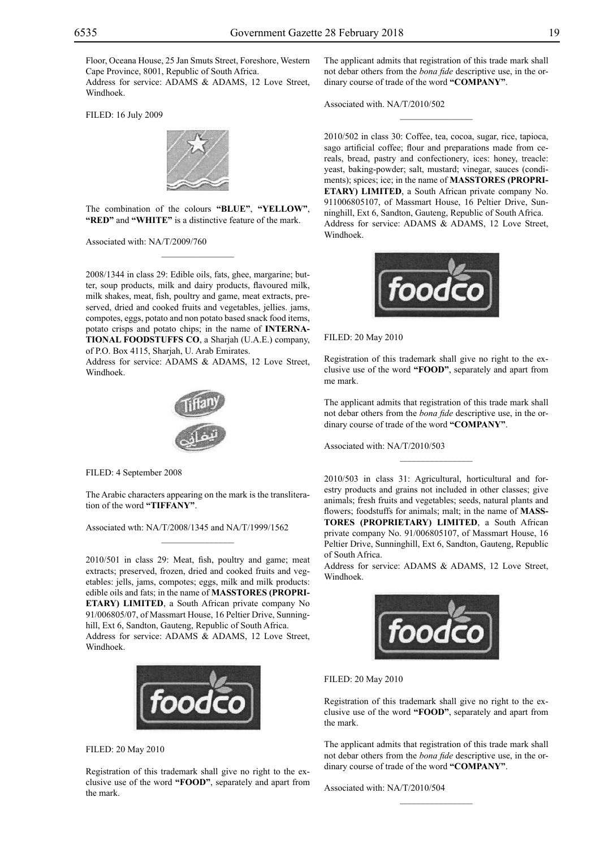Floor, Oceana House, 25 Jan Smuts Street, Foreshore, Western Cape Province, 8001, Republic of South Africa.

Address for service: ADAMS & ADAMS, 12 Love Street, Windhoek.

Filed: 16 July 2009



The combination of the colours **"blue"**, **"yellow"**, "RED" and "WHITE" is a distinctive feature of the mark.

 $\frac{1}{2}$ 

Associated with: NA/T/2009/760

2008/1344 in class 29: Edible oils, fats, ghee, margarine; butter, soup products, milk and dairy products, flavoured milk, milk shakes, meat, fish, poultry and game, meat extracts, preserved, dried and cooked fruits and vegetables, jellies. jams, compotes, eggs, potato and non potato based snack food items, potato crisps and potato chips; in the name of **INTERNA-TIONAL FOODSTUFFS CO**, a Sharjah (U.A.E.) company, of P.O. Box 4115, Sharjah, U. Arab Emirates.

Address for service: ADAMS & ADAMS, 12 Love Street, Windhoek.



Filed: 4 September 2008

The Arabic characters appearing on the mark is the transliteration of the word **"TIFFANY"**.

 $\mathcal{L}=\mathcal{L}^{\text{max}}$ 

Associated wth: NA/T/2008/1345 and NA/T/1999/1562

2010/501 in class 29: Meat, fish, poultry and game; meat extracts; preserved, frozen, dried and cooked fruits and vegetables: jells, jams, compotes; eggs, milk and milk products: edible oils and fats; in the name of **MASSTORES (PROPRI-ETARY) LIMITED**, a South African private company No 91/006805/07, of Massmart House, 16 Peltier Drive, Sunninghill, Ext 6, Sandton, Gauteng, Republic of South Africa. Address for service: ADAMS & ADAMS, 12 Love Street, Windhoek.



Filed: 20 May 2010

Registration of this trademark shall give no right to the exclusive use of the word **"FOOD"**, separately and apart from the mark.

The applicant admits that registration of this trade mark shall not debar others from the *bona fide* descriptive use, in the ordinary course of trade of the word **"COMPANY"**.

 $\frac{1}{2}$ 

Associated with. NA/T/2010/502

2010/502 in class 30: Coffee, tea, cocoa, sugar, rice, tapioca, sago artificial coffee; flour and preparations made from cereals, bread, pastry and confectionery, ices: honey, treacle: yeast, baking-powder; salt, mustard; vinegar, sauces (condiments); spices; ice; in the name of **MASSTORES (PROPRI-ETARY) LIMITED**, a South African private company No. 911006805107, of Massmart House, 16 Peltier Drive, Sunninghill, Ext 6, Sandton, Gauteng, Republic of South Africa. Address for service: ADAMS & ADAMS, 12 Love Street, Windhoek.



Filed: 20 May 2010

Registration of this trademark shall give no right to the exclusive use of the word **"FOOD"**, separately and apart from me mark.

The applicant admits that registration of this trade mark shall not debar others from the *bona fide* descriptive use, in the ordinary course of trade of the word **"COMPANY"**.

 $\frac{1}{2}$ 

Associated with: NA/T/2010/503

2010/503 in class 31: Agricultural, horticultural and forestry products and grains not included in other classes; give animals; fresh fruits and vegetables; seeds, natural plants and flowers; foodstuffs for animals; malt; in the name of **MASS-TORES (PROPRIETARY) LIMITED**, a South African private company No. 91/006805107, of Massmart House, 16 Peltier Drive, Sunninghill, Ext 6, Sandton, Gauteng, Republic of South Africa.

Address for service: ADAMS & ADAMS, 12 Love Street, Windhoek.



Filed: 20 May 2010

Registration of this trademark shall give no right to the exclusive use of the word **"FOOD"**, separately and apart from the mark.

The applicant admits that registration of this trade mark shall not debar others from the *bona fide* descriptive use, in the ordinary course of trade of the word **"COMPANY"**.

 $\frac{1}{2}$ 

Associated with: NA/T/2010/504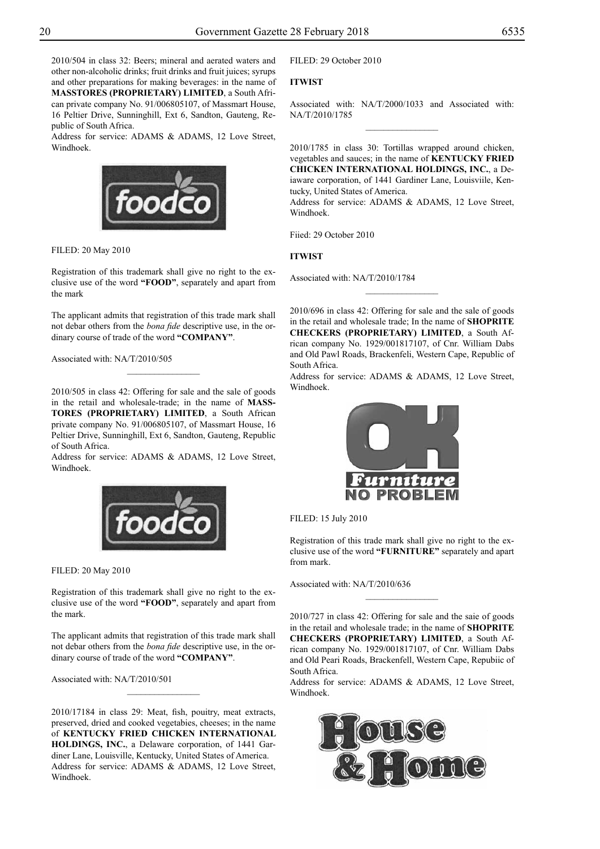2010/504 in class 32: Beers; mineral and aerated waters and other non-alcoholic drinks; fruit drinks and fruit juices; syrups and other preparations for making beverages: in the name of **MASSTORES (PROPRIETARY) LIMITED**, a South African private company No. 91/006805107, of Massmart House, 16 Peltier Drive, Sunninghill, Ext 6, Sandton, Gauteng, Republic of South Africa.

Address for service: ADAMS & ADAMS, 12 Love Street, Windhoek.



Filed: 20 May 2010

Registration of this trademark shall give no right to the exclusive use of the word **"FOOD"**, separately and apart from the mark

The applicant admits that registration of this trade mark shall not debar others from the *bona fide* descriptive use, in the ordinary course of trade of the word **"COMPANY"**.

 $\overline{\phantom{a}}$  , where  $\overline{\phantom{a}}$ 

Associated with: NA/T/2010/505

2010/505 in class 42: Offering for sale and the sale of goods in the retail and wholesale-trade; in the name of **MASS-TORES (PROPRIETARY) LIMITED**, a South African private company No. 91/006805107, of Massmart House, 16 Peltier Drive, Sunninghill, Ext 6, Sandton, Gauteng, Republic of South Africa.

Address for service: ADAMS & ADAMS, 12 Love Street, Windhoek.



Filed: 20 May 2010

Registration of this trademark shall give no right to the exclusive use of the word **"FOOD"**, separately and apart from the mark.

The applicant admits that registration of this trade mark shall not debar others from the *bona fide* descriptive use, in the ordinary course of trade of the word **"COMPANY"**.

 $\frac{1}{2}$ 

Associated with: NA/T/2010/501

2010/17184 in class 29: Meat, fish, pouitry, meat extracts, preserved, dried and cooked vegetabies, cheeses; in the name of **KENTUCKY FRIED CHICKEN INTERNATIONAL HOLDINGS, INC.**, a Delaware corporation, of 1441 Gardiner Lane, Louisville, Kentucky, United States of America. Address for service: ADAMS & ADAMS, 12 Love Street, Windhoek.

Filed: 29 October 2010

## **ITWIST**

Associated with: NA/T/2000/1033 and Associated with: NA/T/2010/1785  $\frac{1}{2}$ 

2010/1785 in class 30: Tortillas wrapped around chicken, vegetables and sauces; in the name of **KENTUCKY FRIED CHICKEN INTERNATIONAL HOLDINGS, INC.**, a Deiaware corporation, of 1441 Gardiner Lane, Louisviile, Kentucky, United States of America.

Address for service: ADAMS & ADAMS, 12 Love Street, Windhoek.

Fiied: 29 October 2010

#### **ITWIST**

Associated with: NA/T/2010/1784

2010/696 in class 42: Offering for sale and the sale of goods in the retail and wholesale trade; In the name of **SHOPRITE CHECKERS (PROPRIETARY) LIMITED**, a South African company No. 1929/001817107, of Cnr. William Dabs and Old Pawl Roads, Brackenfeli, Western Cape, Republic of South Africa.

 $\frac{1}{2}$ 

Address for service: ADAMS & ADAMS, 12 Love Street, Windhoek.



Filed: 15 July 2010

Registration of this trade mark shall give no right to the exclusive use of the word **"FURNITURE"** separately and apart from mark.

 $\frac{1}{2}$ 

Associated with: NA/T/2010/636

2010/727 in class 42: Offering for sale and the saie of goods in the retail and wholesale trade; in the name of **SHOPRITE Checkers (Proprietary) Limited**, a South African company No. 1929/001817107, of Cnr. William Dabs and Old Peari Roads, Brackenfell, Western Cape, Repubiic of South Africa.

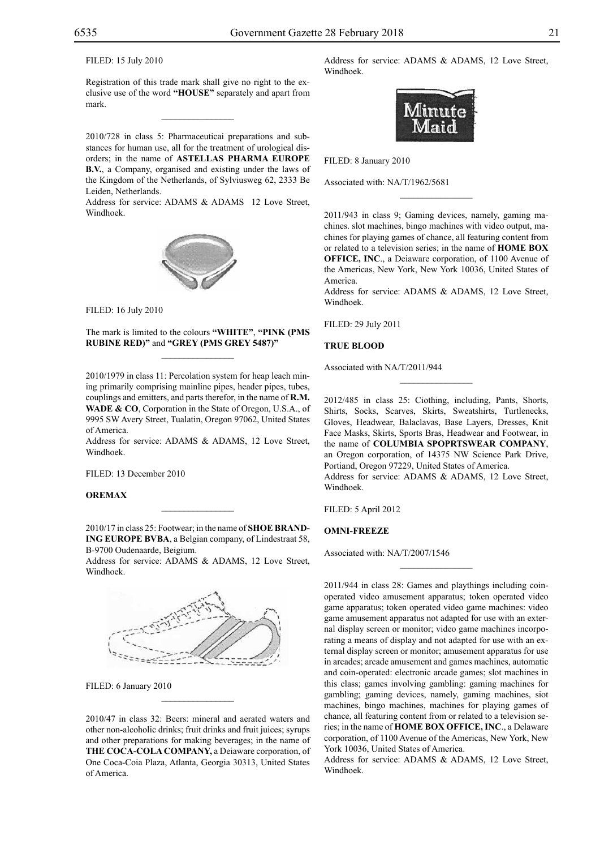## Filed: 15 July 2010

Registration of this trade mark shall give no right to the exclusive use of the word **"HOUSE"** separately and apart from mark.

 $\mathcal{L}=\mathcal{L}^{\text{max}}$ 

2010/728 in class 5: Pharmaceuticai preparations and substances for human use, all for the treatment of urological disorders; in the name of **Astellas Pharma Europe B.V.**, a Company, organised and existing under the laws of the Kingdom of the Netherlands, of Sylviusweg 62, 2333 Be Leiden, Netherlands.

Address for service: ADAMS & ADAMS 12 Love Street, Windhoek.



Filed: 16 July 2010

The mark is limited to the colours **"WHITE"**, **"PINK (PMS RUBINE RED)"** and **"GREY (PMS GREY 5487)"**  $\mathcal{L}=\mathcal{L}^{\text{max}}$ 

2010/1979 in class 11: Percolation system for heap leach mining primarily comprising mainline pipes, header pipes, tubes, couplings and emitters, and parts therefor, in the name of **R.M. WADE & CO**, Corporation in the State of Oregon, U.S.A., of 9995 SW Avery Street, Tualatin, Oregon 97062, United States of America.

Address for service: ADAMS & ADAMS, 12 Love Street, Windhoek.

FILED: 13 December 2010

## **OREMAX**

2010/17 in class 25: Footwear; in the name of **SHOE BRAND-ING EUROPE BVBA**, a Belgian company, of Lindestraat 58, B-9700 Oudenaarde, Beigium.

 $\mathcal{L}=\mathcal{L}^{\text{max}}$ 

Address for service: ADAMS & ADAMS, 12 Love Street, Windhoek.



FILED: 6 January 2010

2010/47 in class 32: Beers: mineral and aerated waters and other non-alcoholic drinks; fruit drinks and fruit juices; syrups and other preparations for making beverages; in the name of **THE COCA-COLA COMPANY,** a Deiaware corporation, of One Coca-Coia Plaza, Atlanta, Georgia 30313, United States of America.

 $\mathcal{L}=\mathcal{L}^{\text{max}}$ 

Address for service: ADAMS & ADAMS, 12 Love Street, Windhoek.



Filed: 8 January 2010

Associated with: NA/T/1962/5681

2011/943 in class 9; Gaming devices, namely, gaming machines. slot machines, bingo machines with video output, machines for playing games of chance, all featuring content from or related to a television series; in the name of **HOME BOX OFFICE, INC**., a Deiaware corporation, of 1100 Avenue of the Americas, New York, New York 10036, United States of America.

 $\frac{1}{2}$ 

Address for service: ADAMS & ADAMS, 12 Love Street, Windhoek.

Filed: 29 July 2011

#### **TRUE BLOOD**

Associated with NA/T/2011/944

2012/485 in class 25: Ciothing, including, Pants, Shorts, Shirts, Socks, Scarves, Skirts, Sweatshirts, Turtlenecks, Gloves, Headwear, Balaclavas, Base Layers, Dresses, Knit Face Masks, Skirts, Sports Bras, Headwear and Footwear, in the name of **COLUMBIA SPOPRTSWEAR COMPANY**, an Oregon corporation, of 14375 NW Science Park Drive, Portiand, Oregon 97229, United States of America. Address for service: ADAMS & ADAMS, 12 Love Street, Windhoek.

 $\frac{1}{2}$ 

Filed: 5 April 2012

#### **OMNI-FREEZE**

Associated with: NA/T/2007/1546

2011/944 in class 28: Games and playthings including coinoperated video amusement apparatus; token operated video game apparatus; token operated video game machines: video game amusement apparatus not adapted for use with an external display screen or monitor; video game machines incorporating a means of display and not adapted for use with an external display screen or monitor; amusement apparatus for use in arcades; arcade amusement and games machines, automatic and coin-operated: electronic arcade games; slot machines in this class; games involving gambling: gaming machines for gambling; gaming devices, namely, gaming machines, siot machines, bingo machines, machines for playing games of chance, all featuring content from or related to a television series; in the name of **HOME BOX OFFICE, INC**., a Delaware corporation, of 1100 Avenue of the Americas, New York, New York 10036, United States of America.

 $\overline{\phantom{a}}$  , we can also the set of  $\overline{\phantom{a}}$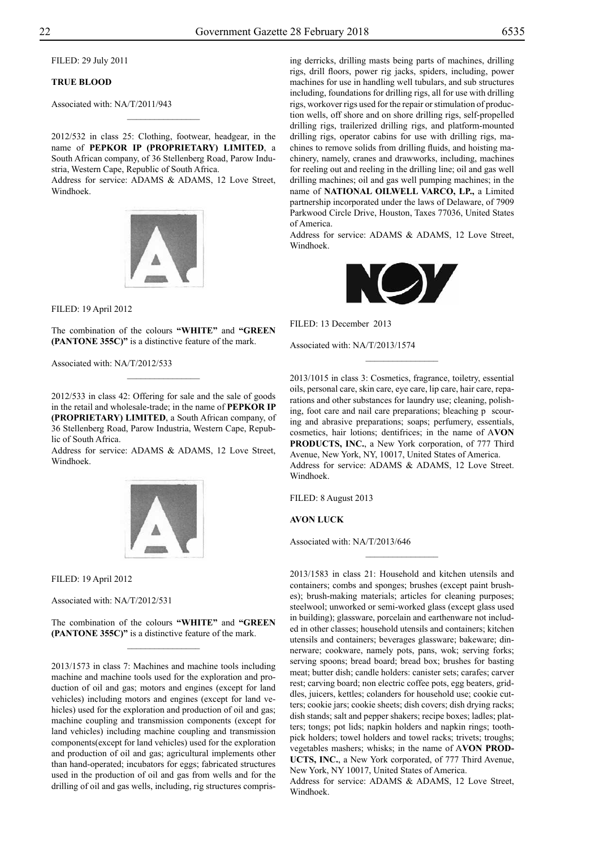Filed: 29 July 2011

## **TRUE BLOOD**

Associated with: NA/T/2011/943

2012/532 in class 25: Clothing, footwear, headgear, in the name of **PEPKOR IP (PROPRIETARY) LIMITED**, a South African company, of 36 Stellenberg Road, Parow Industria, Western Cape, Republic of South Africa. Address for service: ADAMS & ADAMS, 12 Love Street,

 $\frac{1}{2}$ 

Windhoek.



Filed: 19 April 2012

The combination of the colours "WHITE" and "GREEN **(PANTONE 355C)"** is a distinctive feature of the mark.

 $\frac{1}{2}$ 

Associated with: NA/T/2012/533

2012/533 in class 42: Offering for sale and the sale of goods in the retail and wholesale-trade; in the name of **PEPKOR IP (PROPRIETARY) LIMITED**, a South African company, of 36 Stellenberg Road, Parow Industria, Western Cape, Republic of South Africa.

Address for service: ADAMS & ADAMS, 12 Love Street, Windhoek.



Filed: 19 April 2012

Associated with: NA/T/2012/531

The combination of the colours "WHITE" and "GREEN **(PANTONE 355C)"** is a distinctive feature of the mark.  $\frac{1}{2}$ 

2013/1573 in class 7: Machines and machine tools including machine and machine tools used for the exploration and production of oil and gas; motors and engines (except for land vehicles) including motors and engines (except for land vehicles) used for the exploration and production of oil and gas; machine coupling and transmission components (except for land vehicles) including machine coupling and transmission components(except for land vehicles) used for the exploration and production of oil and gas; agricultural implements other than hand-operated; incubators for eggs; fabricated structures used in the production of oil and gas from wells and for the drilling of oil and gas wells, including, rig structures comprising derricks, drilling masts being parts of machines, drilling rigs, drill floors, power rig jacks, spiders, including, power machines for use in handling well tubulars, and sub structures including, foundations for drilling rigs, all for use with drilling rigs, workover rigs used for the repair or stimulation of production wells, off shore and on shore drilling rigs, self-propelled drilling rigs, trailerized drilling rigs, and platform-mounted drilling rigs, operator cabins for use with drilling rigs, machines to remove solids from drilling fluids, and hoisting machinery, namely, cranes and drawworks, including, machines for reeling out and reeling in the drilling line; oil and gas well drilling machines; oil and gas well pumping machines; in the name of **NATIONAL OILWELL VARCO, LP.,** a Limited partnership incorporated under the laws of Delaware, of 7909 Parkwood Circle Drive, Houston, Taxes 77036, United States of America.

Address for service: ADAMS & ADAMS, 12 Love Street, Windhoek.



FILED: 13 December 2013

Associated with: NA/T/2013/1574

2013/1015 in class 3: Cosmetics, fragrance, toiletry, essential oils, personal care, skin care, eye care, lip care, hair care, reparations and other substances for laundry use; cleaning, polishing, foot care and nail care preparations; bleaching p scouring and abrasive preparations; soaps; perfumery, essentials, cosmetics, hair lotions; dentifrices; in the name of A**VON PRODUCTS, INC.**, a New York corporation, of 777 Third Avenue, New York, NY, 10017, United States of America. Address for service: ADAMS & ADAMS, 12 Love Street. Windhoek.

 $\frac{1}{2}$ 

Filed: 8 August 2013

#### **AVON LUCK**

Associated with: NA/T/2013/646

2013/1583 in class 21: Household and kitchen utensils and containers; combs and sponges; brushes (except paint brushes); brush-making materials; articles for cleaning purposes; steelwool; unworked or semi-worked glass (except glass used in building); glassware, porcelain and earthenware not included in other classes; household utensils and containers; kitchen utensils and containers; beverages glassware; bakeware; dinnerware; cookware, namely pots, pans, wok; serving forks; serving spoons; bread board; bread box; brushes for basting meat; butter dish; candle holders: canister sets; carafes; carver rest; carving board; non electric coffee pots, egg beaters, griddles, juicers, kettles; colanders for household use; cookie cutters; cookie jars; cookie sheets; dish covers; dish drying racks; dish stands; salt and pepper shakers; recipe boxes; ladles; platters; tongs; pot lids; napkin holders and napkin rings; toothpick holders; towel holders and towel racks; trivets; troughs; vegetables mashers; whisks; in the name of A**VON PROD-UCTS, INC.**, a New York corporated, of 777 Third Avenue, New York, NY 10017, United States of America.

 $\frac{1}{2}$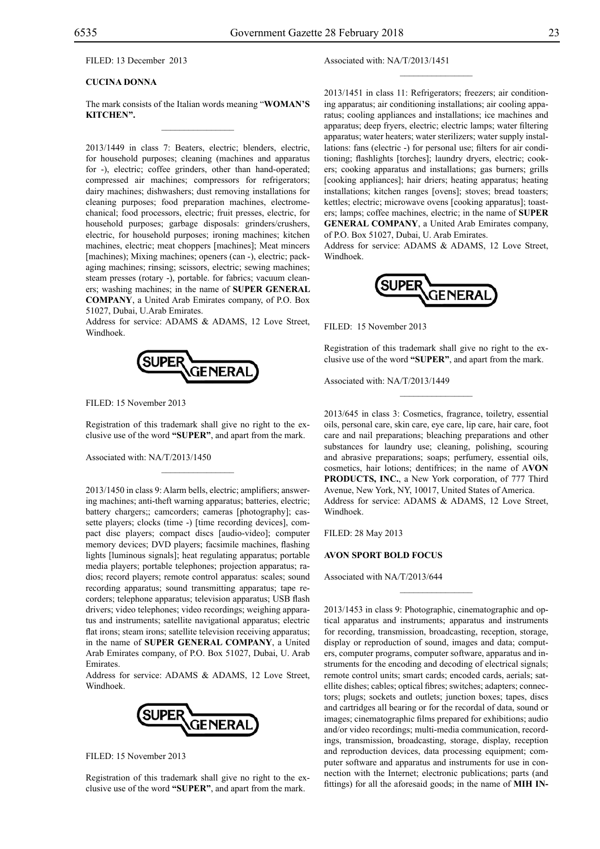FILED: 13 December 2013

## **CUCINA DONNA**

The mark consists of the Italian words meaning "**WOMAN'S KITCHEN".**  $\mathcal{L}=\mathcal{L}^{\mathcal{L}}$ 

2013/1449 in class 7: Beaters, electric; blenders, electric, for household purposes; cleaning (machines and apparatus for -), electric; coffee grinders, other than hand-operated; compressed air machines; compressors for refrigerators; dairy machines; dishwashers; dust removing installations for cleaning purposes; food preparation machines, electromechanical; food processors, electric; fruit presses, electric, for household purposes; garbage disposals: grinders/crushers, electric, for household purposes; ironing machines; kitchen machines, electric; meat choppers [machines]; Meat mincers [machines); Mixing machines; openers (can -), electric; packaging machines; rinsing; scissors, electric; sewing machines; steam presses (rotary -), portable. for fabrics; vacuum cleaners; washing machines; in the name of **SUPER GENERAL COMPANY**, a United Arab Emirates company, of P.O. Box 51027, Dubai, U.Arab Emirates.

Address for service: ADAMS & ADAMS, 12 Love Street, Windhoek.



FILED: 15 November 2013

Registration of this trademark shall give no right to the exclusive use of the word **"SUPER"**, and apart from the mark.

 $\mathcal{L}=\mathcal{L}^{\mathcal{L}}$ 

Associated with: NA/T/2013/1450

2013/1450 in class 9: Alarm bells, electric; amplifiers; answering machines; anti-theft warning apparatus; batteries, electric; battery chargers;; camcorders; cameras [photography]; cassette players; clocks (time -) [time recording devices], compact disc players; compact discs [audio-video]; computer memory devices; DVD players; facsimile machines, flashing lights [luminous signals]; heat regulating apparatus; portable media players; portable telephones; projection apparatus; radios; record players; remote control apparatus: scales; sound recording apparatus; sound transmitting apparatus; tape recorders; telephone apparatus; television apparatus; USB flash drivers; video telephones; video recordings; weighing apparatus and instruments; satellite navigational apparatus; electric flat irons; steam irons; satellite television receiving apparatus; in the name of **SUPER GENERAL COMPANY**, a United Arab Emirates company, of P.O. Box 51027, Dubai, U. Arab Emirates.

Address for service: ADAMS & ADAMS, 12 Love Street, Windhoek.



FILED: 15 November 2013

Registration of this trademark shall give no right to the exclusive use of the word **"SUPER"**, and apart from the mark.

Associated with: NA/T/2013/1451

2013/1451 in class 11: Refrigerators; freezers; air conditioning apparatus; air conditioning installations; air cooling apparatus; cooling appliances and installations; ice machines and apparatus; deep fryers, electric; electric lamps; water filtering apparatus; water heaters; water sterilizers; water supply installations: fans (electric -) for personal use; filters for air conditioning; flashlights [torches]; laundry dryers, electric; cookers; cooking apparatus and installations; gas burners; grills [cooking appliances]; hair driers; heating apparatus; heating installations; kitchen ranges [ovens]; stoves; bread toasters; kettles; electric; microwave ovens [cooking apparatus]; toasters; lamps; coffee machines, electric; in the name of **SUPER GENERAL COMPANY**, a United Arab Emirates company, of P.O. Box 51027, Dubai, U. Arab Emirates.

 $\frac{1}{2}$ 

Address for service: ADAMS & ADAMS, 12 Love Street, Windhoek.



FILED: 15 November 2013

Registration of this trademark shall give no right to the exclusive use of the word **"SUPER"**, and apart from the mark.

 $\frac{1}{2}$ 

Associated with: NA/T/2013/1449

2013/645 in class 3: Cosmetics, fragrance, toiletry, essential oils, personal care, skin care, eye care, lip care, hair care, foot care and nail preparations; bleaching preparations and other substances for laundry use; cleaning, polishing, scouring and abrasive preparations; soaps; perfumery, essential oils, cosmetics, hair lotions; dentifrices; in the name of A**VON PRODUCTS, INC.**, a New York corporation, of 777 Third Avenue, New York, NY, 10017, United States of America. Address for service: ADAMS & ADAMS, 12 Love Street, Windhoek.

Filed: 28 May 2013

## **AVON SPORT BOLD FOCUS**

Associated with NA/T/2013/644

2013/1453 in class 9: Photographic, cinematographic and optical apparatus and instruments; apparatus and instruments for recording, transmission, broadcasting, reception, storage, display or reproduction of sound, images and data; computers, computer programs, computer software, apparatus and instruments for the encoding and decoding of electrical signals; remote control units; smart cards; encoded cards, aerials; satellite dishes; cables; optical fibres; switches; adapters; connectors; plugs; sockets and outlets; junction boxes; tapes, discs and cartridges all bearing or for the recordal of data, sound or images; cinematographic films prepared for exhibitions; audio and/or video recordings; multi-media communication, recordings, transmission, broadcasting, storage, display, reception and reproduction devices, data processing equipment; computer software and apparatus and instruments for use in connection with the Internet; electronic publications; parts (and fittings) for all the aforesaid goods; in the name of **MIH IN-**

 $\frac{1}{2}$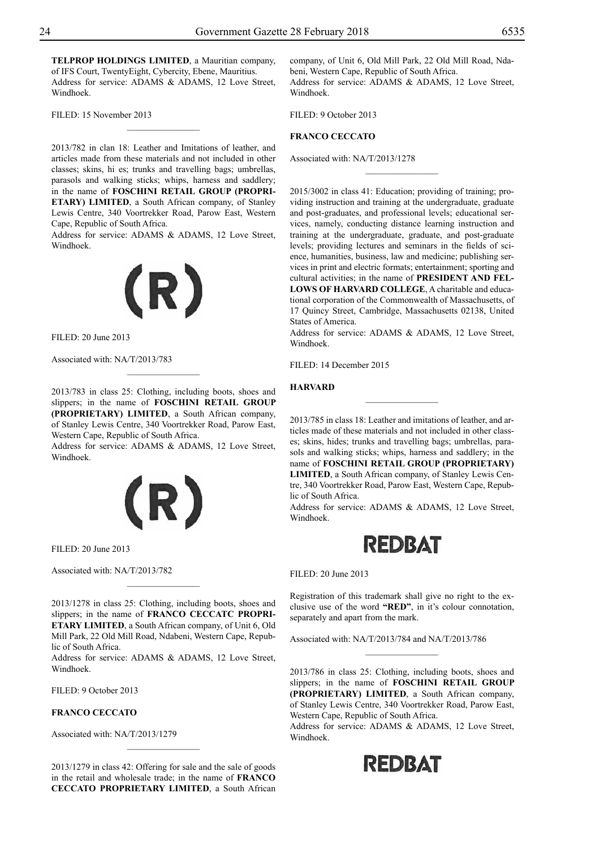**TELPROP HOLDINGS LIMITED**, a Mauritian company, of IFS Court, TwentyEight, Cybercity, Ebene, Mauritius. Address for service: ADAMS & ADAMS, 12 Love Street, Windhoek.

 $\frac{1}{2}$ 

FILED: 15 November 2013

2013/782 in clan 18: Leather and Imitations of leather, and articles made from these materials and not included in other classes; skins, hi es; trunks and travelling bags; umbrellas, parasols and walking sticks; whips, harness and saddlery; in the name of **FOSCHINI RETAIL GROUP (PROPRI-ETARY) LIMITED**, a South African company, of Stanley Lewis Centre, 340 Voortrekker Road, Parow East, Western Cape, Republic of South Africa.

Address for service: ADAMS & ADAMS, 12 Love Street, Windhoek.



Filed: 20 June 2013

Associated with: NA/T/2013/783

2013/783 in class 25: Clothing, including boots, shoes and slippers; in the name of **FOSCHINI RETAIL GROUP (PROPRIETARY) LIMITED**, a South African company, of Stanley Lewis Centre, 340 Voortrekker Road, Parow East, Western Cape, Republic of South Africa.

Address for service: ADAMS & ADAMS, 12 Love Street, Windhoek.



Filed: 20 June 2013

Associated with: NA/T/2013/782

2013/1278 in class 25: Clothing, including boots, shoes and slippers; in the name of **FRANCO CECCATC PROPRI-ETARY LIMITED**, a South African company, of Unit 6, Old Mill Park, 22 Old Mill Road, Ndabeni, Western Cape, Republic of South Africa.

Address for service: ADAMS & ADAMS, 12 Love Street, Windhoek.

Filed: 9 October 2013

## **FRANCO CECCATO**

Associated with: NA/T/2013/1279

2013/1279 in class 42: Offering for sale and the sale of goods in the retail and wholesale trade; in the name of **FRANCO CECCATO PROPRIETARY LIMITED**, a South African company, of Unit 6, Old Mill Park, 22 Old Mill Road, Ndabeni, Western Cape, Republic of South Africa. Address for service: ADAMS & ADAMS, 12 Love Street, Windhoek.

FILED: 9 October 2013

## **FRANCO CECCATO**

Associated with: NA/T/2013/1278

2015/3002 in class 41: Education; providing of training; providing instruction and training at the undergraduate, graduate and post-graduates, and professional levels; educational services, namely, conducting distance learning instruction and training at the undergraduate, graduate, and post-graduate levels; providing lectures and seminars in the fields of science, humanities, business, law and medicine; publishing services in print and electric formats; entertainment; sporting and cultural activities; in the name of **PRESIDENT AND FEL-LOWS OF HARVARD COLLEGE**, A charitable and educational corporation of the Commonwealth of Massachusetts, of 17 Quincy Street, Cambridge, Massachusetts 02138, United States of America.

 $\frac{1}{2}$ 

Address for service: ADAMS & ADAMS, 12 Love Street, Windhoek.

Filed: 14 December 2015

#### **HARVARD**

2013/785 in class 18: Leather and imitations of leather, and articles made of these materials and not included in other classes; skins, hides; trunks and travelling bags; umbrellas, parasols and walking sticks; whips, harness and saddlery; in the name of **FOSCHINI RETAIL GROUP (PROPRIETARY) LIMITED**, a South African company, of Stanley Lewis Centre, 340 Voortrekker Road, Parow East, Western Cape, Republic of South Africa.

Address for service: ADAMS & ADAMS, 12 Love Street, Windhoek.



Filed: 20 June 2013

Registration of this trademark shall give no right to the exclusive use of the word **"RED"**, in it's colour connotation, separately and apart from the mark.

 $\frac{1}{2}$ 

Associated with: NA/T/2013/784 and NA/T/2013/786

2013/786 in class 25: Clothing, including boots, shoes and slippers; in the name of **FOSCHINI RETAIL GROUP (PROPRIETARY) LIMITED**, a South African company, of Stanley Lewis Centre, 340 Voortrekker Road, Parow East, Western Cape, Republic of South Africa.

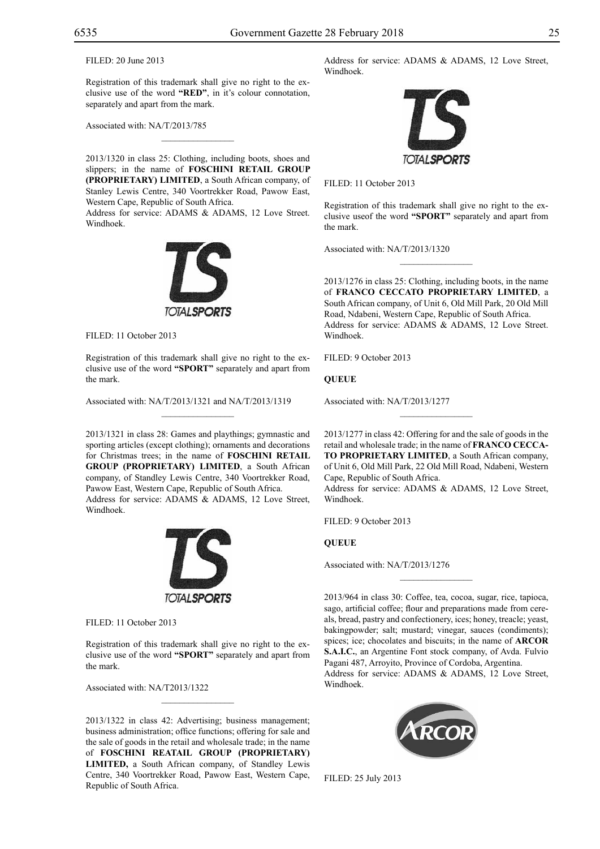FILED: 20 June 2013

Registration of this trademark shall give no right to the exclusive use of the word **"RED"**, in it's colour connotation, separately and apart from the mark.

 $\mathcal{L}=\mathcal{L}^{\mathcal{L}}$ 

Associated with: NA/T/2013/785

2013/1320 in class 25: Clothing, including boots, shoes and slippers; in the name of **FOSCHINI RETAIL GROUP (PROPRIETARY) LIMITED**, a South African company, of Stanley Lewis Centre, 340 Voortrekker Road, Pawow East, Western Cape, Republic of South Africa.

Address for service: ADAMS & ADAMS, 12 Love Street. Windhoek.



FILED: 11 October 2013

Registration of this trademark shall give no right to the exclusive use of the word **"SPORT"** separately and apart from the mark.

 $\mathcal{L}=\mathcal{L}^{\mathcal{L}}$ 

Associated with: NA/T/2013/1321 and NA/T/2013/1319

2013/1321 in class 28: Games and playthings; gymnastic and sporting articles (except clothing); ornaments and decorations for Christmas trees; in the name of **FOSCHINI RETAIL GROUP (PROPRIETARY) LIMITED**, a South African company, of Standley Lewis Centre, 340 Voortrekker Road, Pawow East, Western Cape, Republic of South Africa. Address for service: ADAMS & ADAMS, 12 Love Street, Windhoek.



Filed: 11 October 2013

Registration of this trademark shall give no right to the exclusive use of the word **"SPORT"** separately and apart from the mark.

 $\mathcal{L}=\mathcal{L}^{\mathcal{L}}$ 

Associated with: NA/T2013/1322

2013/1322 in class 42: Advertising; business management; business administration; office functions; offering for sale and the sale of goods in the retail and wholesale trade; in the name of **FOSCHINI REATAIL GROUP (PROPRIETARY) LIMITED,** a South African company, of Standley Lewis Centre, 340 Voortrekker Road, Pawow East, Western Cape, Republic of South Africa.

Address for service: ADAMS & ADAMS, 12 Love Street, Windhoek.



Filed: 11 October 2013

Registration of this trademark shall give no right to the exclusive useof the word **"SPORT"** separately and apart from the mark.

Associated with: NA/T/2013/1320

2013/1276 in class 25: Clothing, including boots, in the name of **FRANCO CECCATO PROPRIETARY LIMITED**, a South African company, of Unit 6, Old Mill Park, 20 Old Mill Road, Ndabeni, Western Cape, Republic of South Africa. Address for service: ADAMS & ADAMS, 12 Love Street. Windhoek.

Filed: 9 October 2013

**QUEUE**

Associated with: NA/T/2013/1277

2013/1277 in class 42: Offering for and the sale of goods in the retail and wholesale trade; in the name of **FRANCO CECCA-TO PROPRIETARY LIMITED**, a South African company, of Unit 6, Old Mill Park, 22 Old Mill Road, Ndabeni, Western Cape, Republic of South Africa.

 $\frac{1}{2}$ 

Address for service: ADAMS & ADAMS, 12 Love Street, Windhoek.

Filed: 9 October 2013

**QUEUE**

Associated with: NA/T/2013/1276

2013/964 in class 30: Coffee, tea, cocoa, sugar, rice, tapioca, sago, artificial coffee; flour and preparations made from cereals, bread, pastry and confectionery, ices; honey, treacle; yeast, bakingpowder; salt; mustard; vinegar, sauces (condiments); spices; ice; chocolates and biscuits; in the name of **ARCOR S.A.I.C.**, an Argentine Font stock company, of Avda. Fulvio Pagani 487, Arroyito, Province of Cordoba, Argentina. Address for service: ADAMS & ADAMS, 12 Love Street, Windhoek.

 $\frac{1}{2}$ 



Filed: 25 July 2013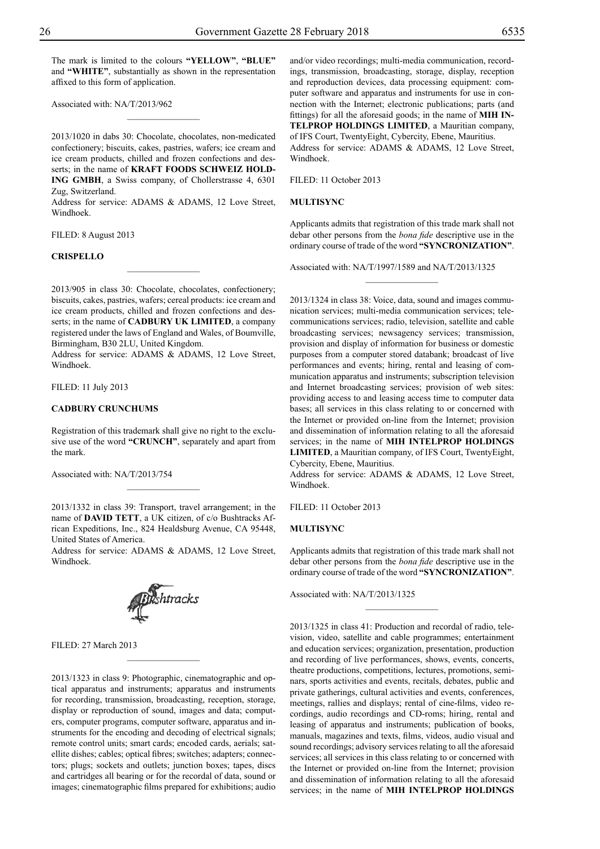$\frac{1}{2}$ 

Associated with: NA/T/2013/962

2013/1020 in dabs 30: Chocolate, chocolates, non-medicated confectionery; biscuits, cakes, pastries, wafers; ice cream and ice cream products, chilled and frozen confections and desserts; in the name of **KRAFT FOODS SCHWEIZ HOLD-**ING GMBH, a Swiss company, of Chollerstrasse 4, 6301 Zug, Switzerland.

Address for service: ADAMS & ADAMS, 12 Love Street, Windhoek.

Filed: 8 August 2013

#### **CRISPELLO**

2013/905 in class 30: Chocolate, chocolates, confectionery; biscuits, cakes, pastries, wafers; cereal products: ice cream and ice cream products, chilled and frozen confections and desserts; in the name of **CADBURY UK LIMITED**, a company registered under the laws of England and Wales, of Boumville, Birmingham, B30 2LU, United Kingdom.

 $\overline{\phantom{a}}$  , where  $\overline{\phantom{a}}$ 

Address for service: ADAMS & ADAMS, 12 Love Street, Windhoek.

Filed: 11 July 2013

## **CADBURY CRUNCHUMS**

Registration of this trademark shall give no right to the exclusive use of the word **"CRUNCH"**, separately and apart from the mark.

Associated with: NA/T/2013/754

2013/1332 in class 39: Transport, travel arrangement; in the name of **DAVID TETT**, a UK citizen, of c/o Bushtracks African Expeditions, Inc., 824 Healdsburg Avenue, CA 95448, United States of America.

 $\frac{1}{2}$ 

Address for service: ADAMS & ADAMS, 12 Love Street, Windhoek.



 $\frac{1}{2}$ 

Filed: 27 March 2013

2013/1323 in class 9: Photographic, cinematographic and optical apparatus and instruments; apparatus and instruments for recording, transmission, broadcasting, reception, storage, display or reproduction of sound, images and data; computers, computer programs, computer software, apparatus and instruments for the encoding and decoding of electrical signals; remote control units; smart cards; encoded cards, aerials; satellite dishes; cables; optical fibres; switches; adapters; connectors; plugs; sockets and outlets; junction boxes; tapes, discs and cartridges all bearing or for the recordal of data, sound or images; cinematographic films prepared for exhibitions; audio

FILED: 11 October 2013

#### **MULTISYNC**

Applicants admits that registration of this trade mark shall not debar other persons from the *bona fide* descriptive use in the ordinary course of trade of the word **"SYNCRONIZATION"**.

Associated with: NA/T/1997/1589 and NA/T/2013/1325

 $\frac{1}{2}$ 

2013/1324 in class 38: Voice, data, sound and images communication services; multi-media communication services; telecommunications services; radio, television, satellite and cable broadcasting services; newsagency services; transmission, provision and display of information for business or domestic purposes from a computer stored databank; broadcast of live performances and events; hiring, rental and leasing of communication apparatus and instruments; subscription television and Internet broadcasting services; provision of web sites: providing access to and leasing access time to computer data bases; all services in this class relating to or concerned with the Internet or provided on-line from the Internet; provision and dissemination of information relating to all the aforesaid services; in the name of **MIH INTELPROP HOLDINGS LIMITED**, a Mauritian company, of IFS Court, TwentyEight, Cybercity, Ebene, Mauritius.

Address for service: ADAMS & ADAMS, 12 Love Street, Windhoek.

Filed: 11 October 2013

#### **MULTISYNC**

Applicants admits that registration of this trade mark shall not debar other persons from the *bona fide* descriptive use in the ordinary course of trade of the word **"SYNCRONIZATION"**.

 $\frac{1}{2}$ 

Associated with: NA/T/2013/1325

2013/1325 in class 41: Production and recordal of radio, television, video, satellite and cable programmes; entertainment and education services; organization, presentation, production and recording of live performances, shows, events, concerts, theatre productions, competitions, lectures, promotions, seminars, sports activities and events, recitals, debates, public and private gatherings, cultural activities and events, conferences, meetings, rallies and displays; rental of cine-films, video recordings, audio recordings and CD-roms; hiring, rental and leasing of apparatus and instruments; publication of books, manuals, magazines and texts, films, videos, audio visual and sound recordings; advisory services relating to all the aforesaid services; all services in this class relating to or concerned with the Internet or provided on-line from the Internet; provision and dissemination of information relating to all the aforesaid services; in the name of **MIH INTELPROP HOLDINGS**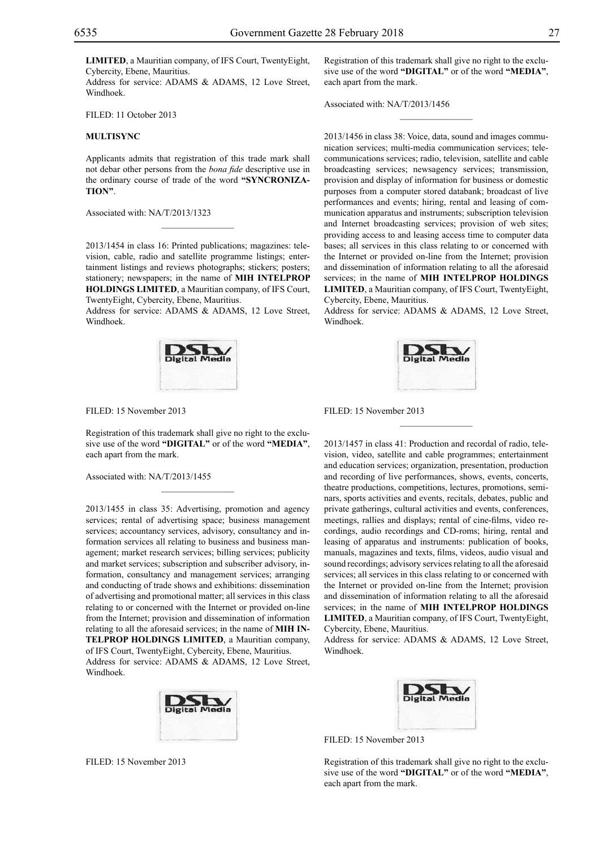**LIMITED**, a Mauritian company, of IFS Court, TwentyEight, Cybercity, Ebene, Mauritius.

Address for service: ADAMS & ADAMS, 12 Love Street, Windhoek.

FILED: 11 October 2013

#### **MULTISYNC**

Applicants admits that registration of this trade mark shall not debar other persons from the *bona fide* descriptive use in the ordinary course of trade of the word **"SYNCRONIZA-TION"**.

Associated with: NA/T/2013/1323

2013/1454 in class 16: Printed publications; magazines: television, cable, radio and satellite programme listings; entertainment listings and reviews photographs; stickers; posters; stationery; newspapers; in the name of **MIH INTELPROP HOLDINGS LIMITED**, a Mauritian company, of IFS Court, TwentyEight, Cybercity, Ebene, Mauritius.

 $\mathcal{L}=\mathcal{L}^{\mathcal{L}}$ 

Address for service: ADAMS & ADAMS, 12 Love Street, Windhoek.



Filed: 15 November 2013

Registration of this trademark shall give no right to the exclusive use of the word **"DIGITAL"** or of the word **"MEDIA"**, each apart from the mark.

 $\overline{\phantom{a}}$  , where  $\overline{\phantom{a}}$ 

Associated with: NA/T/2013/1455

2013/1455 in class 35: Advertising, promotion and agency services; rental of advertising space; business management services; accountancy services, advisory, consultancy and information services all relating to business and business management; market research services; billing services; publicity and market services; subscription and subscriber advisory, information, consultancy and management services; arranging and conducting of trade shows and exhibitions: dissemination of advertising and promotional matter; all services in this class relating to or concerned with the Internet or provided on-line from the Internet; provision and dissemination of information relating to all the aforesaid services; in the name of **MIH IN-TELPROP HOLDINGS LIMITED**, a Mauritian company, of IFS Court, TwentyEight, Cybercity, Ebene, Mauritius.

Address for service: ADAMS & ADAMS, 12 Love Street, Windhoek.



Filed: 15 November 2013

Registration of this trademark shall give no right to the exclusive use of the word **"DIGITAL"** or of the word **"MEDIA"**, each apart from the mark.

 $\frac{1}{2}$ 

Associated with: NA/T/2013/1456

2013/1456 in class 38: Voice, data, sound and images communication services; multi-media communication services; telecommunications services; radio, television, satellite and cable broadcasting services; newsagency services; transmission, provision and display of information for business or domestic purposes from a computer stored databank; broadcast of live performances and events; hiring, rental and leasing of communication apparatus and instruments; subscription television and Internet broadcasting services; provision of web sites; providing access to and leasing access time to computer data bases; all services in this class relating to or concerned with the Internet or provided on-line from the Internet; provision and dissemination of information relating to all the aforesaid services; in the name of **MIH INTELPROP HOLDINGS LIMITED**, a Mauritian company, of IFS Court, TwentyEight, Cybercity, Ebene, Mauritius.

Address for service: ADAMS & ADAMS, 12 Love Street, Windhoek.



 $\overline{\phantom{a}}$  , we can also the set of  $\overline{\phantom{a}}$ 

Filed: 15 November 2013

2013/1457 in class 41: Production and recordal of radio, television, video, satellite and cable programmes; entertainment and education services; organization, presentation, production and recording of live performances, shows, events, concerts, theatre productions, competitions, lectures, promotions, seminars, sports activities and events, recitals, debates, public and private gatherings, cultural activities and events, conferences, meetings, rallies and displays; rental of cine-films, video recordings, audio recordings and CD-roms; hiring, rental and leasing of apparatus and instruments: publication of books, manuals, magazines and texts, films, videos, audio visual and sound recordings; advisory services relating to all the aforesaid services; all services in this class relating to or concerned with the Internet or provided on-line from the Internet; provision and dissemination of information relating to all the aforesaid services; in the name of **MIH INTELPROP HOLDINGS LIMITED**, a Mauritian company, of IFS Court, TwentyEight, Cybercity, Ebene, Mauritius.

Address for service: ADAMS & ADAMS, 12 Love Street, Windhoek.



FILED: 15 November 2013

Registration of this trademark shall give no right to the exclusive use of the word **"DIGITAL"** or of the word **"MEDIA"**, each apart from the mark.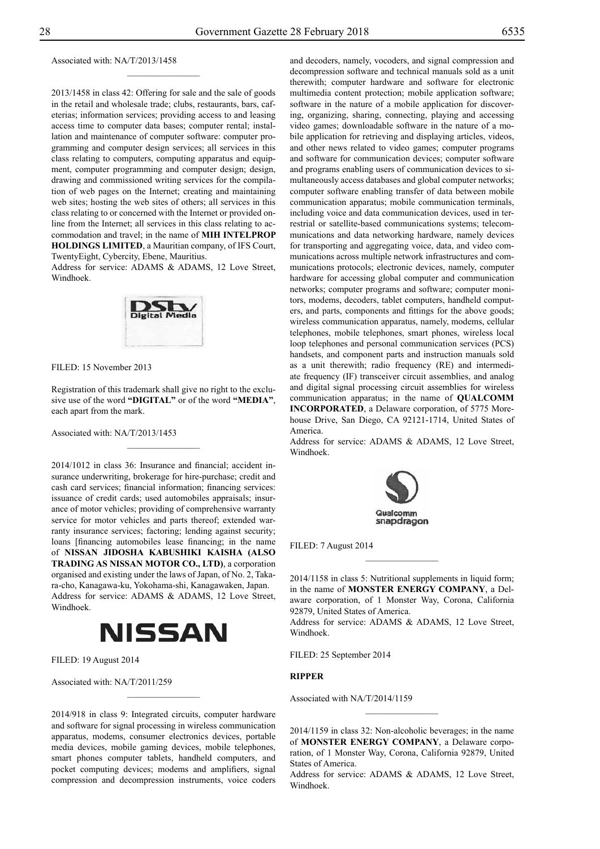Associated with: NA/T/2013/1458

2013/1458 in class 42: Offering for sale and the sale of goods in the retail and wholesale trade; clubs, restaurants, bars, cafeterias; information services; providing access to and leasing access time to computer data bases; computer rental; installation and maintenance of computer software: computer programming and computer design services; all services in this class relating to computers, computing apparatus and equipment, computer programming and computer design; design, drawing and commissioned writing services for the compilation of web pages on the Internet; creating and maintaining web sites; hosting the web sites of others; all services in this class relating to or concerned with the Internet or provided online from the Internet; all services in this class relating to accommodation and travel; in the name of **MIH INTELPROP HOLDINGS LIMITED**, a Mauritian company, of IFS Court, TwentyEight, Cybercity, Ebene, Mauritius.

 $\frac{1}{2}$ 

Address for service: ADAMS & ADAMS, 12 Love Street, Windhoek.



FILED: 15 November 2013

Registration of this trademark shall give no right to the exclusive use of the word **"DIGITAL"** or of the word **"MEDIA"**, each apart from the mark.

 $\frac{1}{2}$ 

Associated with: NA/T/2013/1453

2014/1012 in class 36: Insurance and financial; accident insurance underwriting, brokerage for hire-purchase; credit and cash card services; financial information; financing services: issuance of credit cards; used automobiles appraisals; insurance of motor vehicles; providing of comprehensive warranty service for motor vehicles and parts thereof; extended warranty insurance services; factoring; lending against security; loans [financing automobiles lease financing; in the name of **NISSAN JIDOSHA KABUSHIKI KAISHA (ALSO TRADING AS NISSAN MOTOR CO., LTD)**, a corporation organised and existing under the laws of Japan, of No. 2, Takara-cho, Kanagawa-ku, Yokohama-shi, Kanagawaken, Japan. Address for service: ADAMS & ADAMS, 12 Love Street, Windhoek.



Filed: 19 August 2014

Associated with: NA/T/2011/259

2014/918 in class 9: Integrated circuits, computer hardware and software for signal processing in wireless communication apparatus, modems, consumer electronics devices, portable media devices, mobile gaming devices, mobile telephones, smart phones computer tablets, handheld computers, and pocket computing devices; modems and amplifiers, signal compression and decompression instruments, voice coders

 $\frac{1}{2}$ 

and decoders, namely, vocoders, and signal compression and decompression software and technical manuals sold as a unit therewith; computer hardware and software for electronic multimedia content protection; mobile application software; software in the nature of a mobile application for discovering, organizing, sharing, connecting, playing and accessing video games; downloadable software in the nature of a mobile application for retrieving and displaying articles, videos, and other news related to video games; computer programs and software for communication devices; computer software and programs enabling users of communication devices to simultaneously access databases and global computer networks; computer software enabling transfer of data between mobile communication apparatus; mobile communication terminals, including voice and data communication devices, used in terrestrial or satellite-based communications systems; telecommunications and data networking hardware, namely devices for transporting and aggregating voice, data, and video communications across multiple network infrastructures and communications protocols; electronic devices, namely, computer hardware for accessing global computer and communication networks; computer programs and software; computer monitors, modems, decoders, tablet computers, handheld computers, and parts, components and fittings for the above goods; wireless communication apparatus, namely, modems, cellular telephones, mobile telephones, smart phones, wireless local loop telephones and personal communication services (PCS) handsets, and component parts and instruction manuals sold as a unit therewith; radio frequency (RE) and intermediate frequency (IF) transceiver circuit assemblies, and analog and digital signal processing circuit assemblies for wireless communication apparatus; in the name of **QUALCOMM INCORPORATED**, a Delaware corporation, of 5775 Morehouse Drive, San Diego, CA 92121-1714, United States of America.

Address for service: ADAMS & ADAMS, 12 Love Street, Windhoek.



Filed: 7 August 2014

2014/1158 in class 5: Nutritional supplements in liquid form; in the name of **MONSTER ENERGY COMPANY**, a Delaware corporation, of 1 Monster Way, Corona, California 92879, United States of America.

 $\frac{1}{2}$ 

Address for service: ADAMS & ADAMS, 12 Love Street, Windhoek.

FILED: 25 September 2014

## **RIPPER**

Associated with NA/T/2014/1159

2014/1159 in class 32: Non-alcoholic beverages; in the name of **MONSTER ENERGY COMPANY**, a Delaware corporation, of 1 Monster Way, Corona, California 92879, United States of America.

 $\frac{1}{2}$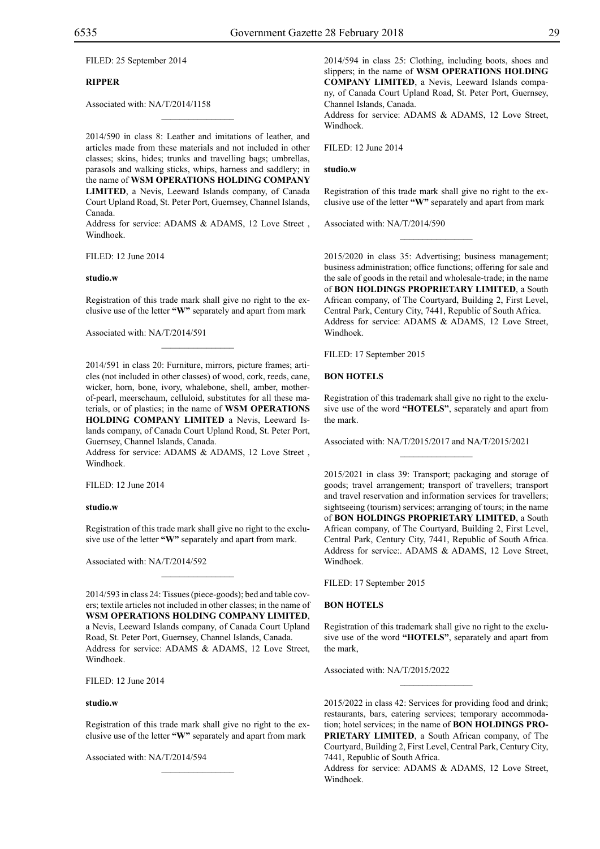FILED: 25 September 2014

## **RIPPER**

Associated with: NA/T/2014/1158

2014/590 in class 8: Leather and imitations of leather, and articles made from these materials and not included in other classes; skins, hides; trunks and travelling bags; umbrellas, parasols and walking sticks, whips, harness and saddlery; in the name of **WSM OPERATIONS HOLDING COMPANY LIMITED**, a Nevis, Leeward Islands company, of Canada

 $\mathcal{L}=\mathcal{L}^{\mathcal{L}}$ 

Court Upland Road, St. Peter Port, Guernsey, Channel Islands, Canada.

Address for service: ADAMS & ADAMS, 12 Love Street, Windhoek.

Filed: 12 June 2014

#### **studio.w**

Registration of this trade mark shall give no right to the exclusive use of the letter **"W"** separately and apart from mark

Associated with: NA/T/2014/591

2014/591 in class 20: Furniture, mirrors, picture frames; articles (not included in other classes) of wood, cork, reeds, cane, wicker, horn, bone, ivory, whalebone, shell, amber, motherof-pearl, meerschaum, celluloid, substitutes for all these materials, or of plastics; in the name of **WSM OPERATIONS HOLDING COMPANY LIMITED** a Nevis, Leeward Islands company, of Canada Court Upland Road, St. Peter Port, Guernsey, Channel Islands, Canada.

Address for service: ADAMS & ADAMS, 12 Love Street, Windhoek.

Filed: 12 June 2014

#### **studio.w**

Registration of this trade mark shall give no right to the exclusive use of the letter **"W"** separately and apart from mark.

 $\mathcal{L}=\mathcal{L}^{\mathcal{L}}$ 

Associated with: NA/T/2014/592

2014/593 in class 24: Tissues (piece-goods); bed and table covers; textile articles not included in other classes; in the name of **WSM OPERATIONS HOLDING COMPANY LIMITED**, a Nevis, Leeward Islands company, of Canada Court Upland Road, St. Peter Port, Guernsey, Channel Islands, Canada. Address for service: ADAMS & ADAMS, 12 Love Street, Windhoek.

Filed: 12 June 2014

#### **studio.w**

Registration of this trade mark shall give no right to the exclusive use of the letter **"W"** separately and apart from mark

 $\mathcal{L}=\mathcal{L}^{\mathcal{L}}$ 

Associated with: NA/T/2014/594

2014/594 in class 25: Clothing, including boots, shoes and slippers; in the name of **WSM OPERATIONS HOLDING COMPANY LIMITED**, a Nevis, Leeward Islands company, of Canada Court Upland Road, St. Peter Port, Guernsey, Channel Islands, Canada.

Address for service: ADAMS & ADAMS, 12 Love Street, Windhoek.

Filed: 12 June 2014

**studio.w**

Registration of this trade mark shall give no right to the exclusive use of the letter **"W"** separately and apart from mark

 $\frac{1}{2}$ 

Associated with: NA/T/2014/590

2015/2020 in class 35: Advertising; business management; business administration; office functions; offering for sale and the sale of goods in the retail and wholesale-trade; in the name of **BON HOLDINGS PROPRIETARY LIMITED**, a South African company, of The Courtyard, Building 2, First Level, Central Park, Century City, 7441, Republic of South Africa. Address for service: ADAMS & ADAMS, 12 Love Street, Windhoek.

Filed: 17 September 2015

#### **BON HOTELS**

Registration of this trademark shall give no right to the exclusive use of the word **"HOTELS"**, separately and apart from the mark.

Associated with: NA/T/2015/2017 and NA/T/2015/2021

2015/2021 in class 39: Transport; packaging and storage of goods; travel arrangement; transport of travellers; transport and travel reservation and information services for travellers; sightseeing (tourism) services; arranging of tours; in the name of **BON HOLDINGS PROPRIETARY LIMITED**, a South African company, of The Courtyard, Building 2, First Level, Central Park, Century City, 7441, Republic of South Africa. Address for service:. ADAMS & ADAMS, 12 Love Street, Windhoek.

Filed: 17 September 2015

#### **BON HOTELS**

Registration of this trademark shall give no right to the exclusive use of the word **"HOTELS"**, separately and apart from the mark,

 $\frac{1}{2}$ 

Associated with: NA/T/2015/2022

2015/2022 in class 42: Services for providing food and drink; restaurants, bars, catering services; temporary accommodation; hotel services; in the name of **BON HOLDINGS PRO-PRIETARY LIMITED**, a South African company, of The Courtyard, Building 2, First Level, Central Park, Century City, 7441, Republic of South Africa.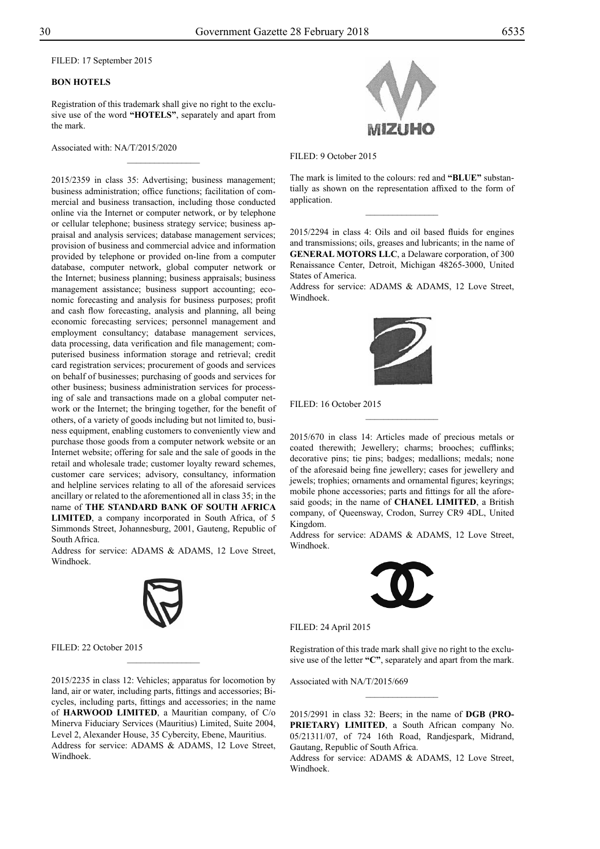Filed: 17 September 2015

## **BON HOTELS**

Registration of this trademark shall give no right to the exclusive use of the word **"HOTELS"**, separately and apart from the mark.

 $\overline{\phantom{a}}$  , where  $\overline{\phantom{a}}$ 

Associated with: NA/T/2015/2020

2015/2359 in class 35: Advertising; business management; business administration; office functions; facilitation of commercial and business transaction, including those conducted online via the Internet or computer network, or by telephone or cellular telephone; business strategy service; business appraisal and analysis services; database management services; provision of business and commercial advice and information provided by telephone or provided on-line from a computer database, computer network, global computer network or the Internet; business planning; business appraisals; business management assistance; business support accounting; economic forecasting and analysis for business purposes; profit and cash flow forecasting, analysis and planning, all being economic forecasting services; personnel management and employment consultancy; database management services, data processing, data verification and file management; computerised business information storage and retrieval; credit card registration services; procurement of goods and services on behalf of businesses; purchasing of goods and services for other business; business administration services for processing of sale and transactions made on a global computer network or the Internet; the bringing together, for the benefit of others, of a variety of goods including but not limited to, business equipment, enabling customers to conveniently view and purchase those goods from a computer network website or an Internet website; offering for sale and the sale of goods in the retail and wholesale trade; customer loyalty reward schemes, customer care services; advisory, consultancy, information and helpline services relating to all of the aforesaid services ancillary or related to the aforementioned all in class 35; in the name of **THE STANDARD BANK OF SOUTH AFRICA LIMITED**, a company incorporated in South Africa, of 5 Simmonds Street, Johannesburg, 2001, Gauteng, Republic of South Africa.

Address for service: ADAMS & ADAMS, 12 Love Street, Windhoek.



Filed: 22 October 2015

2015/2235 in class 12: Vehicles; apparatus for locomotion by land, air or water, including parts, fittings and accessories; Bicycles, including parts, fittings and accessories; in the name of **HARWOOD LIMITED**, a Mauritian company, of C/o Minerva Fiduciary Services (Mauritius) Limited, Suite 2004, Level 2, Alexander House, 35 Cybercity, Ebene, Mauritius. Address for service: ADAMS & ADAMS, 12 Love Street, Windhoek.

 $\frac{1}{2}$ 



Filed: 9 October 2015

The mark is limited to the colours: red and "BLUE" substantially as shown on the representation affixed to the form of application.

 $\frac{1}{2}$ 

2015/2294 in class 4: Oils and oil based fluids for engines and transmissions; oils, greases and lubricants; in the name of **GENERAL MOTORS LLC**, a Delaware corporation, of 300 Renaissance Center, Detroit, Michigan 48265-3000, United States of America.

Address for service: ADAMS & ADAMS, 12 Love Street, Windhoek.



Filed: 16 October 2015

2015/670 in class 14: Articles made of precious metals or coated therewith; Jewellery; charms; brooches; cufflinks; decorative pins; tie pins; badges; medallions; medals; none of the aforesaid being fine jewellery; cases for jewellery and jewels; trophies; ornaments and ornamental figures; keyrings; mobile phone accessories; parts and fittings for all the aforesaid goods; in the name of **CHANEL LIMITED**, a British company, of Queensway, Crodon, Surrey CR9 4DL, United Kingdom.

 $\frac{1}{2}$ 

Address for service: ADAMS & ADAMS, 12 Love Street, Windhoek.



Filed: 24 April 2015

Registration of this trade mark shall give no right to the exclusive use of the letter **"C"**, separately and apart from the mark.

 $\frac{1}{2}$ 

Associated with NA/T/2015/669

2015/2991 in class 32: Beers; in the name of **DGB (PRO-PRIETARY) LIMITED**, a South African company No. 05/21311/07, of 724 16th Road, Randjespark, Midrand, Gautang, Republic of South Africa.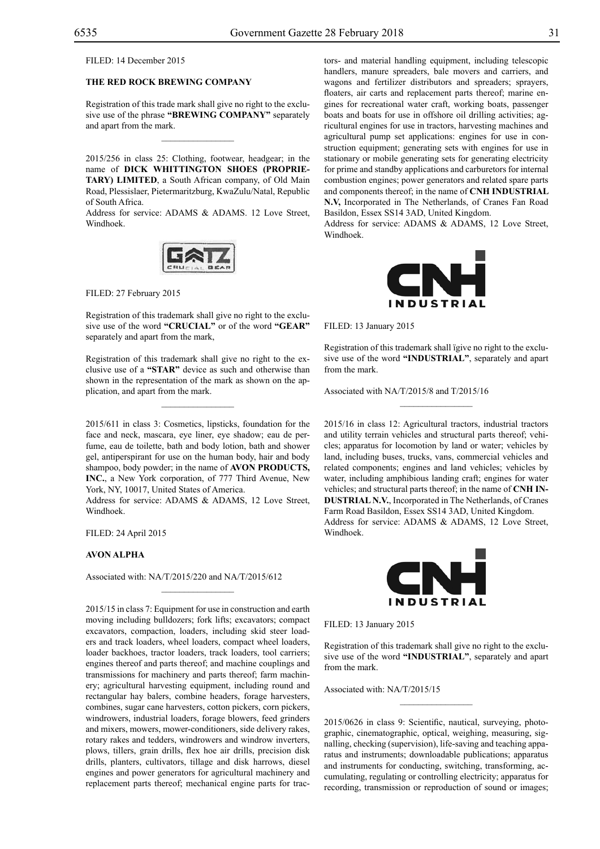FILED: 14 December 2015

## **THE RED ROCK BREWING COMPANY**

Registration of this trade mark shall give no right to the exclusive use of the phrase **"BREWING COMPANY"** separately and apart from the mark.

 $\mathcal{L}=\mathcal{L}^{\mathcal{L}}$ 

2015/256 in class 25: Clothing, footwear, headgear; in the name of **DICK WHITTINGTON SHOES (PROPRIE-TARY) LIMITED**, a South African company, of Old Main Road, Plessislaer, Pietermaritzburg, KwaZulu/Natal, Republic of South Africa.

Address for service: ADAMS & ADAMS. 12 Love Street, Windhoek.



FILED: 27 February 2015

Registration of this trademark shall give no right to the exclusive use of the word **"CRUCIAL"** or of the word **"GEAR"**  separately and apart from the mark,

Registration of this trademark shall give no right to the exclusive use of a **"STAR"** device as such and otherwise than shown in the representation of the mark as shown on the application, and apart from the mark.

 $\overline{\phantom{a}}$  , where  $\overline{\phantom{a}}$ 

2015/611 in class 3: Cosmetics, lipsticks, foundation for the face and neck, mascara, eye liner, eye shadow; eau de perfume, eau de toilette, bath and body lotion, bath and shower gel, antiperspirant for use on the human body, hair and body shampoo, body powder; in the name of **AVON PRODUCTS, INC.**, a New York corporation, of 777 Third Avenue, New York, NY, 10017, United States of America.

Address for service: ADAMS & ADAMS, 12 Love Street, Windhoek.

Filed: 24 April 2015

## **AVON ALPHA**

Associated with: NA/T/2015/220 and NA/T/2015/612

 $\mathcal{L}=\mathcal{L}^{\mathcal{L}}$ 

2015/15 in class 7: Equipment for use in construction and earth moving including bulldozers; fork lifts; excavators; compact excavators, compaction, loaders, including skid steer loaders and track loaders, wheel loaders, compact wheel loaders, loader backhoes, tractor loaders, track loaders, tool carriers; engines thereof and parts thereof; and machine couplings and transmissions for machinery and parts thereof; farm machinery; agricultural harvesting equipment, including round and rectangular hay balers, combine headers, forage harvesters, combines, sugar cane harvesters, cotton pickers, corn pickers, windrowers, industrial loaders, forage blowers, feed grinders and mixers, mowers, mower-conditioners, side delivery rakes, rotary rakes and tedders, windrowers and windrow inverters, plows, tillers, grain drills, flex hoe air drills, precision disk drills, planters, cultivators, tillage and disk harrows, diesel engines and power generators for agricultural machinery and replacement parts thereof; mechanical engine parts for tractors- and material handling equipment, including telescopic handlers, manure spreaders, bale movers and carriers, and wagons and fertilizer distributors and spreaders; sprayers, floaters, air carts and replacement parts thereof; marine engines for recreational water craft, working boats, passenger boats and boats for use in offshore oil drilling activities; agricultural engines for use in tractors, harvesting machines and agricultural pump set applications: engines for use in construction equipment; generating sets with engines for use in stationary or mobile generating sets for generating electricity for prime and standby applications and carburetors for internal combustion engines; power generators and related spare parts and components thereof; in the name of **CNH INDUSTRIAL N.V,** Incorporated in The Netherlands, of Cranes Fan Road Basildon, Essex SS14 3AD, United Kingdom.

Address for service: ADAMS & ADAMS, 12 Love Street, Windhoek.



Filed: 13 January 2015

Registration of this trademark shall ïgive no right to the exclusive use of the word **"INDUSTRIAL"**, separately and apart from the mark.

 $\frac{1}{2}$ 

Associated with NA/T/2015/8 and T/2015/16

2015/16 in class 12: Agricultural tractors, industrial tractors and utility terrain vehicles and structural parts thereof; vehicles; apparatus for locomotion by land or water; vehicles by land, including buses, trucks, vans, commercial vehicles and related components; engines and land vehicles; vehicles by water, including amphibious landing craft; engines for water vehicles; and structural parts thereof; in the name of **CNH IN-DUSTRIAL N.V.**, Incorporated in The Netherlands, of Cranes Farm Road Basildon, Essex SS14 3AD, United Kingdom. Address for service: ADAMS & ADAMS, 12 Love Street, Windhoek.



FILED: 13 January 2015

Registration of this trademark shall give no right to the exclusive use of the word **"INDUSTRIAL"**, separately and apart from the mark.

 $\frac{1}{2}$ 

Associated with: NA/T/2015/15

2015/0626 in class 9: Scientific, nautical, surveying, photographic, cinematographic, optical, weighing, measuring, signalling, checking (supervision), life-saving and teaching apparatus and instruments; downloadable publications; apparatus and instruments for conducting, switching, transforming, accumulating, regulating or controlling electricity; apparatus for recording, transmission or reproduction of sound or images;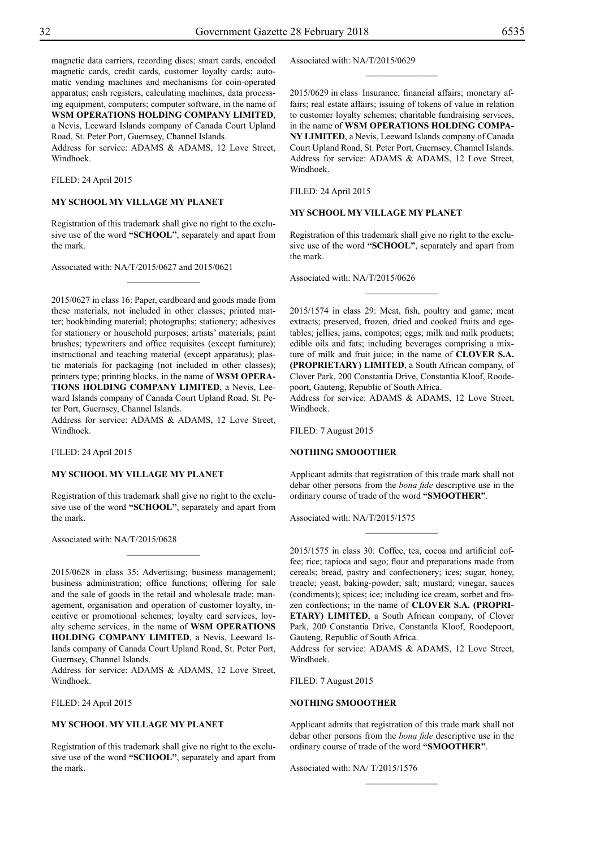magnetic data carriers, recording discs; smart cards, encoded magnetic cards, credit cards, customer loyalty cards; automatic vending machines and mechanisms for coin-operated apparatus; cash registers, calculating machines, data processing equipment, computers; computer software, in the name of **WSM OPERATIONS HOLDING COMPANY LIMITED**, a Nevis, Leeward Islands company of Canada Court Upland

Road, St. Peter Port, Guernsey, Channel Islands. Address for service: ADAMS & ADAMS, 12 Love Street, Windhoek.

Filed: 24 April 2015

## **MY SCHOOL MY VILLAGE MY PLANET**

Registration of this trademark shall give no right to the exclusive use of the word **"SCHOOL"**, separately and apart from the mark.

 $\frac{1}{2}$ 

Associated with: NA/T/2015/0627 and 2015/0621

2015/0627 in class 16: Paper, cardboard and goods made from these materials, not included in other classes; printed matter; bookbinding material; photographs; stationery; adhesives for stationery or household purposes; artists' materials; paint brushes; typewriters and office requisites (except furniture); instructional and teaching material (except apparatus); plastic materials for packaging (not included in other classes); printers type; printing blocks, in the name of **WSM OPERA-TIONS HOLDING COMPANY LIMITED**, a Nevis, Leeward Islands company of Canada Court Upland Road, St. Peter Port, Guernsey, Channel Islands.

Address for service: ADAMS & ADAMS, 12 Love Street, Windhoek.

Filed: 24 April 2015

#### **MY SCHOOL MY VILLAGE MY PLANET**

Registration of this trademark shall give no right to the exclusive use of the word **"SCHOOL"**, separately and apart from the mark.

 $\overline{\phantom{a}}$  , where  $\overline{\phantom{a}}$ 

Associated with: NA/T/2015/0628

2015/0628 in class 35: Advertising; business management; business administration; office functions; offering for sale and the sale of goods in the retail and wholesale trade; management, organisation and operation of customer loyalty, incentive or promotional schemes; loyalty card services, loyalty scheme services, in the name of **WSM OPERATIONS HOLDING COMPANY LIMITED**, a Nevis, Leeward Islands company of Canada Court Upland Road, St. Peter Port, Guernsey, Channel Islands.

Address for service: ADAMS & ADAMS, 12 Love Street, Windhoek.

Filed: 24 April 2015

## **MY SCHOOL MY VILLAGE MY PLANET**

Registration of this trademark shall give no right to the exclusive use of the word **"SCHOOL"**, separately and apart from the mark.

Associated with: NA/T/2015/0629

2015/0629 in class Insurance; financial affairs; monetary affairs; real estate affairs; issuing of tokens of value in relation to customer loyalty schemes; charitable fundraising services, in the name of **WSM OPERATIONS HOLDING COMPA-NY LIMITED**, a Nevis, Leeward Islands company of Canada Court Upland Road, St. Peter Port, Guernsey, Channel Islands. Address for service: ADAMS & ADAMS, 12 Love Street, Windhoek.

 $\frac{1}{2}$ 

Filed: 24 April 2015

## **MY SCHOOL MY VILLAGE MY PLANET**

Registration of this trademark shall give no right to the exclusive use of the word **"SCHOOL"**, separately and apart from the mark.

 $\frac{1}{2}$ 

Associated with: NA/T/2015/0626

2015/1574 in class 29: Meat, fish, poultry and game; meat extracts; preserved, frozen, dried and cooked fruits and egetables; jellies, jams, compotes; eggs; milk and milk products; edible oils and fats; including beverages comprising a mixture of milk and fruit juice; in the name of **CLOVER S.A. (PROPRIETARY) LIMITED**, a South African company, of Clover Park, 200 Constantia Drive, Constantia Kloof, Roodepoort, Gauteng, Republic of South Africa.

Address for service: ADAMS & ADAMS, 12 Love Street, Windhoek.

FILED: 7 August 2015

#### **NOTHING SMOOOTHER**

Applicant admits that registration of this trade mark shall not debar other persons from the *bona fide* descriptive use in the ordinary course of trade of the word **"SMOOTHER"**.

 $\frac{1}{2}$ 

Associated with: NA/T/2015/1575

2015/1575 in class 30: Coffee, tea, cocoa and artificial coffee; rice; tapioca and sago; flour and preparations made from cereals; bread, pastry and confectionery; ices; sugar, honey, treacle; yeast, baking-powder; salt; mustard; vinegar, sauces (condiments); spices; ice; including ice cream, sorbet and frozen confections; in the name of **CLOVER S.A. (PROPRI-ETARY) LIMITED**, a South African company, of Clover Park, 200 Constantia Drive, Constantla Kloof, Roodepoort, Gauteng, Republic of South Africa.

Address for service: ADAMS & ADAMS, 12 Love Street, Windhoek.

Filed: 7 August 2015

## **NOTHING SMOOOTHER**

Applicant admits that registration of this trade mark shall not debar other persons from the *bona fide* descriptive use in the ordinary course of trade of the word **"SMOOTHER"**.

 $\frac{1}{2}$ 

Associated with: NA/ T/2015/1576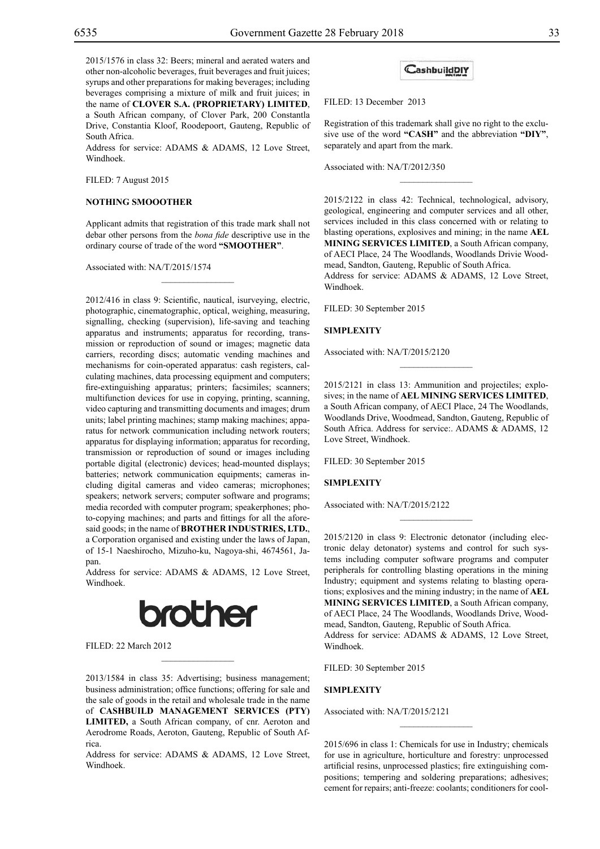2015/1576 in class 32: Beers; mineral and aerated waters and other non-alcoholic beverages, fruit beverages and fruit juices; syrups and other preparations for making beverages; including beverages comprising a mixture of milk and fruit juices; in the name of **CLOVER S.A. (PROPRIETARY) LIMITED**, a South African company, of Clover Park, 200 Constantla Drive, Constantia Kloof, Roodepoort, Gauteng, Republic of South Africa.

Address for service: ADAMS & ADAMS, 12 Love Street, Windhoek.

Filed: 7 August 2015

## **NOTHING SMOOOTHER**

Applicant admits that registration of this trade mark shall not debar other persons from the *bona fide* descriptive use in the ordinary course of trade of the word **"SMOOTHER"**.

 $\mathcal{L}=\mathcal{L}^{\mathcal{L}}$ 

Associated with: NA/T/2015/1574

2012/416 in class 9: Scientific, nautical, isurveying, electric, photographic, cinematographic, optical, weighing, measuring, signalling, checking (supervision), life-saving and teaching apparatus and instruments; apparatus for recording, transmission or reproduction of sound or images; magnetic data carriers, recording discs; automatic vending machines and mechanisms for coin-operated apparatus: cash registers, calculating machines, data processing equipment and computers; fire-extinguishing apparatus; printers; facsimiles; scanners; multifunction devices for use in copying, printing, scanning, video capturing and transmitting documents and images; drum units; label printing machines; stamp making machines; apparatus for network communication including network routers; apparatus for displaying information; apparatus for recording, transmission or reproduction of sound or images including portable digital (electronic) devices; head-mounted displays; batteries; network communication equipments; cameras including digital cameras and video cameras; microphones; speakers; network servers; computer software and programs; media recorded with computer program; speakerphones; photo-copying machines; and parts and fittings for all the aforesaid goods; in the name of **BROTHER INDUSTRIES, LTD.**, a Corporation organised and existing under the laws of Japan, of 15-1 Naeshirocho, Mizuho-ku, Nagoya-shi, 4674561, Japan.

Address for service: ADAMS & ADAMS, 12 Love Street, Windhoek.



 $\mathcal{L}=\mathcal{L}^{\mathcal{L}}$ 

Filed: 22 March 2012

2013/1584 in class 35: Advertising; business management; business administration; office functions; offering for sale and the sale of goods in the retail and wholesale trade in the name of **CASHBUILD MANAGEMENT SERVICES (PTY) LIMITED,** a South African company, of cnr. Aeroton and Aerodrome Roads, Aeroton, Gauteng, Republic of South Africa.

Address for service: ADAMS & ADAMS, 12 Love Street, Windhoek.

## CashbuildDIY

FILED: 13 December 2013

Registration of this trademark shall give no right to the exclusive use of the word **"CASH"** and the abbreviation **"DIY"**, separately and apart from the mark.

 $\frac{1}{2}$ 

Associated with: NA/T/2012/350

2015/2122 in class 42: Technical, technological, advisory, geological, engineering and computer services and all other, services included in this class concerned with or relating to blasting operations, explosives and mining; in the name **AEL MINING SERVICES LIMITED**, a South African company, of AECI Place, 24 The Woodlands, Woodlands Drivie Woodmead, Sandton, Gauteng, Republic of South Africa.

Address for service: ADAMS & ADAMS, 12 Love Street, Windhoek.

Filed: 30 September 2015

#### **SIMPLEXITY**

Associated with: NA/T/2015/2120

2015/2121 in class 13: Ammunition and projectiles; explosives; in the name of **AEL MINING SERVICES LIMITED**, a South African company, of AECI Place, 24 The Woodlands, Woodlands Drive, Woodmead, Sandton, Gauteng, Republic of South Africa. Address for service:. ADAMS & ADAMS, 12 Love Street, Windhoek.

 $\frac{1}{2}$ 

FILED: 30 September 2015

## **SIMPLEXITY**

Associated with: NA/T/2015/2122

2015/2120 in class 9: Electronic detonator (including electronic delay detonator) systems and control for such systems including computer software programs and computer peripherals for controlling blasting operations in the mining Industry; equipment and systems relating to blasting operations; explosives and the mining industry; in the name of **AEL MINING SERVICES LIMITED**, a South African company, of AECI Place, 24 The Woodlands, Woodlands Drive, Woodmead, Sandton, Gauteng, Republic of South Africa. Address for service: ADAMS & ADAMS, 12 Love Street, Windhoek.

 $\frac{1}{2}$ 

FILED: 30 September 2015

#### **SIMPLEXITY**

Associated with: NA/T/2015/2121

2015/696 in class 1: Chemicals for use in Industry; chemicals for use in agriculture, horticulture and forestry: unprocessed artificial resins, unprocessed plastics; fire extinguishing compositions; tempering and soldering preparations; adhesives; cement for repairs; anti-freeze: coolants; conditioners for cool-

 $\overline{\phantom{a}}$  , where  $\overline{\phantom{a}}$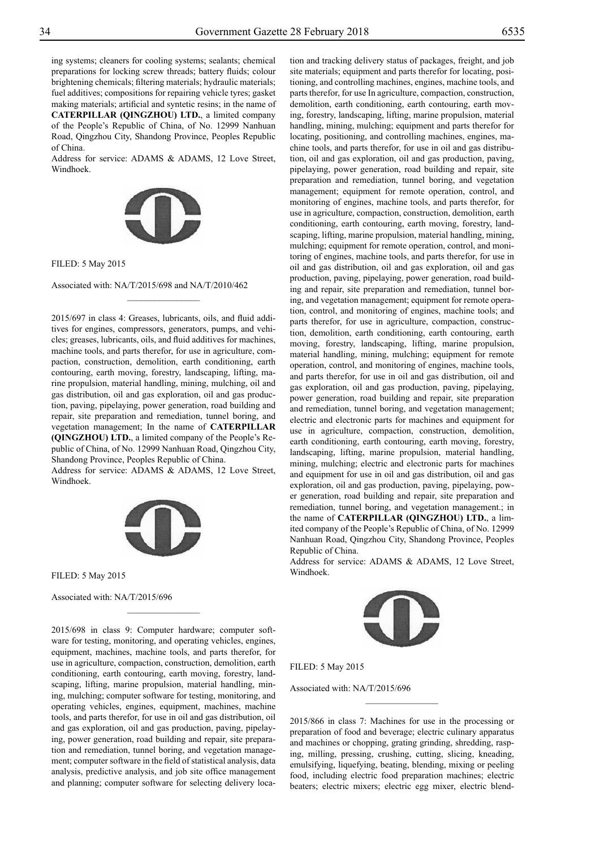ing systems; cleaners for cooling systems; sealants; chemical preparations for locking screw threads; battery fluids; colour brightening chemicals; filtering materials; hydraulic materials; fuel additives; compositions for repairing vehicle tyres; gasket making materials; artificial and syntetic resins; in the name of **CATERPILLAR (QINGZHOU) LTD.**, a limited company of the People's Republic of China, of No. 12999 Nanhuan

Road, Qingzhou City, Shandong Province, Peoples Republic of China.

Address for service: ADAMS & ADAMS, 12 Love Street, Windhoek.



Filed: 5 May 2015

Associated with: NA/T/2015/698 and NA/T/2010/462

 $\frac{1}{2}$ 

2015/697 in class 4: Greases, lubricants, oils, and fluid additives for engines, compressors, generators, pumps, and vehicles; greases, lubricants, oils, and fluid additives for machines, machine tools, and parts therefor, for use in agriculture, compaction, construction, demolition, earth conditioning, earth contouring, earth moving, forestry, landscaping, lifting, marine propulsion, material handling, mining, mulching, oil and gas distribution, oil and gas exploration, oil and gas production, paving, pipelaying, power generation, road building and repair, site preparation and remediation, tunnel boring, and vegetation management; In the name of **CATERPILLAR (QINGZHOU) LTD.**, a limited company of the People's Republic of China, of No. 12999 Nanhuan Road, Qingzhou City, Shandong Province, Peoples Republic of China.

Address for service: ADAMS & ADAMS, 12 Love Street, Windhoek.



 $\overline{\phantom{a}}$  , where  $\overline{\phantom{a}}$ 

Filed: 5 May 2015

Associated with: NA/T/2015/696

2015/698 in class 9: Computer hardware; computer software for testing, monitoring, and operating vehicles, engines, equipment, machines, machine tools, and parts therefor, for use in agriculture, compaction, construction, demolition, earth conditioning, earth contouring, earth moving, forestry, landscaping, lifting, marine propulsion, material handling, mining, mulching; computer software for testing, monitoring, and operating vehicles, engines, equipment, machines, machine tools, and parts therefor, for use in oil and gas distribution, oil and gas exploration, oil and gas production, paving, pipelaying, power generation, road building and repair, site preparation and remediation, tunnel boring, and vegetation management; computer software in the field of statistical analysis, data analysis, predictive analysis, and job site office management and planning; computer software for selecting delivery location and tracking delivery status of packages, freight, and job site materials; equipment and parts therefor for locating, posi-

tioning, and controlling machines, engines, machine tools, and parts therefor, for use In agriculture, compaction, construction, demolition, earth conditioning, earth contouring, earth moving, forestry, landscaping, lifting, marine propulsion, material handling, mining, mulching; equipment and parts therefor for locating, positioning, and controlling machines, engines, machine tools, and parts therefor, for use in oil and gas distribution, oil and gas exploration, oil and gas production, paving, pipelaying, power generation, road building and repair, site preparation and remediation, tunnel boring, and vegetation management; equipment for remote operation, control, and monitoring of engines, machine tools, and parts therefor, for use in agriculture, compaction, construction, demolition, earth conditioning, earth contouring, earth moving, forestry, landscaping, lifting, marine propulsion, material handling, mining, mulching; equipment for remote operation, control, and monitoring of engines, machine tools, and parts therefor, for use in oil and gas distribution, oil and gas exploration, oil and gas production, paving, pipelaying, power generation, road building and repair, site preparation and remediation, tunnel boring, and vegetation management; equipment for remote operation, control, and monitoring of engines, machine tools; and parts therefor, for use in agriculture, compaction, construction, demolition, earth conditioning, earth contouring, earth moving, forestry, landscaping, lifting, marine propulsion, material handling, mining, mulching; equipment for remote operation, control, and monitoring of engines, machine tools, and parts therefor, for use in oil and gas distribution, oil and gas exploration, oil and gas production, paving, pipelaying, power generation, road building and repair, site preparation and remediation, tunnel boring, and vegetation management; electric and electronic parts for machines and equipment for use in agriculture, compaction, construction, demolition, earth conditioning, earth contouring, earth moving, forestry, landscaping, lifting, marine propulsion, material handling, mining, mulching; electric and electronic parts for machines and equipment for use in oil and gas distribution, oil and gas exploration, oil and gas production, paving, pipelaying, power generation, road building and repair, site preparation and remediation, tunnel boring, and vegetation management.; in the name of **CATERPILLAR (QINGZHOU) LTD.**, a limited company of the People's Republic of China, of No. 12999 Nanhuan Road, Qingzhou City, Shandong Province, Peoples Republic of China.

Address for service: ADAMS & ADAMS, 12 Love Street, Windhoek.



Filed: 5 May 2015

Associated with: NA/T/2015/696

2015/866 in class 7: Machines for use in the processing or preparation of food and beverage; electric culinary apparatus and machines or chopping, grating grinding, shredding, rasping, milling, pressing, crushing, cutting, slicing, kneading, emulsifying, liquefying, beating, blending, mixing or peeling food, including electric food preparation machines; electric beaters; electric mixers; electric egg mixer, electric blend-

 $\frac{1}{2}$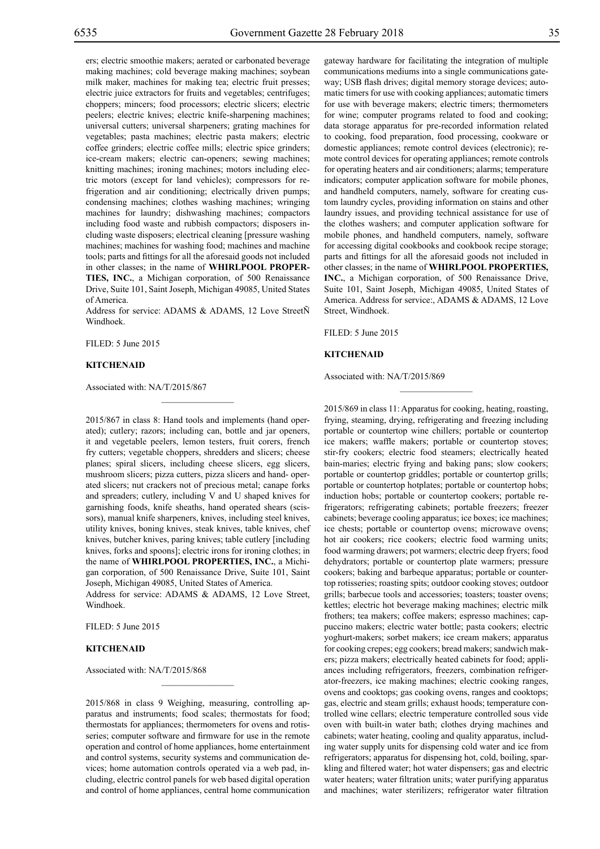ers; electric smoothie makers; aerated or carbonated beverage making machines; cold beverage making machines; soybean milk maker, machines for making tea; electric fruit presses; electric juice extractors for fruits and vegetables; centrifuges; choppers; mincers; food processors; electric slicers; electric peelers; electric knives; electric knife-sharpening machines; universal cutters; universal sharpeners; grating machines for vegetables; pasta machines; electric pasta makers; electric coffee grinders; electric coffee mills; electric spice grinders; ice-cream makers; electric can-openers; sewing machines; knitting machines; ironing machines; motors including electric motors (except for land vehicles); compressors for refrigeration and air conditioning; electrically driven pumps; condensing machines; clothes washing machines; wringing machines for laundry; dishwashing machines; compactors including food waste and rubbish compactors; disposers including waste disposers; electrical cleaning [pressure washing machines; machines for washing food; machines and machine tools; parts and fittings for all the aforesaid goods not included in other classes; in the name of **WHIRLPOOL PROPER-TIES, INC.**, a Michigan corporation, of 500 Renaissance Drive, Suite 101, Saint Joseph, Michigan 49085, United States of America.

Address for service: ADAMS & ADAMS, 12 Love StreetÑ Windhoek.

Filed: 5 June 2015

#### **KITCHENAID**

Associated with: NA/T/2015/867

2015/867 in class 8: Hand tools and implements (hand operated); cutlery; razors; including can, bottle and jar openers, it and vegetable peelers, lemon testers, fruit corers, french fry cutters; vegetable choppers, shredders and slicers; cheese planes; spiral slicers, including cheese slicers, egg slicers, mushroom slicers; pizza cutters, pizza slicers and hand- operated slicers; nut crackers not of precious metal; canape forks and spreaders; cutlery, including V and U shaped knives for garnishing foods, knife sheaths, hand operated shears (scissors), manual knife sharpeners, knives, including steel knives, utility knives, boning knives, steak knives, table knives, chef knives, butcher knives, paring knives; table cutlery [including knives, forks and spoons]; electric irons for ironing clothes; in the name of **WHIRLPOOL PROPERTIES, INC.**, a Michigan corporation, of 500 Renaissance Drive, Suite 101, Saint Joseph, Michigan 49085, United States of America.

Address for service: ADAMS & ADAMS, 12 Love Street, Windhoek.

Filed: 5 June 2015

## **KITCHENAID**

Associated with: NA/T/2015/868

2015/868 in class 9 Weighing, measuring, controlling apparatus and instruments; food scales; thermostats for food; thermostats for appliances; thermometers for ovens and rotisseries; computer software and firmware for use in the remote operation and control of home appliances, home entertainment and control systems, security systems and communication devices; home automation controls operated via a web pad, including, electric control panels for web based digital operation and control of home appliances, central home communication

 $\mathcal{L}=\mathcal{L}^{\mathcal{L}}$ 

gateway hardware for facilitating the integration of multiple communications mediums into a single communications gateway; USB flash drives; digital memory storage devices; automatic timers for use with cooking appliances; automatic timers for use with beverage makers; electric timers; thermometers for wine; computer programs related to food and cooking; data storage apparatus for pre-recorded information related to cooking, food preparation, food processing, cookware or domestic appliances; remote control devices (electronic); remote control devices for operating appliances; remote controls for operating heaters and air conditioners; alarms; temperature indicators; computer application software for mobile phones, and handheld computers, namely, software for creating custom laundry cycles, providing information on stains and other laundry issues, and providing technical assistance for use of the clothes washers; and computer application software for mobile phones, and handheld computers, namely, software for accessing digital cookbooks and cookbook recipe storage; parts and fittings for all the aforesaid goods not included in other classes; in the name of **WHIRLPOOL PROPERTIES, INC.**, a Michigan corporation, of 500 Renaissance Drive, Suite 101, Saint Joseph, Michigan 49085, United States of America. Address for service:, ADAMS & ADAMS, 12 Love Street, Windhoek.

 $\overline{\phantom{a}}$  , where  $\overline{\phantom{a}}$ 

FILED: 5 June 2015

## **KITCHENAID**

Associated with: NA/T/2015/869

2015/869 in class 11: Apparatus for cooking, heating, roasting, frying, steaming, drying, refrigerating and freezing including portable or countertop wine chillers; portable or countertop ice makers; waffle makers; portable or countertop stoves; stir-fry cookers; electric food steamers; electrically heated bain-maries; electric frying and baking pans; slow cookers; portable or countertop griddles; portable or countertop grills; portable or countertop hotplates; portable or countertop hobs; induction hobs; portable or countertop cookers; portable refrigerators; refrigerating cabinets; portable freezers; freezer cabinets; beverage cooling apparatus; ice boxes; ice machines; ice chests; portable or countertop ovens; microwave ovens; hot air cookers; rice cookers; electric food warming units; food warming drawers; pot warmers; electric deep fryers; food dehydrators; portable or countertop plate warmers; pressure cookers; baking and barbeque apparatus; portable or countertop rotisseries; roasting spits; outdoor cooking stoves; outdoor grills; barbecue tools and accessories; toasters; toaster ovens; kettles; electric hot beverage making machines; electric milk frothers; tea makers; coffee makers; espresso machines; cappuccino makers; electric water bottle; pasta cookers; electric yoghurt-makers; sorbet makers; ice cream makers; apparatus for cooking crepes; egg cookers; bread makers; sandwich makers; pizza makers; electrically heated cabinets for food; appliances including refrigerators, freezers, combination refrigerator-freezers, ice making machines; electric cooking ranges, ovens and cooktops; gas cooking ovens, ranges and cooktops; gas, electric and steam grills; exhaust hoods; temperature controlled wine cellars; electric temperature controlled sous vide oven with built-in water bath; clothes drying machines and cabinets; water heating, cooling and quality apparatus, including water supply units for dispensing cold water and ice from refrigerators; apparatus for dispensing hot, cold, boiling, sparkling and filtered water; hot water dispensers; gas and electric water heaters; water filtration units; water purifying apparatus and machines; water sterilizers; refrigerator water filtration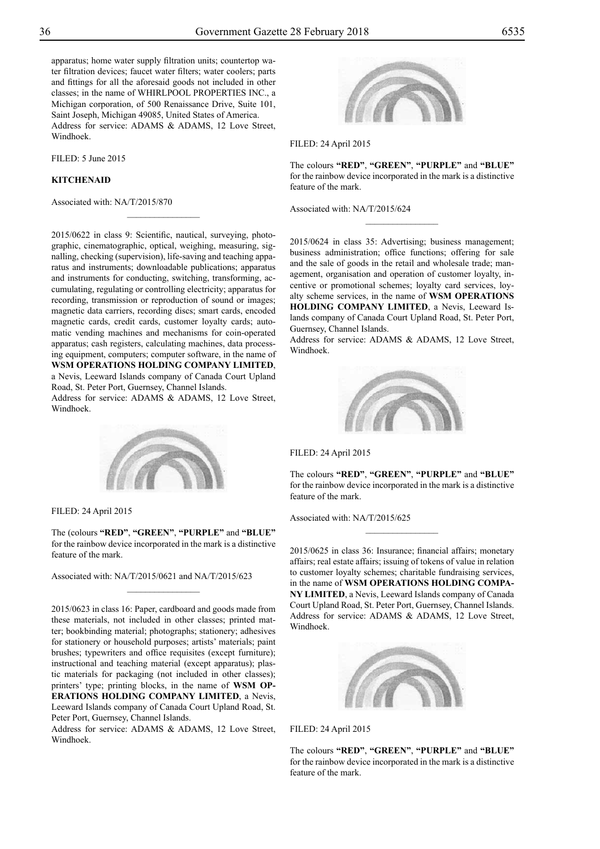apparatus; home water supply filtration units; countertop water filtration devices; faucet water filters; water coolers; parts and fittings for all the aforesaid goods not included in other classes; in the name of WHIRLPOOL PROPERTIES INC., a Michigan corporation, of 500 Renaissance Drive, Suite 101, Saint Joseph, Michigan 49085, United States of America. Address for service: ADAMS & ADAMS, 12 Love Street, Windhoek.

FILED: 5 June 2015

## **KITCHENAID**

Associated with: NA/T/2015/870



Filed: 24 April 2015

The colours **"RED"**, **"GREEN"**, **"PURPLE"** and **"BLUE"** for the rainbow device incorporated in the mark is a distinctive feature of the mark.

 $\frac{1}{2}$ 

Associated with: NA/T/2015/624

2015/0622 in class 9: Scientific, nautical, surveying, photographic, cinematographic, optical, weighing, measuring, signalling, checking (supervision), life-saving and teaching apparatus and instruments; downloadable publications; apparatus and instruments for conducting, switching, transforming, accumulating, regulating or controlling electricity; apparatus for recording, transmission or reproduction of sound or images; magnetic data carriers, recording discs; smart cards, encoded magnetic cards, credit cards, customer loyalty cards; automatic vending machines and mechanisms for coin-operated apparatus; cash registers, calculating machines, data processing equipment, computers; computer software, in the name of **WSM OPERATIONS HOLDING COMPANY LIMITED**, a Nevis, Leeward Islands company of Canada Court Upland Road, St. Peter Port, Guernsey, Channel Islands.

 $\overline{\phantom{a}}$  , where  $\overline{\phantom{a}}$ 

Address for service: ADAMS & ADAMS, 12 Love Street, Windhoek.



Filed: 24 April 2015

The (colours **"RED"**, **"GREEN"**, **"PURPLE"** and **"BLUE"** for the rainbow device incorporated in the mark is a distinctive feature of the mark.

 $\frac{1}{2}$ 

Associated with: NA/T/2015/0621 and NA/T/2015/623

2015/0623 in class 16: Paper, cardboard and goods made from these materials, not included in other classes; printed matter; bookbinding material; photographs; stationery; adhesives for stationery or household purposes; artists' materials; paint brushes; typewriters and office requisites (except furniture); instructional and teaching material (except apparatus); plastic materials for packaging (not included in other classes); printers' type; printing blocks, in the name of **WSM OP-ERATIONS HOLDING COMPANY LIMITED**, a Nevis, Leeward Islands company of Canada Court Upland Road, St. Peter Port, Guernsey, Channel Islands.

Address for service: ADAMS & ADAMS, 12 Love Street, Windhoek.

2015/0624 in class 35: Advertising; business management; business administration; office functions; offering for sale and the sale of goods in the retail and wholesale trade; management, organisation and operation of customer loyalty, incentive or promotional schemes; loyalty card services, loyalty scheme services, in the name of **WSM OPERATIONS HOLDING COMPANY LIMITED**, a Nevis, Leeward Islands company of Canada Court Upland Road, St. Peter Port, Guernsey, Channel Islands.

Address for service: ADAMS & ADAMS, 12 Love Street, Windhoek.



Filed: 24 April 2015

The colours **"RED"**, **"GREEN"**, **"PURPLE"** and **"BLUE"** for the rainbow device incorporated in the mark is a distinctive feature of the mark.

Associated with: NA/T/2015/625

2015/0625 in class 36: Insurance; financial affairs; monetary affairs; real estate affairs; issuing of tokens of value in relation to customer loyalty schemes; charitable fundraising services, in the name of **WSM OPERATIONS HOLDING COMPA-NY LIMITED**, a Nevis, Leeward Islands company of Canada Court Upland Road, St. Peter Port, Guernsey, Channel Islands. Address for service: ADAMS & ADAMS, 12 Love Street, Windhoek.



Filed: 24 April 2015

The colours **"RED"**, **"GREEN"**, **"PURPLE"** and **"BLUE"** for the rainbow device incorporated in the mark is a distinctive feature of the mark.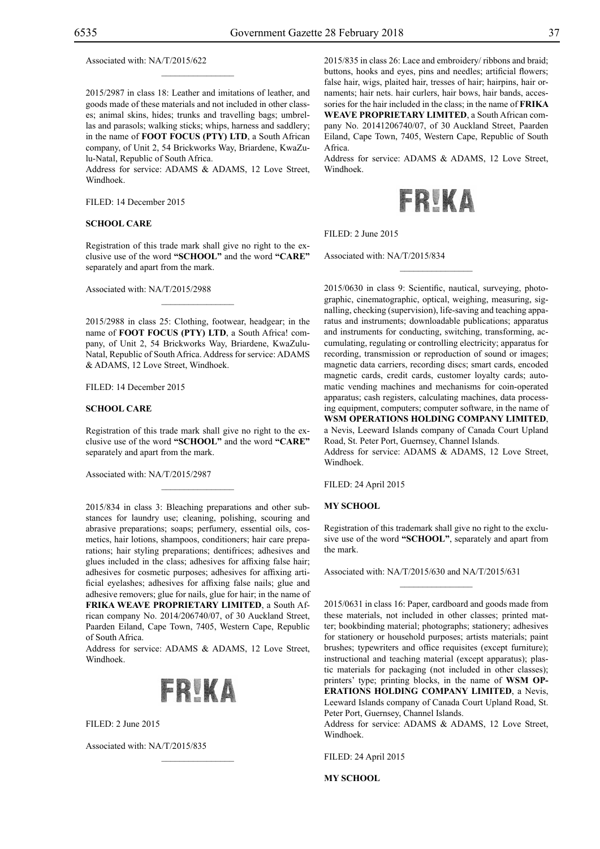Associated with: NA/T/2015/622

2015/2987 in class 18: Leather and imitations of leather, and goods made of these materials and not included in other classes; animal skins, hides; trunks and travelling bags; umbrellas and parasols; walking sticks; whips, harness and saddlery; in the name of **FOOT FOCUS (PTY) LTD**, a South African company, of Unit 2, 54 Brickworks Way, Briardene, KwaZulu-Natal, Republic of South Africa.

 $\mathcal{L}=\mathcal{L}^{\mathcal{L}}$ 

Address for service: ADAMS & ADAMS, 12 Love Street, Windhoek.

Filed: 14 December 2015

#### **SCHOOL CARE**

Registration of this trade mark shall give no right to the exclusive use of the word **"SCHOOL"** and the word **"CARE"** separately and apart from the mark.

Associated with: NA/T/2015/2988

2015/2988 in class 25: Clothing, footwear, headgear; in the name of **FOOT FOCUS (PTY) LTD**, a South Africa! company, of Unit 2, 54 Brickworks Way, Briardene, KwaZulu-Natal, Republic of South Africa. Address for service: ADAMS & ADAMS, 12 Love Street, Windhoek.

 $\mathcal{L}=\mathcal{L}^{\mathcal{L}}$ 

FILED: 14 December 2015

#### **SCHOOL CARE**

Registration of this trade mark shall give no right to the exclusive use of the word **"SCHOOL"** and the word **"CARE"**  separately and apart from the mark.

 $\mathcal{L}=\mathcal{L}^{\mathcal{L}}$ 

Associated with: NA/T/2015/2987

2015/834 in class 3: Bleaching preparations and other substances for laundry use; cleaning, polishing, scouring and abrasive preparations; soaps; perfumery, essential oils, cosmetics, hair lotions, shampoos, conditioners; hair care preparations; hair styling preparations; dentifrices; adhesives and glues included in the class; adhesives for affixing false hair; adhesives for cosmetic purposes; adhesives for affixing artificial eyelashes; adhesives for affixing false nails; glue and adhesive removers; glue for nails, glue for hair; in the name of **FRIKA WEAVE PROPRIETARY LIMITED**, a South African company No. 2014/206740/07, of 30 Auckland Street, Paarden Eiland, Cape Town, 7405, Western Cape, Republic of South Africa.

Address for service: ADAMS & ADAMS, 12 Love Street, Windhoek.



 $\mathcal{L}=\mathcal{L}^{\mathcal{L}}$ 

FILED: 2 June 2015

Associated with: NA/T/2015/835

2015/835 in class 26: Lace and embroidery/ ribbons and braid; buttons, hooks and eyes, pins and needles; artificial flowers; false hair, wigs, plaited hair, tresses of hair; hairpins, hair ornaments; hair nets. hair curlers, hair bows, hair bands, accessories for the hair included in the class; in the name of **FRIKA WEAVE PROPRIETARY LIMITED**, a South African company No. 20141206740/07, of 30 Auckland Street, Paarden Eiland, Cape Town, 7405, Western Cape, Republic of South Africa.

Address for service: ADAMS & ADAMS, 12 Love Street, Windhoek.



 $\overline{\phantom{a}}$  , we can also the set of  $\overline{\phantom{a}}$ 

FILED: 2 June 2015

Associated with: NA/T/2015/834

2015/0630 in class 9: Scientific, nautical, surveying, photographic, cinematographic, optical, weighing, measuring, signalling, checking (supervision), life-saving and teaching apparatus and instruments; downloadable publications; apparatus and instruments for conducting, switching, transforming, accumulating, regulating or controlling electricity; apparatus for recording, transmission or reproduction of sound or images; magnetic data carriers, recording discs; smart cards, encoded magnetic cards, credit cards, customer loyalty cards; automatic vending machines and mechanisms for coin-operated apparatus; cash registers, calculating machines, data processing equipment, computers; computer software, in the name of **WSM OPERATIONS HOLDING COMPANY LIMITED**, a Nevis, Leeward Islands company of Canada Court Upland Road, St. Peter Port, Guernsey, Channel Islands.

Address for service: ADAMS & ADAMS, 12 Love Street, Windhoek.

Filed: 24 April 2015

## **MY SCHOOL**

Registration of this trademark shall give no right to the exclusive use of the word **"SCHOOL"**, separately and apart from the mark.

 $\frac{1}{2}$ 

Associated with: NA/T/2015/630 and NA/T/2015/631

2015/0631 in class 16: Paper, cardboard and goods made from these materials, not included in other classes; printed matter; bookbinding material; photographs; stationery; adhesives for stationery or household purposes; artists materials; paint brushes; typewriters and office requisites (except furniture); instructional and teaching material (except apparatus); plastic materials for packaging (not included in other classes); printers' type; printing blocks, in the name of **WSM OP-ERATIONS HOLDING COMPANY LIMITED**, a Nevis, Leeward Islands company of Canada Court Upland Road, St. Peter Port, Guernsey, Channel Islands.

Address for service: ADAMS & ADAMS, 12 Love Street, Windhoek.

Filed: 24 April 2015

**MY SCHOOL**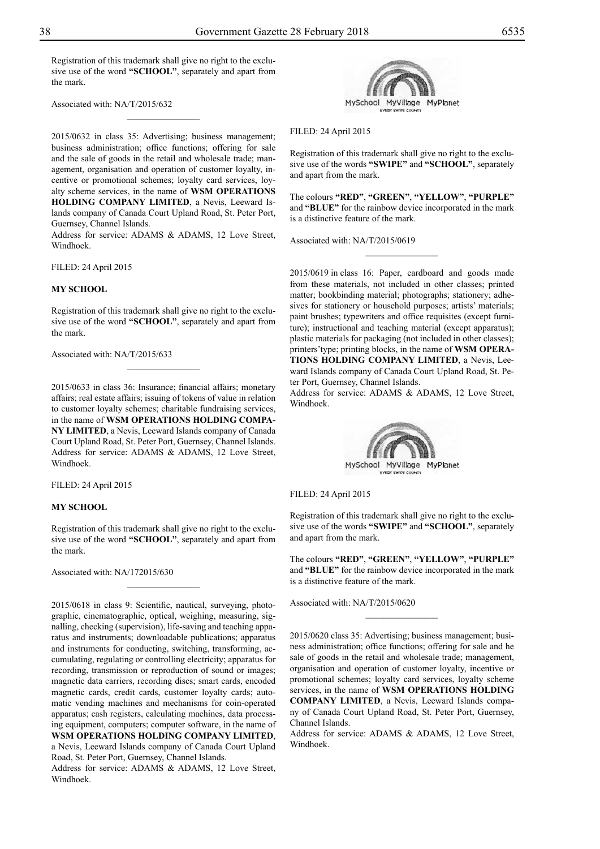Registration of this trademark shall give no right to the exclusive use of the word **"SCHOOL"**, separately and apart from the mark.

 $\frac{1}{2}$ 

Associated with: NA/T/2015/632

2015/0632 in class 35: Advertising; business management; business administration; office functions; offering for sale and the sale of goods in the retail and wholesale trade; management, organisation and operation of customer loyalty, incentive or promotional schemes; loyalty card services, loyalty scheme services, in the name of **WSM OPERATIONS HOLDING COMPANY LIMITED**, a Nevis, Leeward Islands company of Canada Court Upland Road, St. Peter Port, Guernsey, Channel Islands.

Address for service: ADAMS & ADAMS, 12 Love Street, Windhoek.

Filed: 24 April 2015

#### **MY SCHOOL**

Registration of this trademark shall give no right to the exclusive use of the word **"SCHOOL"**, separately and apart from the mark.

 $\frac{1}{2}$ 

Associated with: NA/T/2015/633

2015/0633 in class 36: Insurance; financial affairs; monetary affairs; real estate affairs; issuing of tokens of value in relation to customer loyalty schemes; charitable fundraising services, in the name of **WSM OPERATIONS HOLDING COMPA-NY LIMITED**, a Nevis, Leeward Islands company of Canada Court Upland Road, St. Peter Port, Guernsey, Channel Islands. Address for service: ADAMS & ADAMS, 12 Love Street, Windhoek.

Filed: 24 April 2015

## **MY SCHOOL**

Registration of this trademark shall give no right to the exclusive use of the word **"SCHOOL"**, separately and apart from the mark.

 $\frac{1}{2}$ 

Associated with: NA/172015/630

2015/0618 in class 9: Scientific, nautical, surveying, photographic, cinematographic, optical, weighing, measuring, signalling, checking (supervision), life-saving and teaching apparatus and instruments; downloadable publications; apparatus and instruments for conducting, switching, transforming, accumulating, regulating or controlling electricity; apparatus for recording, transmission or reproduction of sound or images; magnetic data carriers, recording discs; smart cards, encoded magnetic cards, credit cards, customer loyalty cards; automatic vending machines and mechanisms for coin-operated apparatus; cash registers, calculating machines, data processing equipment, computers; computer software, in the name of **WSM OPERATIONS HOLDING COMPANY LIMITED**, a Nevis, Leeward Islands company of Canada Court Upland Road, St. Peter Port, Guernsey, Channel Islands.

Address for service: ADAMS & ADAMS, 12 Love Street, Windhoek.



Filed: 24 April 2015

Registration of this trademark shall give no right to the exclusive use of the words **"SWIPE"** and **"SCHOOL"**, separately and apart from the mark.

The colours **"RED"**, **"GREEN"**, **"YELLOW"**, **"PURPLE"** and **"BLUE"** for the rainbow device incorporated in the mark is a distinctive feature of the mark.

Associated with: NA/T/2015/0619

2015/0619 in class 16: Paper, cardboard and goods made from these materials, not included in other classes; printed matter; bookbinding material; photographs; stationery; adhesives for stationery or household purposes; artists' materials; paint brushes; typewriters and office requisites (except furniture); instructional and teaching material (except apparatus); plastic materials for packaging (not included in other classes); printers'type; printing blocks, in the name of **WSM OPERA-TIONS HOLDING COMPANY LIMITED**, a Nevis, Leeward Islands company of Canada Court Upland Road, St. Peter Port, Guernsey, Channel Islands.

Address for service: ADAMS & ADAMS, 12 Love Street, Windhoek.



Filed: 24 April 2015

Registration of this trademark shall give no right to the exclusive use of the words **"SWIPE"** and **"SCHOOL"**, separately and apart from the mark.

The colours **"RED"**, **"GREEN"**, **"YELLOW"**, **"PURPLE"** and **"BLUE"** for the rainbow device incorporated in the mark is a distinctive feature of the mark.

 $\frac{1}{2}$ 

Associated with: NA/T/2015/0620

2015/0620 class 35: Advertising; business management; business administration; office functions; offering for sale and he sale of goods in the retail and wholesale trade; management, organisation and operation of customer loyalty, incentive or promotional schemes; loyalty card services, loyalty scheme services, in the name of **WSM OPERATIONS HOLDING COMPANY LIMITED**, a Nevis, Leeward Islands company of Canada Court Upland Road, St. Peter Port, Guernsey, Channel Islands.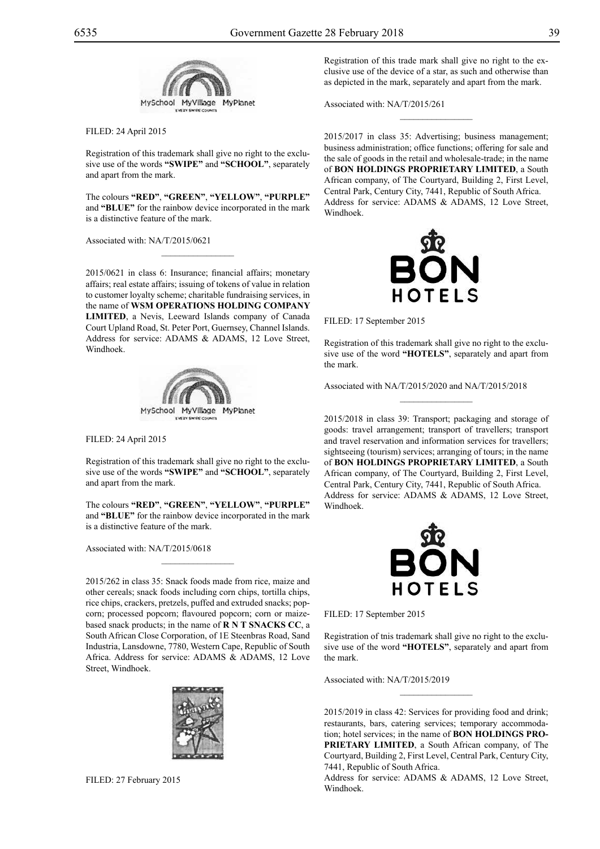

## Filed: 24 April 2015

Registration of this trademark shall give no right to the exclusive use of the words **"SWIPE"** and **"SCHOOL"**, separately and apart from the mark.

The colours **"RED"**, **"GREEN"**, **"YELLOW"**, **"PURPLE"** and **"BLUE"** for the rainbow device incorporated in the mark is a distinctive feature of the mark.

Associated with: NA/T/2015/0621

2015/0621 in class 6: Insurance; financial affairs; monetary affairs; real estate affairs; issuing of tokens of value in relation to customer loyalty scheme; charitable fundraising services, in the name of **WSM OPERATIONS HOLDING COMPANY LIMITED**, a Nevis, Leeward Islands company of Canada Court Upland Road, St. Peter Port, Guernsey, Channel Islands. Address for service: ADAMS & ADAMS, 12 Love Street, Windhoek.



Filed: 24 April 2015

Registration of this trademark shall give no right to the exclusive use of the words **"SWIPE"** and **"SCHOOL"**, separately and apart from the mark.

The colours **"RED"**, **"GREEN"**, **"YELLOW"**, **"PURPLE"** and **"BLUE"** for the rainbow device incorporated in the mark is a distinctive feature of the mark.

 $\mathcal{L}=\mathcal{L}^{\mathcal{L}}$ 

Associated with: NA/T/2015/0618

2015/262 in class 35: Snack foods made from rice, maize and other cereals; snack foods including corn chips, tortilla chips, rice chips, crackers, pretzels, puffed and extruded snacks; popcorn; processed popcorn; flavoured popcorn; corn or maizebased snack products; in the name of **R N T SNACKS CC**, a South African Close Corporation, of 1E Steenbras Road, Sand Industria, Lansdowne, 7780, Western Cape, Republic of South Africa. Address for service: ADAMS & ADAMS, 12 Love Street, Windhoek.



Registration of this trade mark shall give no right to the exclusive use of the device of a star, as such and otherwise than as depicted in the mark, separately and apart from the mark.

 $\frac{1}{2}$ 

Associated with: NA/T/2015/261

2015/2017 in class 35: Advertising; business management; business administration; office functions; offering for sale and the sale of goods in the retail and wholesale-trade; in the name of **BON HOLDINGS PROPRIETARY LIMITED**, a South African company, of The Courtyard, Building 2, First Level, Central Park, Century City, 7441, Republic of South Africa. Address for service: ADAMS & ADAMS, 12 Love Street, Windhoek.



FILED: 17 September 2015

Registration of this trademark shall give no right to the exclusive use of the word **"HOTELS"**, separately and apart from the mark.

 $\frac{1}{2}$ 

Associated with NA/T/2015/2020 and NA/T/2015/2018

2015/2018 in class 39: Transport; packaging and storage of goods: travel arrangement; transport of travellers; transport and travel reservation and information services for travellers; sightseeing (tourism) services; arranging of tours; in the name of **BON HOLDINGS PROPRIETARY LIMITED**, a South African company, of The Courtyard, Building 2, First Level, Central Park, Century City, 7441, Republic of South Africa. Address for service: ADAMS & ADAMS, 12 Love Street, Windhoek.



Filed: 17 September 2015

Registration of tnis trademark shall give no right to the exclusive use of the word **"HOTELS"**, separately and apart from the mark.

 $\frac{1}{2}$ 

Associated with: NA/T/2015/2019

2015/2019 in class 42: Services for providing food and drink; restaurants, bars, catering services; temporary accommodation; hotel services; in the name of **BON HOLDINGS PRO-PRIETARY LIMITED**, a South African company, of The Courtyard, Building 2, First Level, Central Park, Century City, 7441, Republic of South Africa.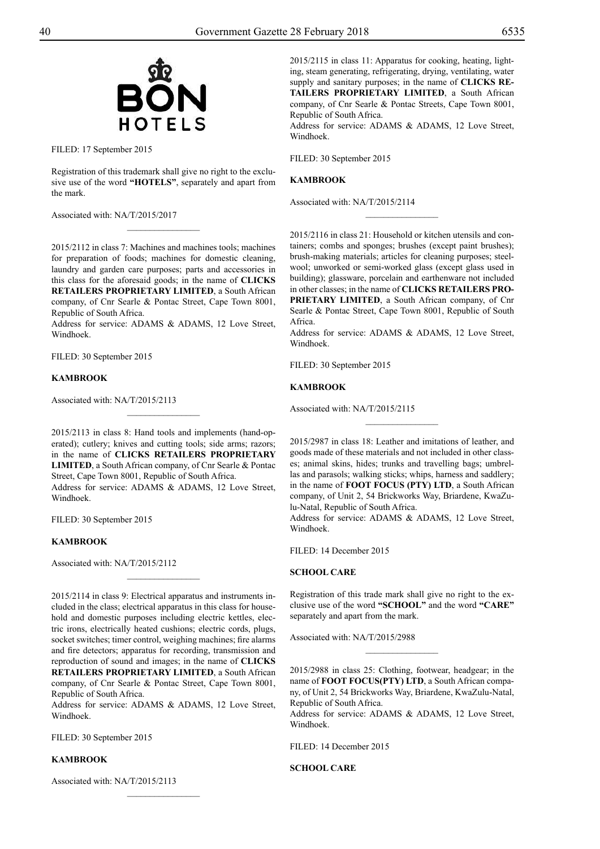

FILED: 17 September 2015

Registration of this trademark shall give no right to the exclusive use of the word **"HOTELS"**, separately and apart from the mark.

 $\overline{\phantom{a}}$  , where  $\overline{\phantom{a}}$ 

Associated with: NA/T/2015/2017

2015/2112 in class 7: Machines and machines tools; machines for preparation of foods; machines for domestic cleaning, laundry and garden care purposes; parts and accessories in this class for the aforesaid goods; in the name of **CLICKS RETAILERS PROPRIETARY LIMITED**, a South African company, of Cnr Searle & Pontac Street, Cape Town 8001, Republic of South Africa.

Address for service: ADAMS & ADAMS, 12 Love Street, Windhoek.

FILED: 30 September 2015

#### **KAMBROOK**

Associated with: NA/T/2015/2113

2015/2113 in class 8: Hand tools and implements (hand-operated); cutlery; knives and cutting tools; side arms; razors; in the name of **CLICKS RETAILERS PROPRIETARY LIMITED**, a South African company, of Cnr Searle & Pontac Street, Cape Town 8001, Republic of South Africa.

Address for service: ADAMS & ADAMS, 12 Love Street, Windhoek.

FILED: 30 September 2015

## **KAMBROOK**

Associated with: NA/T/2015/2112

2015/2114 in class 9: Electrical apparatus and instruments included in the class; electrical apparatus in this class for household and domestic purposes including electric kettles, electric irons, electrically heated cushions; electric cords, plugs, socket switches; timer control, weighing machines; fire alarms and fire detectors; apparatus for recording, transmission and reproduction of sound and images; in the name of **CLICKS RETAILERS PROPRIETARY LIMITED**, a South African company, of Cnr Searle & Pontac Street, Cape Town 8001,

 $\overline{\phantom{a}}$  , where  $\overline{\phantom{a}}$ 

Republic of South Africa. Address for service: ADAMS & ADAMS, 12 Love Street, Windhoek.

 $\frac{1}{2}$ 

FILED: 30 September 2015

#### **KAMBROOK**

Associated with: NA/T/2015/2113

2015/2115 in class 11: Apparatus for cooking, heating, lighting, steam generating, refrigerating, drying, ventilating, water supply and sanitary purposes; in the name of **CLICKS RE-TAILERS PROPRIETARY LIMITED**, a South African company, of Cnr Searle & Pontac Streets, Cape Town 8001, Republic of South Africa.

Address for service: ADAMS & ADAMS, 12 Love Street, Windhoek.

Filed: 30 September 2015

#### **KAMBROOK**

Associated with: NA/T/2015/2114

2015/2116 in class 21: Household or kitchen utensils and containers; combs and sponges; brushes (except paint brushes); brush-making materials; articles for cleaning purposes; steelwool; unworked or semi-worked glass (except glass used in building); glassware, porcelain and earthenware not included in other classes; in the name of **CLICKS RETAILERS PRO-PRIETARY LIMITED**, a South African company, of Cnr Searle & Pontac Street, Cape Town 8001, Republic of South Africa.

 $\overline{\phantom{a}}$  , where  $\overline{\phantom{a}}$ 

Address for service: ADAMS & ADAMS, 12 Love Street, Windhoek.

FILED: 30 September 2015

#### **KAMBROOK**

Associated with: NA/T/2015/2115

2015/2987 in class 18: Leather and imitations of leather, and goods made of these materials and not included in other classes; animal skins, hides; trunks and travelling bags; umbrellas and parasols; walking sticks; whips, harness and saddlery; in the name of **FOOT FOCUS (PTY) LTD**, a South African company, of Unit 2, 54 Brickworks Way, Briardene, KwaZulu-Natal, Republic of South Africa.

 $\frac{1}{2}$ 

Address for service: ADAMS & ADAMS, 12 Love Street, Windhoek.

Filed: 14 December 2015

#### **SCHOOL CARE**

Registration of this trade mark shall give no right to the exclusive use of the word **"SCHOOL"** and the word **"CARE"**  separately and apart from the mark.

Associated with: NA/T/2015/2988

2015/2988 in class 25: Clothing, footwear, headgear; in the name of **FOOT FOCUS(PTY) LTD**, a South African company, of Unit 2, 54 Brickworks Way, Briardene, KwaZulu-Natal, Republic of South Africa.

 $\frac{1}{2}$ 

Address for service: ADAMS & ADAMS, 12 Love Street, Windhoek.

Filed: 14 December 2015

**SCHOOL CARE**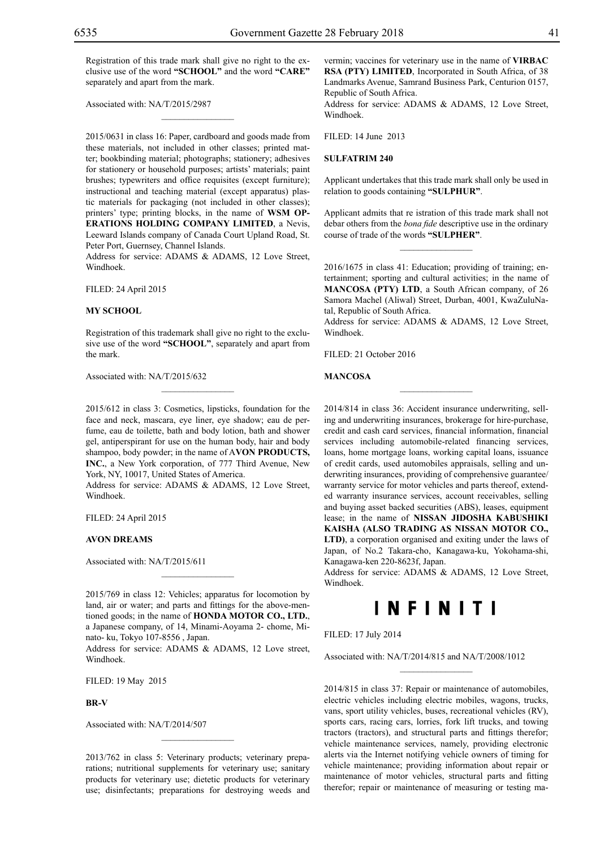Registration of this trade mark shall give no right to the exclusive use of the word **"SCHOOL"** and the word **"CARE"** separately and apart from the mark.

 $\mathcal{L}=\mathcal{L}^{\mathcal{L}}$ 

Associated with: NA/T/2015/2987

2015/0631 in class 16: Paper, cardboard and goods made from these materials, not included in other classes; printed matter; bookbinding material; photographs; stationery; adhesives for stationery or household purposes; artists' materials; paint brushes; typewriters and office requisites (except furniture); instructional and teaching material (except apparatus) plastic materials for packaging (not included in other classes); printers' type; printing blocks, in the name of **WSM OP-ERATIONS HOLDING COMPANY LIMITED**, a Nevis, Leeward Islands company of Canada Court Upland Road, St. Peter Port, Guernsey, Channel Islands.

Address for service: ADAMS & ADAMS, 12 Love Street, Windhoek.

Filed: 24 April 2015

#### **MY SCHOOL**

Registration of this trademark shall give no right to the exclusive use of the word **"SCHOOL"**, separately and apart from the mark.

 $\overline{\phantom{a}}$  , where  $\overline{\phantom{a}}$ 

Associated with: NA/T/2015/632

2015/612 in class 3: Cosmetics, lipsticks, foundation for the face and neck, mascara, eye liner, eye shadow; eau de perfume, eau de toilette, bath and body lotion, bath and shower gel, antiperspirant for use on the human body, hair and body shampoo, body powder; in the name of A**VON PRODUCTS, INC.**, a New York corporation, of 777 Third Avenue, New York, NY, 10017, United States of America.

Address for service: ADAMS & ADAMS, 12 Love Street, Windhoek.

Filed: 24 April 2015

#### **AVON DREAMS**

Associated with: NA/T/2015/611

2015/769 in class 12: Vehicles; apparatus for locomotion by land, air or water; and parts and fittings for the above-mentioned goods; in the name of **HONDA MOTOR CO., LTD.**, a Japanese company, of 14, Minami-Aoyama 2- chome, Minato- ku, Tokyo 107-8556 , Japan.

 $\mathcal{L}=\mathcal{L}^{\mathcal{L}}$ 

Address for service: ADAMS & ADAMS, 12 Love street, Windhoek.

Filed: 19 May 2015

#### **BR-V**

Associated with: NA/T/2014/507

2013/762 in class 5: Veterinary products; veterinary preparations; nutritional supplements for veterinary use; sanitary products for veterinary use; dietetic products for veterinary use; disinfectants; preparations for destroying weeds and

 $\mathcal{L}=\mathcal{L}^{\mathcal{L}}$ 

vermin; vaccines for veterinary use in the name of **VIRBAC RSA (PTY) LIMITED**, Incorporated in South Africa, of 38 Landmarks Avenue, Samrand Business Park, Centurion 0157, Republic of South Africa.

Address for service: ADAMS & ADAMS, 12 Love Street, Windhoek.

 $FILED: 14 June 2013$ 

#### **SULFATRIM 240**

Applicant undertakes that this trade mark shall only be used in relation to goods containing **"SULPHUR"**.

Applicant admits that re istration of this trade mark shall not debar others from the *bona fide* descriptive use in the ordinary course of trade of the words **"SULPHER"**.

 $\frac{1}{2}$ 

2016/1675 in class 41: Education; providing of training; entertainment; sporting and cultural activities; in the name of **MANCOSA (PTY) LTD**, a South African company, of 26 Samora Machel (Aliwal) Street, Durban, 4001, KwaZuluNatal, Republic of South Africa.

Address for service: ADAMS & ADAMS, 12 Love Street, Windhoek.

 $\overline{\phantom{a}}$  , we can also the set of  $\overline{\phantom{a}}$ 

Filed: 21 October 2016

#### **MANCOSA**

2014/814 in class 36: Accident insurance underwriting, selling and underwriting insurances, brokerage for hire-purchase, credit and cash card services, financial information, financial services including automobile-related financing services, loans, home mortgage loans, working capital loans, issuance of credit cards, used automobiles appraisals, selling and underwriting insurances, providing of comprehensive guarantee/ warranty service for motor vehicles and parts thereof, extended warranty insurance services, account receivables, selling and buying asset backed securities (ABS), leases, equipment lease; in the name of **NISSAN JIDOSHA KABUSHIKI KAISHA (ALSO TRADING AS NISSAN MOTOR CO., LTD)**, a corporation organised and exiting under the laws of Japan, of No.2 Takara-cho, Kanagawa-ku, Yokohama-shi, Kanagawa-ken 220-8623f, Japan.

Address for service: ADAMS & ADAMS, 12 Love Street, Windhoek.

## **INFINITI**

 $\overline{\phantom{a}}$  , we can also the set of  $\overline{\phantom{a}}$ 

Filed: 17 July 2014

Associated with: NA/T/2014/815 and NA/T/2008/1012

2014/815 in class 37: Repair or maintenance of automobiles, electric vehicles including electric mobiles, wagons, trucks, vans, sport utility vehicles, buses, recreational vehicles (RV), sports cars, racing cars, lorries, fork lift trucks, and towing tractors (tractors), and structural parts and fittings therefor; vehicle maintenance services, namely, providing electronic alerts via the Internet notifying vehicle owners of timing for vehicle maintenance; providing information about repair or maintenance of motor vehicles, structural parts and fitting therefor; repair or maintenance of measuring or testing ma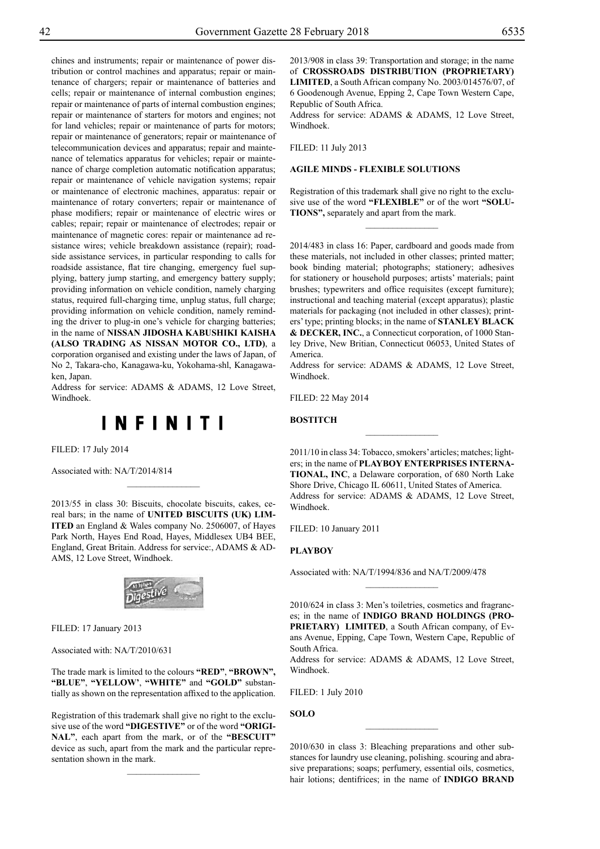chines and instruments; repair or maintenance of power distribution or control machines and apparatus; repair or maintenance of chargers; repair or maintenance of batteries and cells; repair or maintenance of internal combustion engines; repair or maintenance of parts of internal combustion engines; repair or maintenance of starters for motors and engines; not for land vehicles; repair or maintenance of parts for motors; repair or maintenance of generators; repair or maintenance of telecommunication devices and apparatus; repair and maintenance of telematics apparatus for vehicles; repair or maintenance of charge completion automatic notification apparatus; repair or maintenance of vehicle navigation systems; repair or maintenance of electronic machines, apparatus: repair or maintenance of rotary converters; repair or maintenance of phase modifiers; repair or maintenance of electric wires or cables; repair; repair or maintenance of electrodes; repair or maintenance of magnetic cores: repair or maintenance ad resistance wires; vehicle breakdown assistance (repair); roadside assistance services, in particular responding to calls for roadside assistance, flat tire changing, emergency fuel supplying, battery jump starting, and emergency battery supply; providing information on vehicle condition, namely charging status, required full-charging time, unplug status, full charge; providing information on vehicle condition, namely reminding the driver to plug-in one's vehicle for charging batteries; in the name of **NISSAN JIDOSHA KABUSHIKI KAISHA (ALSO TRADING AS NISSAN MOTOR CO., LTD)**, a corporation organised and existing under the laws of Japan, of No 2, Takara-cho, Kanagawa-ku, Yokohama-shl, Kanagawaken, Japan.

Address for service: ADAMS & ADAMS, 12 Love Street, Windhoek.



Filed: 17 July 2014

Associated with: NA/T/2014/814

2013/55 in class 30: Biscuits, chocolate biscuits, cakes, cereal bars; in the name of **UNITED BISCUITS (UK) LIM-ITED** an England & Wales company No. 2506007, of Hayes Park North, Hayes End Road, Hayes, Middlesex UB4 BEE, England, Great Britain. Address for service:, ADAMS & ADams, 12 Love Street, Windhoek.

 $\frac{1}{2}$ 



Filed: 17 January 2013

Associated with: NA/T/2010/631

The trade mark is limited to the colours **"RED"**, **"BROWN", "BLUE"**, **"YELLOW'**, **"WHITE"** and **"GOLD"** substantially as shown on the representation affixed to the application.

Registration of this trademark shall give no right to the exclusive use of the word **"DIGESTIVE"** or of the word **"ORIGI-NAL"**, each apart from the mark, or of the **"BESCUIT"** device as such, apart from the mark and the particular representation shown in the mark.

 $\frac{1}{2}$ 

2013/908 in class 39: Transportation and storage; in the name of **CROSSROADS DISTRIBUTION (PROPRIETARY) LIMITED**, a South African company No. 2003/014576/07, of 6 Goodenough Avenue, Epping 2, Cape Town Western Cape, Republic of South Africa.

Address for service: ADAMS & ADAMS, 12 Love Street, Windhoek.

Filed: 11 July 2013

## **AGILE MINDS - FLEXIBLE SOLUTIONS**

Registration of this trademark shall give no right to the exclusive use of the word **"FLEXIBLE"** or of the wort **"SOLU-TIONS",** separately and apart from the mark.

 $\frac{1}{2}$ 

2014/483 in class 16: Paper, cardboard and goods made from these materials, not included in other classes; printed matter; book binding material; photographs; stationery; adhesives for stationery or household purposes; artists' materials; paint brushes; typewriters and office requisites (except furniture); instructional and teaching material (except apparatus); plastic materials for packaging (not included in other classes); printers' type; printing blocks; in the name of **STANLEY BLACK & DECKER, INC.**, a Connecticut corporation, of 1000 Stanley Drive, New Britian, Connecticut 06053, United States of America.

Address for service: ADAMS & ADAMS, 12 Love Street, Windhoek.

Filed: 22 May 2014

**BOSTITCH**

2011/10 in class 34: Tobacco, smokers' articles; matches; lighters; in the name of **PLAYBOY ENTERPRISES INTERNA-TIONAL, INC**, a Delaware corporation, of 680 North Lake Shore Drive, Chicago IL 60611, United States of America. Address for service: ADAMS & ADAMS, 12 Love Street, Windhoek.

 $\frac{1}{2}$ 

Filed: 10 January 2011

## **PLAYBOY**

Associated with: NA/T/1994/836 and NA/T/2009/478

2010/624 in cIass 3: Men's toiletries, cosmetics and fragrances; in the name of **INDIGO BRAND HOLDINGS (PRO-PRIETARY) LIMITED**, a South African company, of Evans Avenue, Epping, Cape Town, Western Cape, Republic of South Africa.

 $\frac{1}{2}$ 

Address for service: ADAMS & ADAMS, 12 Love Street, Windhoek.

Filed: 1 July 2010

**SOLO**

2010/630 in class 3: Bleaching preparations and other substances for laundry use cleaning, polishing. scouring and abrasive preparations; soaps; perfumery, essential oils, cosmetics, hair lotions; dentifrices; in the name of **INDIGO BRAND** 

 $\overline{\phantom{a}}$  , where  $\overline{\phantom{a}}$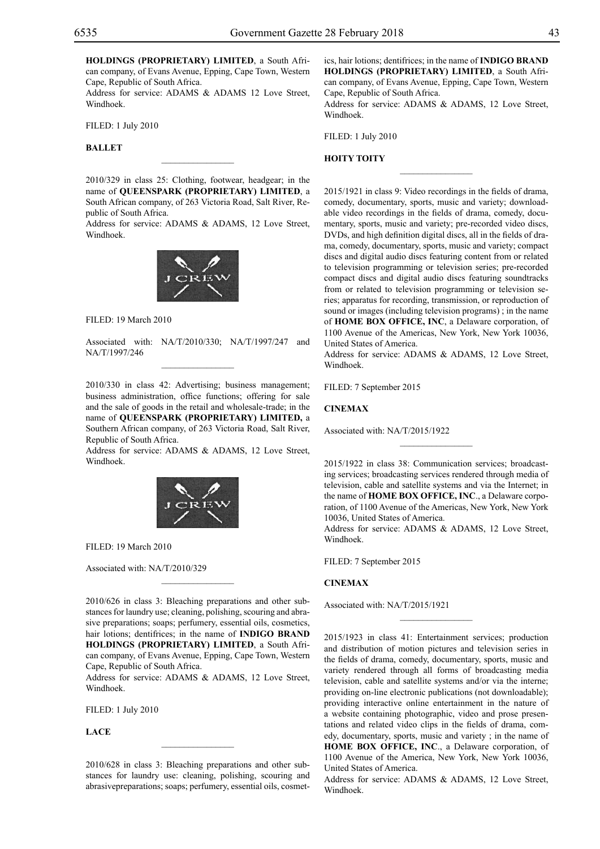**HOLDINGS (PROPRIETARY) LIMITED**, a South African company, of Evans Avenue, Epping, Cape Town, Western Cape, Republic of South Africa.

Address for service: ADAMS & ADAMS 12 Love Street, Windhoek.

Filed: 1 July 2010

#### **BALLET**

2010/329 in class 25: Clothing, footwear, headgear; in the name of **QUEENSPARK (PROPRIETARY) LIMITED**, a South African company, of 263 Victoria Road, Salt River, Republic of South Africa.

 $\overline{\phantom{a}}$  , where  $\overline{\phantom{a}}$ 

Address for service: ADAMS & ADAMS, 12 Love Street, Windhoek.



Filed: 19 March 2010

Associated with: NA/T/2010/330; NA/T/1997/247 and NA/T/1997/246  $\mathcal{L}=\mathcal{L}^{\mathcal{L}}$ 

2010/330 in class 42: Advertising; business management; business administration, office functions; offering for sale and the sale of goods in the retail and wholesale-trade; in the name of **QUEENSPARK (PROPRIETARY) LIMITED,** a Southern African company, of 263 Victoria Road, Salt River, Republic of South Africa.

Address for service: ADAMS & ADAMS, 12 Love Street, Windhoek.



Filed: 19 March 2010

Associated with: NA/T/2010/329

2010/626 in class 3: Bleaching preparations and other substances for laundry use; cleaning, polishing, scouring and abrasive preparations; soaps; perfumery, essential oils, cosmetics, hair lotions; dentifrices; in the name of **INDIGO BRAND HOLDINGS (PROPRIETARY) LIMITED**, a South African company, of Evans Avenue, Epping, Cape Town, Western Cape, Republic of South Africa.

 $\mathcal{L}=\mathcal{L}^{\mathcal{L}}$ 

Address for service: ADAMS & ADAMS, 12 Love Street, Windhoek.

Filed: 1 July 2010

**LACE**

2010/628 in class 3: Bleaching preparations and other substances for laundry use: cleaning, polishing, scouring and abrasivepreparations; soaps; perfumery, essential oils, cosmet-

 $\mathcal{L}=\mathcal{L}^{\mathcal{L}}$ 

ics, hair lotions; dentifrices; in the name of **INDIGO BRAND HOLDINGS (PROPRIETARY) LIMITED**, a South African company, of Evans Avenue, Epping, Cape Town, Western Cape, Republic of South Africa.

Address for service: ADAMS & ADAMS, 12 Love Street, Windhoek.

 $\frac{1}{2}$ 

Filed: 1 July 2010

#### **HOITY TOITY**

2015/1921 in class 9: Video recordings in the fields of drama, comedy, documentary, sports, music and variety; downloadable video recordings in the fields of drama, comedy, documentary, sports, music and variety; pre-recorded video discs, DVDs, and high definition digital discs, all in the fields of drama, comedy, documentary, sports, music and variety; compact discs and digital audio discs featuring content from or related to television programming or television series; pre-recorded compact discs and digital audio discs featuring soundtracks from or related to television programming or television series; apparatus for recording, transmission, or reproduction of sound or images (including television programs) ; in the name of **HOME BOX OFFICE, INC**, a Delaware corporation, of 1100 Avenue of the Americas, New York, New York 10036, United States of America.

Address for service: ADAMS & ADAMS, 12 Love Street, Windhoek.

Filed: 7 September 2015

## **CINEMAX**

Associated with: NA/T/2015/1922

2015/1922 in class 38: Communication services; broadcasting services; broadcasting services rendered through media of television, cable and satellite systems and via the Internet; in the name of **HOME BOX OFFICE, INC**., a Delaware corporation, of 1100 Avenue of the Americas, New York, New York 10036, United States of America.

 $\overline{\phantom{a}}$  , we can also the set of  $\overline{\phantom{a}}$ 

Address for service: ADAMS & ADAMS, 12 Love Street, Windhoek.

FILED: 7 September 2015

## **CINEMAX**

Associated with: NA/T/2015/1921

2015/1923 in class 41: Entertainment services; production and distribution of motion pictures and television series in the fields of drama, comedy, documentary, sports, music and variety rendered through all forms of broadcasting media television, cable and satellite systems and/or via the interne; providing on-line electronic publications (not downloadable); providing interactive online entertainment in the nature of a website containing photographic, video and prose presentations and related video clips in the fields of drama, comedy, documentary, sports, music and variety ; in the name of **HOME BOX OFFICE, INC**., a Delaware corporation, of 1100 Avenue of the America, New York, New York 10036, United States of America.

 $\overline{\phantom{a}}$  , we can also the set of  $\overline{\phantom{a}}$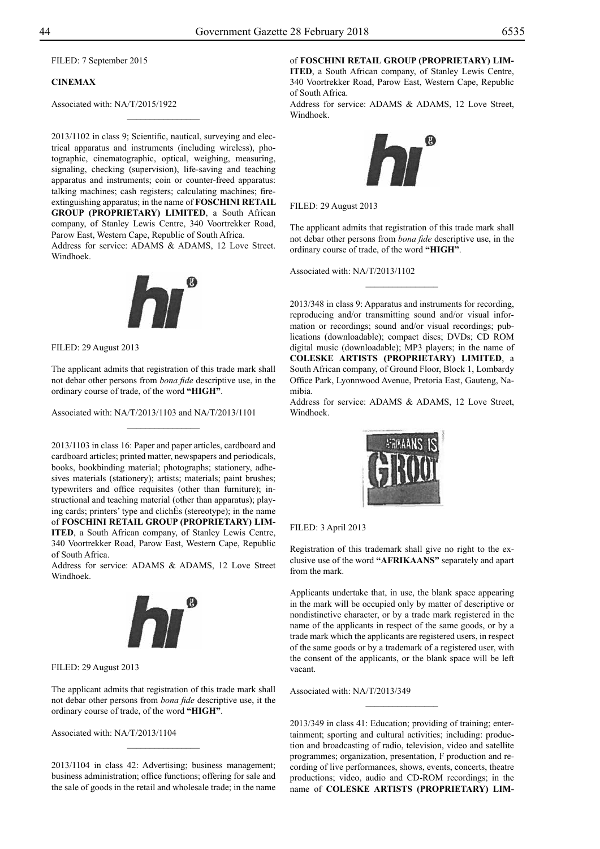FILED: 7 September 2015

## **CINEMAX**

Associated with: NA/T/2015/1922

2013/1102 in class 9; Scientific, nautical, surveying and electrical apparatus and instruments (including wireless), photographic, cinematographic, optical, weighing, measuring, signaling, checking (supervision), life-saving and teaching apparatus and instruments; coin or counter-freed apparatus: talking machines; cash registers; calculating machines; fireextinguishing apparatus; in the name of **FOSCHINI RETAIL GROUP (PROPRIETARY) LIMITED**, a South African company, of Stanley Lewis Centre, 340 Voortrekker Road, Parow East, Western Cape, Republic of South Africa.

 $\frac{1}{2}$ 

Address for service: ADAMS & ADAMS, 12 Love Street. Windhoek.



Filed: 29 August 2013

The applicant admits that registration of this trade mark shall not debar other persons from *bona fide* descriptive use, in the ordinary course of trade, of the word **"HIGH"**.

 $\overline{\phantom{a}}$  , where  $\overline{\phantom{a}}$ 

Associated with: NA/T/2013/1103 and NA/T/2013/1101

2013/1103 in class 16: Paper and paper articles, cardboard and cardboard articles; printed matter, newspapers and periodicals, books, bookbinding material; photographs; stationery, adhesives materials (stationery); artists; materials; paint brushes; typewriters and office requisites (other than furniture); instructional and teaching material (other than apparatus); playing cards; printers' type and clichÈs (stereotype); in the name of **FOSCHINI RETAIL GROUP (PROPRIETARY) LIM-ITED**, a South African company, of Stanley Lewis Centre, 340 Voortrekker Road, Parow East, Western Cape, Republic of South Africa.

Address for service: ADAMS & ADAMS, 12 Love Street Windhoek.



Filed: 29 August 2013

The applicant admits that registration of this trade mark shall not debar other persons from *bona fide* descriptive use, it the ordinary course of trade, of the word **"HIGH"**.

Associated with: NA/T/2013/1104

2013/1104 in class 42: Advertising; business management; business administration; office functions; offering for sale and the sale of goods in the retail and wholesale trade; in the name

 $\overline{\phantom{a}}$  , where  $\overline{\phantom{a}}$ 

of **FOSCHINI RETAIL GROUP (PROPRIETARY) LIM-**

**ITED**, a South African company, of Stanley Lewis Centre, 340 Voortrekker Road, Parow East, Western Cape, Republic of South Africa.

Address for service: ADAMS & ADAMS, 12 Love Street, Windhoek.



Filed: 29 August 2013

The applicant admits that registration of this trade mark shall not debar other persons from *bona fide* descriptive use, in the ordinary course of trade, of the word **"HIGH"**.

 $\frac{1}{2}$ 

Associated with: NA/T/2013/1102

2013/348 in class 9: Apparatus and instruments for recording, reproducing and/or transmitting sound and/or visual information or recordings; sound and/or visual recordings; publications (downloadable); compact discs; DVDs; CD ROM digital music (downloadable); MP3 players; in the name of **COLESKE ARTISTS (PROPRIETARY) LIMITED**, a South African company, of Ground Floor, Block 1, Lombardy Office Park, Lyonnwood Avenue, Pretoria East, Gauteng, Namibia.

Address for service: ADAMS & ADAMS, 12 Love Street, Windhoek.



FILED: 3 April 2013

Registration of this trademark shall give no right to the exclusive use of the word **"AFRIKAANS"** separately and apart from the mark.

Applicants undertake that, in use, the blank space appearing in the mark will be occupied only by matter of descriptive or nondistinctive character, or by a trade mark registered in the name of the applicants in respect of the same goods, or by a trade mark which the applicants are registered users, in respect of the same goods or by a trademark of a registered user, with the consent of the applicants, or the blank space will be left vacant.

Associated with: NA/T/2013/349

2013/349 in class 41: Education; providing of training; entertainment; sporting and cultural activities; including: production and broadcasting of radio, television, video and satellite programmes; organization, presentation, F production and recording of live performances, shows, events, concerts, theatre productions; video, audio and CD-ROM recordings; in the name of **COLESKE ARTISTS (PROPRIETARY) LIM-**

 $\frac{1}{2}$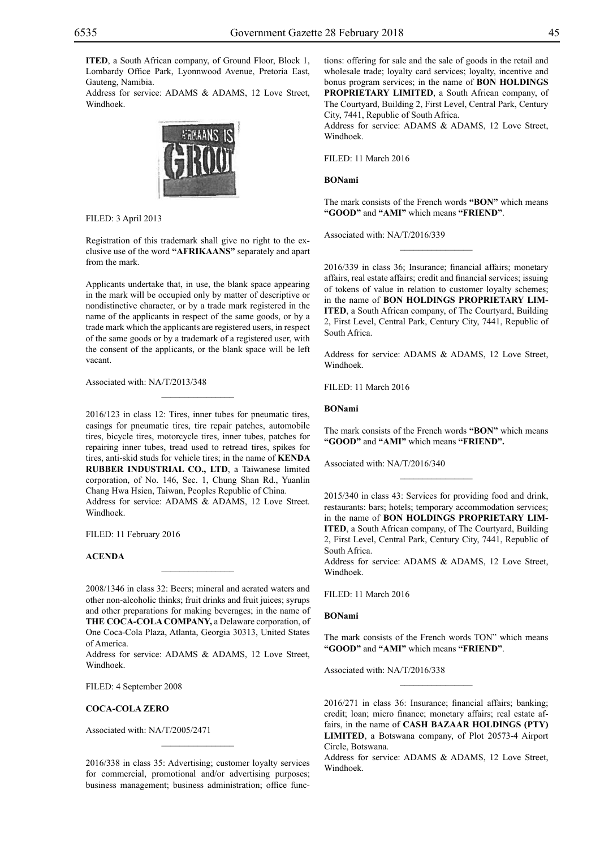**ITED**, a South African company, of Ground Floor, Block 1, Lombardy Office Park, Lyonnwood Avenue, Pretoria East, Gauteng, Namibia.

Address for service: ADAMS & ADAMS, 12 Love Street, Windhoek.



Filed: 3 April 2013

Registration of this trademark shall give no right to the exclusive use of the word **"AFRIKAANS"** separately and apart from the mark.

Applicants undertake that, in use, the blank space appearing in the mark will be occupied only by matter of descriptive or nondistinctive character, or by a trade mark registered in the name of the applicants in respect of the same goods, or by a trade mark which the applicants are registered users, in respect of the same goods or by a trademark of a registered user, with the consent of the applicants, or the blank space will be left vacant.

 $\overline{\phantom{a}}$  , where  $\overline{\phantom{a}}$ 

Associated with: NA/T/2013/348

2016/123 in class 12: Tires, inner tubes for pneumatic tires, casings for pneumatic tires, tire repair patches, automobile tires, bicycle tires, motorcycle tires, inner tubes, patches for repairing inner tubes, tread used to retread tires, spikes for tires, anti-skid studs for vehicle tires; in the name of **KENDA RUBBER INDUSTRIAL CO., LTD**, a Taiwanese limited corporation, of No. 146, Sec. 1, Chung Shan Rd., Yuanlin Chang Hwa Hsien, Taiwan, Peoples Republic of China. Address for service: ADAMS & ADAMS, 12 Love Street. Windhoek.

Filed: 11 February 2016

#### **ACENDA**

2008/1346 in class 32: Beers; mineral and aerated waters and other non-alcoholic thinks; fruit drinks and fruit juices; syrups and other preparations for making beverages; in the name of **THE COCA-COLA COMPANY,** a Delaware corporation, of One Coca-Cola Plaza, Atlanta, Georgia 30313, United States of America.

 $\overline{\phantom{a}}$  , where  $\overline{\phantom{a}}$ 

Address for service: ADAMS & ADAMS, 12 Love Street, Windhoek.

FILED: 4 September 2008

#### **COCA-COLA ZERO**

Associated with: NA/T/2005/2471

2016/338 in class 35: Advertising; customer loyalty services for commercial, promotional and/or advertising purposes; business management; business administration; office functions: offering for sale and the sale of goods in the retail and wholesale trade; loyalty card services; loyalty, incentive and bonus program services; in the name of **BON HOLDINGS PROPRIETARY LIMITED**, a South African company, of The Courtyard, Building 2, First Level, Central Park, Century City, 7441, Republic of South Africa. Address for service: ADAMS & ADAMS, 12 Love Street,

Windhoek.

Filed: 11 March 2016

#### **BONami**

The mark consists of the French words **"BON"** which means **"GOOD"** and **"AMI"** which means **"FRIEND"**.

 $\frac{1}{2}$ 

Associated with: NA/T/2016/339

2016/339 in class 36; Insurance; financial affairs; monetary affairs, real estate affairs; credit and financial services; issuing of tokens of value in relation to customer loyalty schemes; in the name of **BON HOLDINGS PROPRIETARY LIM-ITED**, a South African company, of The Courtyard, Building 2, First Level, Central Park, Century City, 7441, Republic of South Africa.

Address for service: ADAMS & ADAMS, 12 Love Street, Windhoek.

Filed: 11 March 2016

#### **BONami**

The mark consists of the French words **"BON"** which means **"GOOD"** and **"AMI"** which means **"FRIEND".**

 $\frac{1}{2}$ 

Associated with: NA/T/2016/340

2015/340 in class 43: Services for providing food and drink, restaurants: bars; hotels; temporary accommodation services; in the name of **BON HOLDINGS PROPRIETARY LIM-ITED**, a South African company, of The Courtyard, Building 2, First Level, Central Park, Century City, 7441, Republic of South Africa.

Address for service: ADAMS & ADAMS, 12 Love Street, Windhoek.

Filed: 11 March 2016

#### **BONami**

The mark consists of the French words TON" which means **"GOOD"** and **"AMI"** which means **"FRIEND"**.

 $\frac{1}{2}$ 

Associated with: NA/T/2016/338

2016/271 in class 36: Insurance; financial affairs; banking; credit; loan; micro finance; monetary affairs; real estate affairs, in the name of **CASH BAZAAR HOLDINGS (PTY) LIMITED**, a Botswana company, of Plot 20573-4 Airport Circle, Botswana.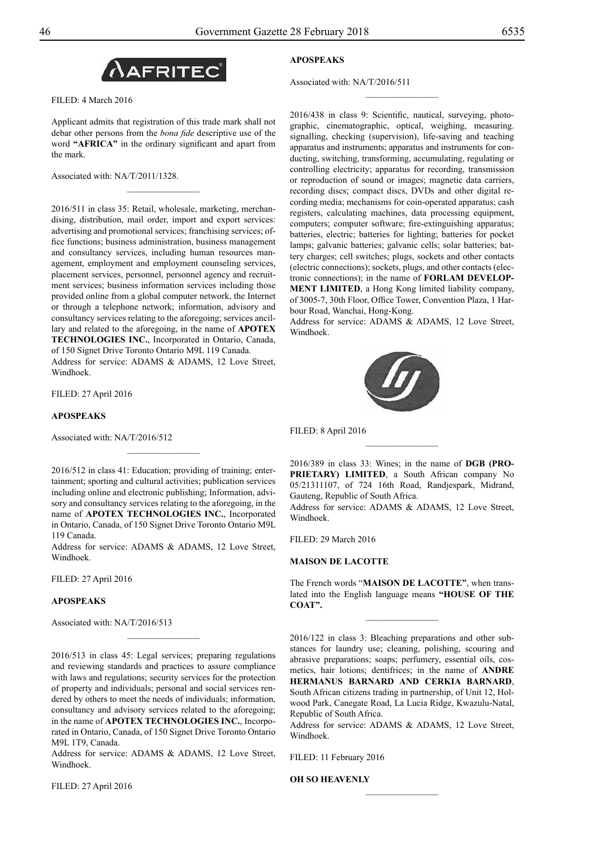

Filed: 4 March 2016

Applicant admits that registration of this trade mark shall not debar other persons from the *bona fide* descriptive use of the word **"AFRICA"** in the ordinary significant and apart from the mark.

 $\overline{\phantom{a}}$  , where  $\overline{\phantom{a}}$ 

Associated with: NA/T/2011/1328.

2016/511 in class 35: Retail, wholesale, marketing, merchandising, distribution, mail order, import and export services: advertising and promotional services; franchising services; office functions; business administration, business management and consultancy services, including human resources management, employment and employment counseling services, placement services, personnel, personnel agency and recruitment services; business information services including those provided online from a global computer network, the Internet or through a telephone network; information, advisory and consultancy services relating to the aforegoing; services ancillary and related to the aforegoing, in the name of **APOTEX TECHNOLOGIES INC.**, Incorporated in Ontario, Canada, of 150 Signet Drive Toronto Ontario M9L 119 Canada.

Address for service: ADAMS & ADAMS, 12 Love Street, Windhoek.

Filed: 27 April 2016

#### **APOSPEAKS**

Associated with: NA/T/2016/512

2016/512 in class 41: Education; providing of training; entertainment; sporting and cultural activities; publication services including online and electronic publishing; Information, advisory and consultancy services relating to the aforegoing, in the name of **APOTEX TECHNOLOGIES INC.**, Incorporated in Ontario, Canada, of 150 Signet Drive Toronto Ontario M9L 119 Canada.

 $\frac{1}{2}$ 

Address for service: ADAMS & ADAMS, 12 Love Street, Windhoek.

Filed: 27 April 2016

## **APOSPEAKS**

Associated with: NA/T/2016/513

2016/513 in class 45: Legal services; preparing regulations and reviewing standards and practices to assure compliance with laws and regulations; security services for the protection of property and individuals; personal and social services rendered by others to meet the needs of individuals; information, consultancy and advisory services related to the aforegoing; in the name of **APOTEX TECHNOLOGIES INC.**, Incorporated in Ontario, Canada, of 150 Signet Drive Toronto Ontario M9L 1T9, Canada.

 $\frac{1}{2}$ 

Address for service: ADAMS & ADAMS, 12 Love Street, Windhoek.

Filed: 27 April 2016

## **APOSPEAKS**

Associated with: NA/T/2016/511

2016/438 in class 9: Scientific, nautical, surveying, photographic, cinematographic, optical, weighing, measuring. signalling, checking (supervision), life-saving and teaching apparatus and instruments; apparatus and instruments for conducting, switching, transforming, accumulating, regulating or controlling electricity; apparatus for recording, transmission or reproduction of sound or images; magnetic data carriers, recording discs; compact discs, DVDs and other digital recording media; mechanisms for coin-operated apparatus; cash registers, calculating machines, data processing equipment, computers; computer software; fire-extinguishing apparatus; batteries, electric; batteries for lighting; batteries for pocket lamps; galvanic batteries; galvanic cells; solar batteries; battery charges; cell switches; plugs, sockets and other contacts (electric connections); sockets, plugs, and other contacts (electronic connections); in the name of **FORLAM DEVELOP-MENT LIMITED**, a Hong Kong limited liability company, of 3005-7, 30th Floor, Office Tower, Convention Plaza, 1 Harbour Road, Wanchai, Hong-Kong.

 $\frac{1}{2}$ 

Address for service: ADAMS & ADAMS, 12 Love Street, Windhoek.



FILED: 8 April 2016

2016/389 in class 33: Wines; in the name of **DGB (PRO-PRIETARY) LIMITED**, a South African company No 05/21311107, of 724 16th Road, Randjespark, Midrand, Gauteng, Republic of South Africa.

 $\frac{1}{2}$ 

Address for service: ADAMS & ADAMS, 12 Love Street, Windhoek.

Filed: 29 March 2016

#### **MAISON DE LACOTTE**

The French words "**MAISON DE LACOTTE"**, when translated into the English language means **"HOUSE OF THE COAT".**

 $\frac{1}{2}$ 

2016/122 in class 3: Bleaching preparations and other substances for laundry use; cleaning, polishing, scouring and abrasive preparations; soaps; perfumery, essential oils, cosmetics, hair lotions; dentifrices; in the name of **ANDRE HERMANUS BARNARD AND CERKIA BARNARD**, South African citizens trading in partnership, of Unit 12, Holwood Park, Canegate Road, La Lucia Ridge, Kwazulu-Natal, Republic of South Africa.

Address for service: ADAMS & ADAMS, 12 Love Street, Windhoek.

 $\frac{1}{2}$ 

FILED: 11 February 2016

**OH SO HEAVENLY**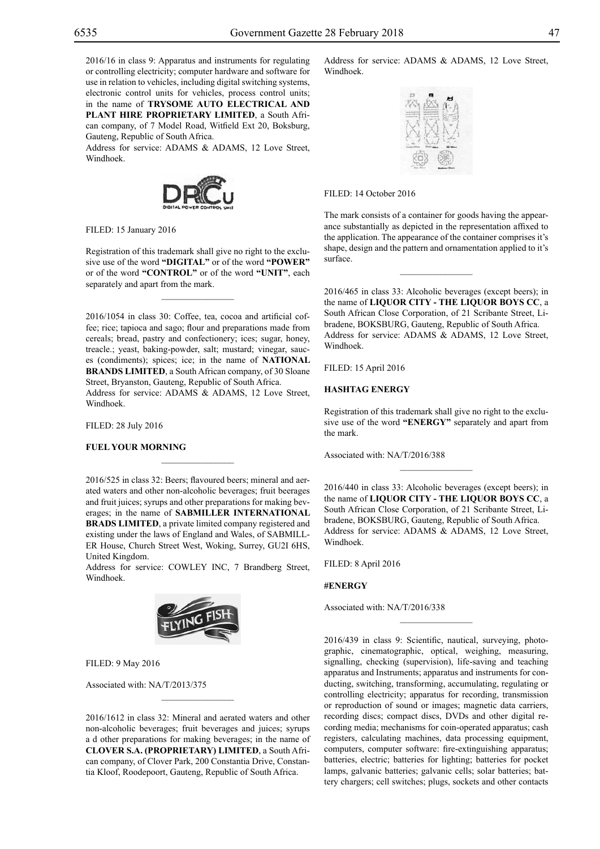2016/16 in class 9: Apparatus and instruments for regulating or controlling electricity; computer hardware and software for use in relation to vehicles, including digital switching systems, electronic control units for vehicles, process control units; in the name of **TRYSOME AUTO ELECTRICAL AND PLANT HIRE PROPRIETARY LIMITED**, a South African company, of 7 Model Road, Witfield Ext 20, Boksburg, Gauteng, Republic of South Africa.

Address for service: ADAMS & ADAMS, 12 Love Street, Windhoek.



FILED: 15 January 2016

Registration of this trademark shall give no right to the exclusive use of the word **"DIGITAL"** or of the word **"POWER"**  or of the word **"CONTROL"** or of the word **"UNIT"**, each separately and apart from the mark.

 $\overline{\phantom{a}}$  , where  $\overline{\phantom{a}}$ 

2016/1054 in class 30: Coffee, tea, cocoa and artificial coffee; rice; tapioca and sago; flour and preparations made from cereals; bread, pastry and confectionery; ices; sugar, honey, treacle.; yeast, baking-powder, salt; mustard; vinegar, sauces (condiments); spices; ice; in the name of **NATIONAL BRANDS LIMITED**, a South African company, of 30 Sloane Street, Bryanston, Gauteng, Republic of South Africa. Address for service: ADAMS & ADAMS, 12 Love Street, Windhoek.

Filed: 28 July 2016

#### **FUEL YOUR MORNING**

2016/525 in class 32: Beers; flavoured beers; mineral and aerated waters and other non-alcoholic beverages; fruit beerages and fruit juices; syrups and other preparations for making beverages; in the name of **SABMILLER INTERNATIONAL BRADS LIMITED**, a private limited company registered and existing under the laws of England and Wales, of SABMILL-ER House, Church Street West, Woking, Surrey, GU2I 6HS, United Kingdom.

 $\mathcal{L}=\mathcal{L}^{\text{max}}$ 

Address for service: COWLEY INC, 7 Brandberg Street, Windhoek.



Filed: 9 May 2016

Associated with: NA/T/2013/375

2016/1612 in class 32: Mineral and aerated waters and other non-alcoholic beverages; fruit beverages and juices; syrups a d other preparations for making beverages; in the name of **CLOVER S.A. (PROPRIETARY) LIMITED**, a South African company, of Clover Park, 200 Constantia Drive, Constantia Kloof, Roodepoort, Gauteng, Republic of South Africa.

Address for service: ADAMS & ADAMS, 12 Love Street, Windhoek.



## FILED: 14 October 2016

The mark consists of a container for goods having the appearance substantially as depicted in the representation affixed to the application. The appearance of the container comprises it's shape, design and the pattern and ornamentation applied to it's surface.

 $\frac{1}{2}$ 

2016/465 in class 33: Alcoholic beverages (except beers); in the name of **LIQUOR CITY - THE LIQUOR BOYS CC**, a South African Close Corporation, of 21 Scribante Street, Libradene, BOKSBURG, Gauteng, Republic of South Africa. Address for service: ADAMS & ADAMS, 12 Love Street, Windhoek.

Filed: 15 April 2016

#### **HASHTAG ENERGY**

Registration of this trademark shall give no right to the exclusive use of the word **"ENERGY"** separately and apart from the mark.

 $\overline{\phantom{a}}$  , we can also the set of  $\overline{\phantom{a}}$ 

Associated with: NA/T/2016/388

2016/440 in class 33: Alcoholic beverages (except beers); in the name of **LIQUOR CITY - THE LIQUOR BOYS CC**, a South African Close Corporation, of 21 Scribante Street, Libradene, BOKSBURG, Gauteng, Republic of South Africa. Address for service: ADAMS & ADAMS, 12 Love Street, Windhoek.

Filed: 8 April 2016

#### **#ENERGY**

Associated with: NA/T/2016/338

2016/439 in class 9: Scientific, nautical, surveying, photographic, cinematographic, optical, weighing, measuring, signalling, checking (supervision), life-saving and teaching apparatus and Instruments; apparatus and instruments for conducting, switching, transforming, accumulating, regulating or controlling electricity; apparatus for recording, transmission or reproduction of sound or images; magnetic data carriers, recording discs; compact discs, DVDs and other digital recording media; mechanisms for coin-operated apparatus; cash registers, calculating machines, data processing equipment, computers, computer software: fire-extinguishing apparatus; batteries, electric; batteries for lighting; batteries for pocket lamps, galvanic batteries; galvanic cells; solar batteries; battery chargers; cell switches; plugs, sockets and other contacts

 $\frac{1}{2}$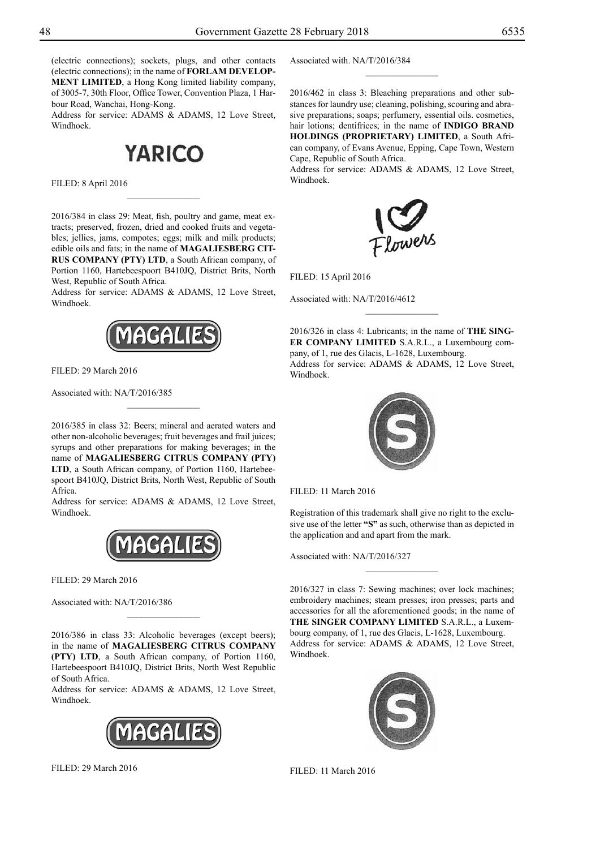(electric connections); sockets, plugs, and other contacts (electric connections); in the name of **FORLAM DEVELOP-MENT LIMITED**, a Hong Kong limited liability company, of 3005-7, 30th Floor, Office Tower, Convention Plaza, 1 Harbour Road, Wanchai, Hong-Kong.

Address for service: ADAMS & ADAMS, 12 Love Street, Windhoek.

# **YARICO**

 $\frac{1}{2}$ 

Filed: 8 April 2016

2016/384 in class 29: Meat, fish, poultry and game, meat extracts; preserved, frozen, dried and cooked fruits and vegetables; jellies, jams, compotes; eggs; milk and milk products; edible oils and fats; in the name of **MAGALIESBERG CIT-RUS COMPANY (PTY) LTD**, a South African company, of Portion 1160, Hartebeespoort B410JQ, District Brits, North West, Republic of South Africa.

Address for service: ADAMS & ADAMS, 12 Love Street, Windhoek.



Filed: 29 March 2016

Associated with: NA/T/2016/385

2016/385 in class 32: Beers; mineral and aerated waters and other non-alcoholic beverages; fruit beverages and frail juices; syrups and other preparations for making beverages; in the name of **MAGALIESBERG CITRUS COMPANY (PTY) LTD**, a South African company, of Portion 1160, Hartebeespoort B410JQ, District Brits, North West, Republic of South Africa.

 $\frac{1}{2}$ 

Address for service: ADAMS & ADAMS, 12 Love Street, Windhoek.



Filed: 29 March 2016

Associated with: NA/T/2016/386

2016/386 in class 33: Alcoholic beverages (except beers); in the name of **MAGALIESBERG CITRUS COMPANY (PTY) LTD**, a South African company, of Portion 1160, Hartebeespoort B410JQ, District Brits, North West Republic of South Africa.

 $\frac{1}{2}$ 

Address for service: ADAMS & ADAMS, 12 Love Street, Windhoek.



Filed: 29 March 2016

Associated with. NA/T/2016/384

2016/462 in class 3: Bleaching preparations and other substances for laundry use; cleaning, polishing, scouring and abrasive preparations; soaps; perfumery, essential oils. cosmetics, hair lotions; dentifrices; in the name of **INDIGO BRAND HOLDINGS (PROPRIETARY) LIMITED**, a South African company, of Evans Avenue, Epping, Cape Town, Western Cape, Republic of South Africa.

 $\frac{1}{2}$ 

Address for service: ADAMS & ADAMS, 12 Love Street, Windhoek.



Filed: 15 April 2016

Associated with: NA/T/2016/4612

2016/326 in class 4: Lubricants; in the name of **THE SING-ER COMPANY LIMITED** S.A.R.L., a Luxembourg company, of 1, rue des Glacis, L-1628, Luxembourg. Address for service: ADAMS & ADAMS, 12 Love Street, Windhoek.



Filed: 11 March 2016

Registration of this trademark shall give no right to the exclusive use of the letter **"S"** as such, otherwise than as depicted in the application and and apart from the mark.

Associated with: NA/T/2016/327

2016/327 in class 7: Sewing machines; over lock machines; embroidery machines; steam presses; iron presses; parts and accessories for all the aforementioned goods; in the name of **THE SINGER COMPANY LIMITED** S.A.R.L., a Luxembourg company, of 1, rue des Glacis, L-1628, Luxembourg. Address for service: ADAMS & ADAMS, 12 Love Street, Windhoek.



Filed: 11 March 2016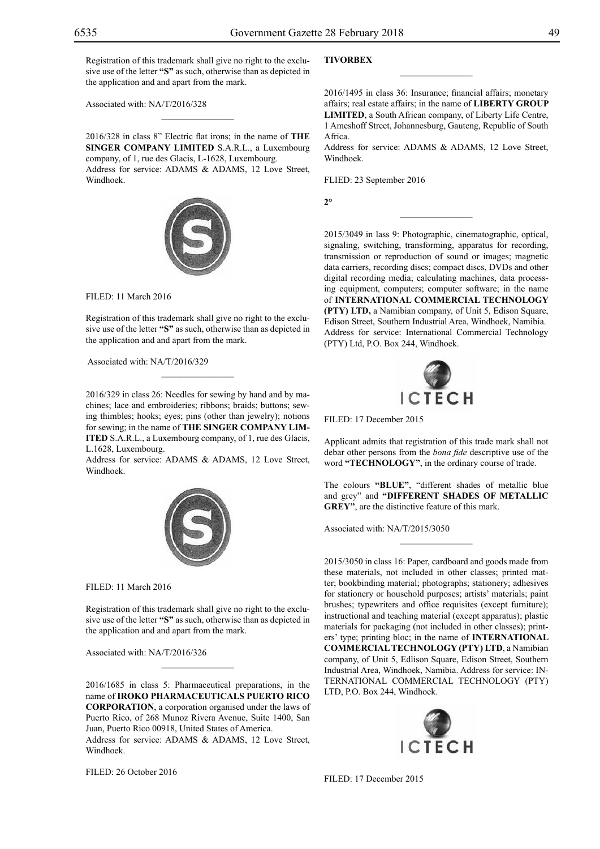Registration of this trademark shall give no right to the exclusive use of the letter **"S"** as such, otherwise than as depicted in the application and and apart from the mark.

 $\mathcal{L}=\mathcal{L}^{\text{max}}$ 

Associated with: NA/T/2016/328

2016/328 in class 8" Electric flat irons; in the name of **THE SINGER COMPANY LIMITED** S.A.R.L., a Luxembourg company, of 1, rue des Glacis, L-1628, Luxembourg. Address for service: ADAMS & ADAMS, 12 Love Street, Windhoek.



Filed: 11 March 2016

Registration of this trademark shall give no right to the exclusive use of the letter **"S"** as such, otherwise than as depicted in the application and and apart from the mark.

 $\mathcal{L}=\mathcal{L}^{\text{max}}$ 

Associated with: NA/T/2016/329

2016/329 in class 26: Needles for sewing by hand and by machines; lace and embroideries; ribbons; braids; buttons; sewing thimbles; hooks; eyes; pins (other than jewelry); notions for sewing; in the name of **THE SINGER COMPANY LIM-ITED** S.A.R.L., a Luxembourg company, of 1, rue des Glacis, L.1628, Luxembourg.

Address for service: ADAMS & ADAMS, 12 Love Street, Windhoek.



Filed: 11 March 2016

Registration of this trademark shall give no right to the exclusive use of the letter **"S"** as such, otherwise than as depicted in the application and and apart from the mark.

 $\mathcal{L}=\mathcal{L}^{\text{max}}$ 

Associated with: NA/T/2016/326

2016/1685 in class 5: Pharmaceutical preparations, in the name of **IROKO PHARMACEUTICALS PUERTO RICO CORPORATION**, a corporation organised under the laws of Puerto Rico, of 268 Munoz Rivera Avenue, Suite 1400, San Juan, Puerto Rico 00918, United States of America. Address for service: ADAMS & ADAMS, 12 Love Street, Windhoek.

Filed: 26 October 2016

## **TIVORBEX**

2016/1495 in class 36: Insurance; financial affairs; monetary affairs; real estate affairs; in the name of **LIBERTY GROUP LIMITED**, a South African company, of Liberty Life Centre, 1 Ameshoff Street, Johannesburg, Gauteng, Republic of South Africa.

 $\overline{\phantom{a}}$  , we can also the set of  $\overline{\phantom{a}}$ 

Address for service: ADAMS & ADAMS, 12 Love Street, Windhoek.

 $\frac{1}{2}$ 

Flied: 23 September 2016

**2°**

2015/3049 in lass 9: Photographic, cinematographic, optical, signaling, switching, transforming, apparatus for recording, transmission or reproduction of sound or images; magnetic data carriers, recording discs; compact discs, DVDs and other digital recording media; calculating machines, data processing equipment, computers; computer software; in the name of **INTERNATIONAL COMMERCIAL TECHNOLOGY (PTY) LTD,** a Namibian company, of Unit 5, Edison Square, Edison Street, Southern Industrial Area, Windhoek, Namibia. Address for service: International Commercial Technology (PTY) Ltd, P.O. Box 244, Windhoek.



Filed: 17 December 2015

Applicant admits that registration of this trade mark shall not debar other persons from the *bona fide* descriptive use of the word **"TECHNOLOGY"**, in the ordinary course of trade.

The colours "BLUE", "different shades of metallic blue and grey" and **"different shades of metallic GREY**", are the distinctive feature of this mark.

Associated with: NA/T/2015/3050

2015/3050 in class 16: Paper, cardboard and goods made from these materials, not included in other classes; printed matter; bookbinding material; photographs; stationery; adhesives for stationery or household purposes; artists' materials; paint brushes; typewriters and office requisites (except furniture); instructional and teaching material (except apparatus); plastic materials for packaging (not included in other classes); printers' type; printing bloc; in the name of **INTERNATIONAL COMMERCIAL TECHNOLOGY (PTY) LTD**, a Namibian company, of Unit 5, Edlison Square, Edison Street, Southern Industrial Area, Windhoek, Namibia. Address for service: International Commercial Technology (PTY) LTD, P.O. Box 244, Windhoek.



Filed: 17 December 2015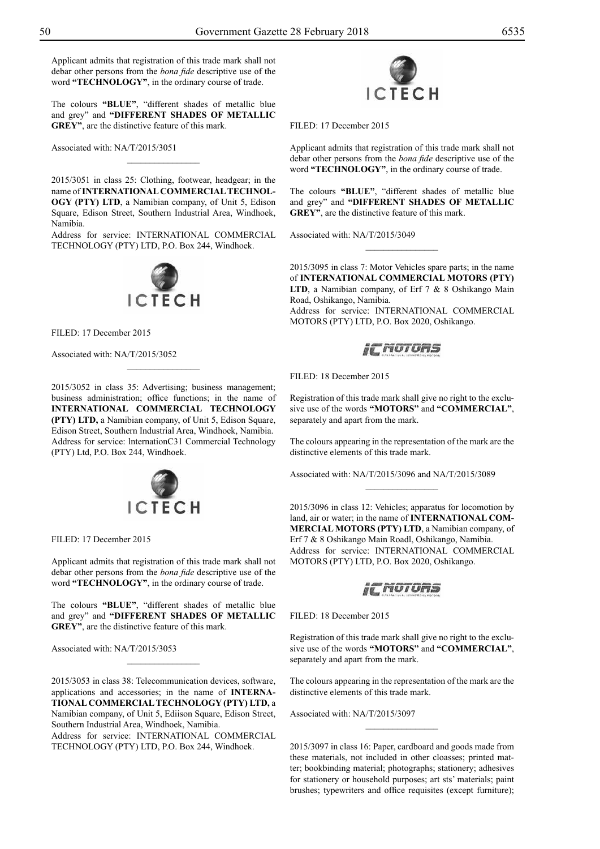Applicant admits that registration of this trade mark shall not debar other persons from the *bona fide* descriptive use of the word **"TECHNOLOGY"**, in the ordinary course of trade.

The colours "BLUE", "different shades of metallic blue and grey" and **"different shades of metallic GREY**", are the distinctive feature of this mark.

Associated with: NA/T/2015/3051

2015/3051 in class 25: Clothing, footwear, headgear; in the name of **INTERNATIONAL COMMERCIAL TECHNOL-OGY (PTY) LTD**, a Namibian company, of Unit 5, Edison Square, Edison Street, Southern Industrial Area, Windhoek, Namibia.

 $\overline{\phantom{a}}$  , where  $\overline{\phantom{a}}$ 

Address for service: INTERNATIONAL COMMERCIAL TECHNOLOGY (PTY) LTD, P.O. Box 244, Windhoek.



Filed: 17 December 2015

Associated with: NA/T/2015/3052

2015/3052 in class 35: Advertising; business management; business administration; office functions; in the name of **INTERNATIONAL COMMERCIAL TECHNOLOGY (PTY) LTD,** a Namibian company, of Unit 5, Edison Square, Edison Street, Southern Industrial Area, Windhoek, Namibia. Address for service: lnternationC31 Commercial Technology (PTY) Ltd, P.O. Box 244, Windhoek.

 $\frac{1}{2}$ 



Filed: 17 December 2015

Applicant admits that registration of this trade mark shall not debar other persons from the *bona fide* descriptive use of the word **"TECHNOLOGY"**, in the ordinary course of trade.

The colours "BLUE", "different shades of metallic blue and grey" and "DIFFERENT SHADES OF METALLIC GREY", are the distinctive feature of this mark.

Associated with: NA/T/2015/3053

2015/3053 in class 38: Telecommunication devices, software, applications and accessories; in the name of **INTERNA-TIONAL COMMERCIAL TECHNOLOGY (PTY) LTD,** a Namibian company, of Unit 5, Ediison Square, Edison Street, Southern Industrial Area, Windhoek, Namibia.

 $\frac{1}{2}$ 

Address for service: INTERNATIONAL COMMERCIAL TECHNOLOGY (PTY) LTD, P.O. Box 244, Windhoek.



Filed: 17 December 2015

Applicant admits that registration of this trade mark shall not debar other persons from the *bona fide* descriptive use of the word **"TECHNOLOGY"**, in the ordinary course of trade.

The colours "BLUE", "different shades of metallic blue and grey" and **"different shades of metallic** GREY", are the distinctive feature of this mark.

Associated with: NA/T/2015/3049

2015/3095 in class 7: Motor Vehicles spare parts; in the name of **INTERNATIONAL COMMERCIAL MOTORS (PTY)**  LTD, a Namibian company, of Erf 7 & 8 Oshikango Main Road, Oshikango, Namibia.

 $\frac{1}{2}$ 

Address for service: INTERNATIONAL COMMERCIAL MOTORS (PTY) LTD, P.O. Box 2020, Oshikango.

FILED: 18 December 2015

Registration of this trade mark shall give no right to the exclusive use of the words **"MOTORS"** and **"COMMERCIAL"**, separately and apart from the mark.

The colours appearing in the representation of the mark are the distinctive elements of this trade mark.

 $\frac{1}{2}$ 

Associated with: NA/T/2015/3096 and NA/T/2015/3089

2015/3096 in class 12: Vehicles; apparatus for locomotion by land, air or water; in the name of **INTERNATIONAL COM-MERCIAL MOTORS (PTY) LTD**, a Namibian company, of Erf 7 & 8 Oshikango Main Roadl, Oshikango, Namibia. Address for service: INTERNATIONAL COMMERCIAL MOTORS (PTY) LTD, P.O. Box 2020, Oshikango.

**FILITURS** 

FILED: 18 December 2015

Registration of this trade mark shall give no right to the exclusive use of the words **"MOTORS"** and **"COMMERCIAL"**, separately and apart from the mark.

The colours appearing in the representation of the mark are the distinctive elements of this trade mark.

 $\overline{\phantom{a}}$  , where  $\overline{\phantom{a}}$ 

Associated with: NA/T/2015/3097

2015/3097 in class 16: Paper, cardboard and goods made from these materials, not included in other cloasses; printed matter; bookbinding material; photographs; stationery; adhesives for stationery or household purposes; art sts' materials; paint brushes; typewriters and office requisites (except furniture);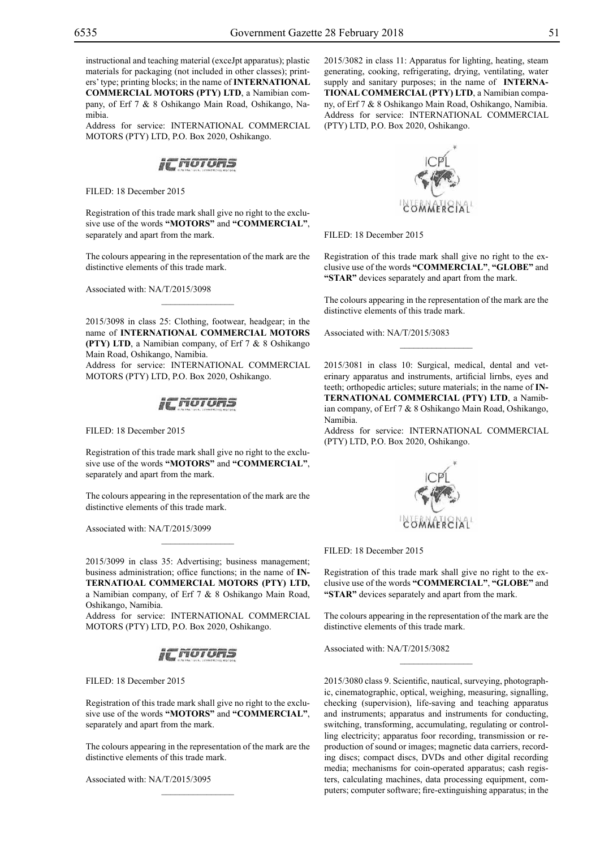instructional and teaching material (exceJpt apparatus); plastic materials for packaging (not included in other classes); printers'type; printing blocks; in the name of **INTERNATIONAL COMMERCIAL MOTORS (PTY) LTD**, a Namibian company, of Erf 7 & 8 Oshikango Main Road, Oshikango, Namibia.

Address for service: INTERNATIONAL COMMERCIAL MOTORS (PTY) LTD, P.O. Box 2020, Oshikango.



Filed: 18 December 2015

Registration of this trade mark shall give no right to the exclusive use of the words **"MOTORS"** and **"COMMERCIAL"**, separately and apart from the mark.

The colours appearing in the representation of the mark are the distinctive elements of this trade mark.

 $\mathcal{L}=\mathcal{L}^{\text{max}}$ 

Associated with: NA/T/2015/3098

2015/3098 in class 25: Clothing, footwear, headgear; in the name of **INTERNATIONAL COMMERCIAL MOTORS (PTY) LTD**, a Namibian company, of Erf 7 & 8 Oshikango Main Road, Oshikango, Namibia. Address for service: INTERNATIONAL COMMERCIAL MOTORS (PTY) LTD, P.O. Box 2020, Oshikango.



Filed: 18 December 2015

Registration of this trade mark shall give no right to the exclusive use of the words **"MOTORS"** and **"COMMERCIAL"**, separately and apart from the mark.

The colours appearing in the representation of the mark are the distinctive elements of this trade mark.

 $\mathcal{L}=\mathcal{L}^{\text{max}}$ 

Associated with: NA/T/2015/3099

2015/3099 in class 35: Advertising; business management; business administration; office functions; in the name of **IN-TERNATIOAL COMMERCIAL MOTORS (PTY) LTD,**  a Namibian company, of Erf 7 & 8 Oshikango Main Road, Oshikango, Namibia.

Address for service: INTERNATIONAL COMMERCIAL MOTORS (PTY) LTD, P.O. Box 2020, Oshikango.



Filed: 18 December 2015

Registration of this trade mark shall give no right to the exclusive use of the words **"MOTORS"** and **"COMMERCIAL"**, separately and apart from the mark.

The colours appearing in the representation of the mark are the distinctive elements of this trade mark.

 $\mathcal{L}=\mathcal{L}^{\text{max}}$ 

Associated with: NA/T/2015/3095

2015/3082 in class 11: Apparatus for lighting, heating, steam generating, cooking, refrigerating, drying, ventilating, water supply and sanitary purposes; in the name of **INTERNA-TIONAL COMMERCIAL (PTY) LTD**, a Namibian company, of Erf 7 & 8 Oshikango Main Road, Oshikango, Namibia. Address for service: INTERNATIONAL COMMERCIAL (PTY) LTD, P.O. Box 2020, Oshikango.



Filed: 18 December 2015

Registration of this trade mark shall give no right to the exclusive use of the words **"COMMERCIAL"**, **"Globe"** and "STAR" devices separately and apart from the mark.

The colours appearing in the representation of the mark are the distinctive elements of this trade mark.

Associated with: NA/T/2015/3083

2015/3081 in class 10: Surgical, medical, dental and veterinary apparatus and instruments, artificial lirnbs, eyes and teeth; orthopedic articles; suture materials; in the name of **IN-TERNATIONAL COMMERCIAL (PTY) LTD**, a Namibian company, of Erf 7 & 8 Oshikango Main Road, Oshikango, Namibia.

Address for service: INTERNATIONAL COMMERCIAL (PTY) LTD, P.O. Box 2020, Oshikango.



Filed: 18 December 2015

Registration of this trade mark shall give no right to the exclusive use of the words **"COMMERCIAL"**, **"Globe"** and **"STAR"** devices separately and apart from the mark.

The colours appearing in the representation of the mark are the distinctive elements of this trade mark.

 $\frac{1}{2}$ 

Associated with: NA/T/2015/3082

2015/3080 class 9. Scientific, nautical, surveying, photographic, cinematographic, optical, weighing, measuring, signalling, checking (supervision), life-saving and teaching apparatus and instruments; apparatus and instruments for conducting, switching, transforming, accumulating, regulating or controlling electricity; apparatus foor recording, transmission or reproduction of sound or images; magnetic data carriers, recording discs; compact discs, DVDs and other digital recording media; mechanisms for coin-operated apparatus; cash registers, calculating machines, data processing equipment, computers; computer software; fire-extinguishing apparatus; in the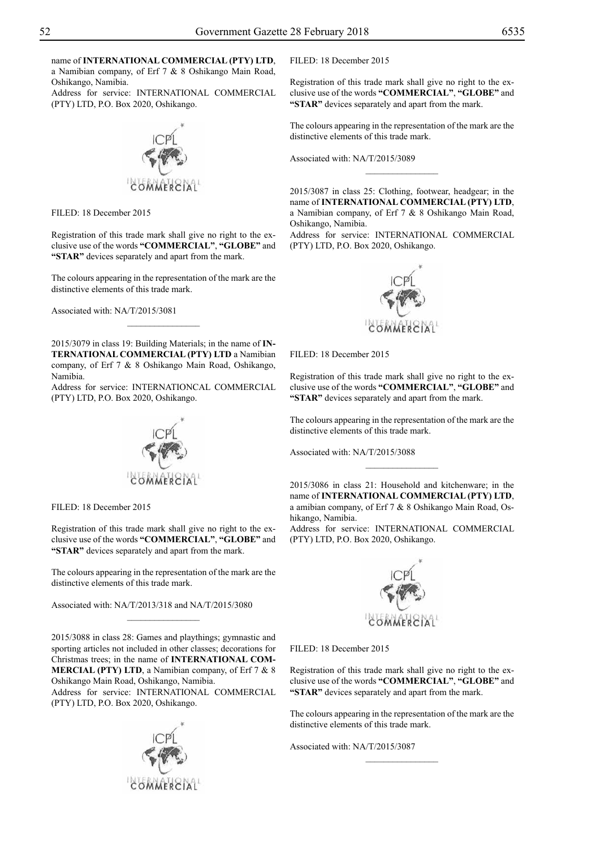name of **INTERNATIONAL COMMERCIAL (PTY) LTD**, a Namibian company, of Erf 7 & 8 Oshikango Main Road, Oshikango, Namibia.

Address for service: INTERNATIONAL COMMERCIAL (PTY) LTD, P.O. Box 2020, Oshikango.



FILED: 18 December 2015

Registration of this trade mark shall give no right to the exclusive use of the words **"COMMERCIAL"**, **"Globe"** and "**STAR**" devices separately and apart from the mark.

The colours appearing in the representation of the mark are the distinctive elements of this trade mark.

Associated with: NA/T/2015/3081

2015/3079 in class 19: Building Materials; in the name of **IN-TERNATIONAL COMMERCIAL (PTY) LTD** a Namibian company, of Erf 7 & 8 Oshikango Main Road, Oshikango, Namibia.

 $\overline{\phantom{a}}$  , where  $\overline{\phantom{a}}$ 

Address for service: INTERNATIONCAL COMMERCIAL (PTY) LTD, P.O. Box 2020, Oshikango.



Filed: 18 December 2015

Registration of this trade mark shall give no right to the exclusive use of the words **"COMMERCIAL"**, **"Globe"** and "STAR" devices separately and apart from the mark.

The colours appearing in the representation of the mark are the distinctive elements of this trade mark.

Associated with: NA/T/2013/318 and NA/T/2015/3080

2015/3088 in class 28: Games and playthings; gymnastic and sporting articles not included in other classes; decorations for Christmas trees; in the name of **INTERNATIONAL COM-MERCIAL (PTY) LTD**, a Namibian company, of Erf 7 & 8

 $\overline{\phantom{a}}$  , where  $\overline{\phantom{a}}$ 

Oshikango Main Road, Oshikango, Namibia. Address for service: INTERNATIONAL COMMERCIAL (PTY) LTD, P.O. Box 2020, Oshikango.



Filed: 18 December 2015

Registration of this trade mark shall give no right to the exclusive use of the words **"COMMERCIAL"**, **"Globe"** and "STAR" devices separately and apart from the mark.

The colours appearing in the representation of the mark are the distinctive elements of this trade mark.

Associated with: NA/T/2015/3089

2015/3087 in class 25: Clothing, footwear, headgear; in the name of **INTERNATIONAL COMMERCIAL (PTY) LTD**, a Namibian company, of Erf 7 & 8 Oshikango Main Road, Oshikango, Namibia.

 $\frac{1}{2}$ 

Address for service: INTERNATIONAL COMMERCIAL (PTY) LTD, P.O. Box 2020, Oshikango.



Filed: 18 December 2015

Registration of this trade mark shall give no right to the exclusive use of the words **"COMMERCIAL"**, **"Globe"** and "STAR" devices separately and apart from the mark.

The colours appearing in the representation of the mark are the distinctive elements of this trade mark.

Associated with: NA/T/2015/3088

2015/3086 in class 21: Household and kitchenware; in the name of **INTERNATIONAL COMMERCIAL (PTY) LTD**, a amibian company, of Erf 7 & 8 Oshikango Main Road, Oshikango, Namibia.

 $\frac{1}{2}$ 

Address for service: INTERNATIONAL COMMERCIAL (PTY) LTD, P.O. Box 2020, Oshikango.



Filed: 18 December 2015

Registration of this trade mark shall give no right to the exclusive use of the words **"COMMERCIAL"**, **"Globe"** and "STAR" devices separately and apart from the mark.

The colours appearing in the representation of the mark are the distinctive elements of this trade mark.

 $\frac{1}{2}$ 

Associated with: NA/T/2015/3087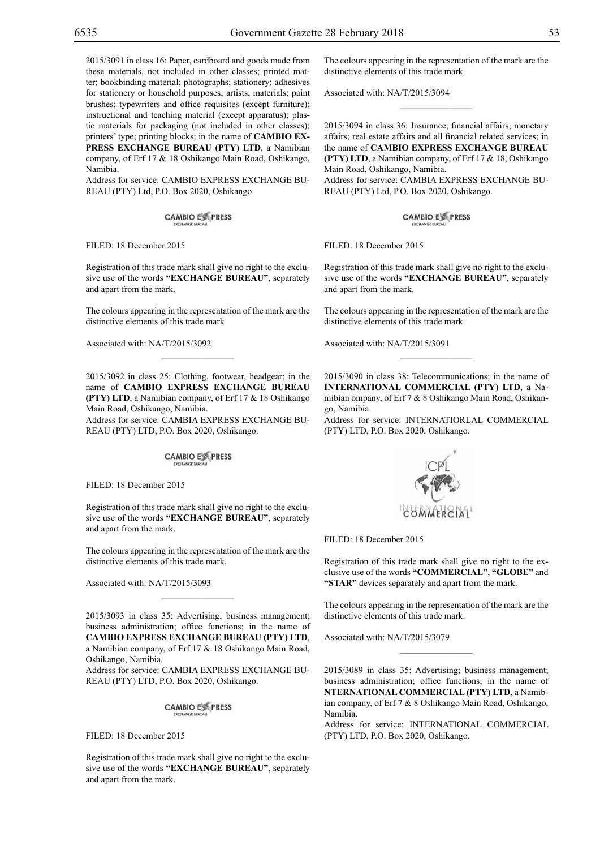2015/3091 in class 16: Paper, cardboard and goods made from these materials, not included in other classes; printed matter; bookbinding material; photographs; stationery; adhesives for stationery or household purposes; artists, materials; paint brushes; typewriters and office requisites (except furniture); instructional and teaching material (except apparatus); plastic materials for packaging (not included in other classes); printers' type; printing blocks; in the name of **CAMBIO EX-PRESS EXCHANGE BUREAU (PTY) LTD**, a Namibian company, of Erf 17 & 18 Oshikango Main Road, Oshikango,

Namibia. Address for service: Cambio Express Exchange Bu-

REAU (PTY) Ltd, P.O. Box 2020, Oshikango.

**CAMBIO EXPRESS** 

Filed: 18 December 2015

Registration of this trade mark shall give no right to the exclusive use of the words **"EXCHANGE BUREAU"**, separately and apart from the mark.

The colours appearing in the representation of the mark are the distinctive elements of this trade mark

 $\mathcal{L}=\mathcal{L}^{\text{max}}$ 

Associated with: NA/T/2015/3092

2015/3092 in class 25: Clothing, footwear, headgear; in the name of **CAMBIO EXPRESS EXCHANGE BUREAU (PTY) LTD**, a Namibian company, of Erf 17 & 18 Oshikango Main Road, Oshikango, Namibia.

Address for service: Cambia Express Exchange Bu-REAU (PTY) LTD, P.O. Box 2020, Oshikango.

**CAMBIO EX PRESS** 

FILED: 18 December 2015

Registration of this trade mark shall give no right to the exclusive use of the words **"EXCHANGE BUREAU"**, separately and apart from the mark.

The colours appearing in the representation of the mark are the distinctive elements of this trade mark.

Associated with: NA/T/2015/3093

2015/3093 in class 35: Advertising; business management; business administration; office functions; in the name of **CAMBIO EXPRESS EXCHANGE BUREAU (PTY) LTD**, a Namibian company, of Erf 17 & 18 Oshikango Main Road,

 $\mathcal{L}=\mathcal{L}^{\text{max}}$ 

Oshikango, Namibia. Address for service: Cambia Express Exchange Bu-

REAU (PTY) LTD, P.O. Box 2020, Oshikango.

**CAMBIO EXPRESS** 

FILED: 18 December 2015

Registration of this trade mark shall give no right to the exclusive use of the words **"EXCHANGE BUREAU"**, separately and apart from the mark.

The colours appearing in the representation of the mark are the distinctive elements of this trade mark.

 $\overline{\phantom{a}}$  , we can also the set of  $\overline{\phantom{a}}$ 

Associated with: NA/T/2015/3094

2015/3094 in class 36: Insurance; financial affairs; monetary affairs; real estate affairs and all financial related services; in the name of **CAMBIO EXPRESS EXCHANGE BUREAU (PTY) LTD**, a Namibian company, of Erf 17 & 18, Oshikango Main Road, Oshikango, Namibia. Address for service: Cambia Express Exchange Bu-REAU (PTY) Ltd, P.O. Box 2020, Oshikango.

**CAMBIO EXPRESS** 

FILED: 18 December 2015

Registration of this trade mark shall give no right to the exclusive use of the words **"EXCHANGE BUREAU"**, separately and apart from the mark.

The colours appearing in the representation of the mark are the distinctive elements of this trade mark.

 $\frac{1}{2}$ 

Associated with: NA/T/2015/3091

2015/3090 in class 38: Telecommunications; in the name of **INTERNATIONAL COMMERCIAL (PTY) LTD**, a Namibian ompany, of Erf 7 & 8 Oshikango Main Road, Oshikango, Namibia.

Address for service: INTERNATIORLAL COMMERCIAL (PTY) LTD, P.O. Box 2020, Oshikango.



FILED: 18 December 2015

Registration of this trade mark shall give no right to the exclusive use of the words **"COMMERCIAL"**, **"Globe"** and "**STAR**" devices separately and apart from the mark.

The colours appearing in the representation of the mark are the distinctive elements of this trade mark.

 $\frac{1}{2}$ 

Associated with: NA/T/2015/3079

2015/3089 in class 35: Advertising; business management; business administration; office functions; in the name of **NTERNATIONAL COMMERCIAL(PTY) LTD**, a Namibian company, of Erf 7 & 8 Oshikango Main Road, Oshikango, Namibia.

Address for service: INTERNATIONAL COMMERCIAL (PTY) LTD, P.O. Box 2020, Oshikango.